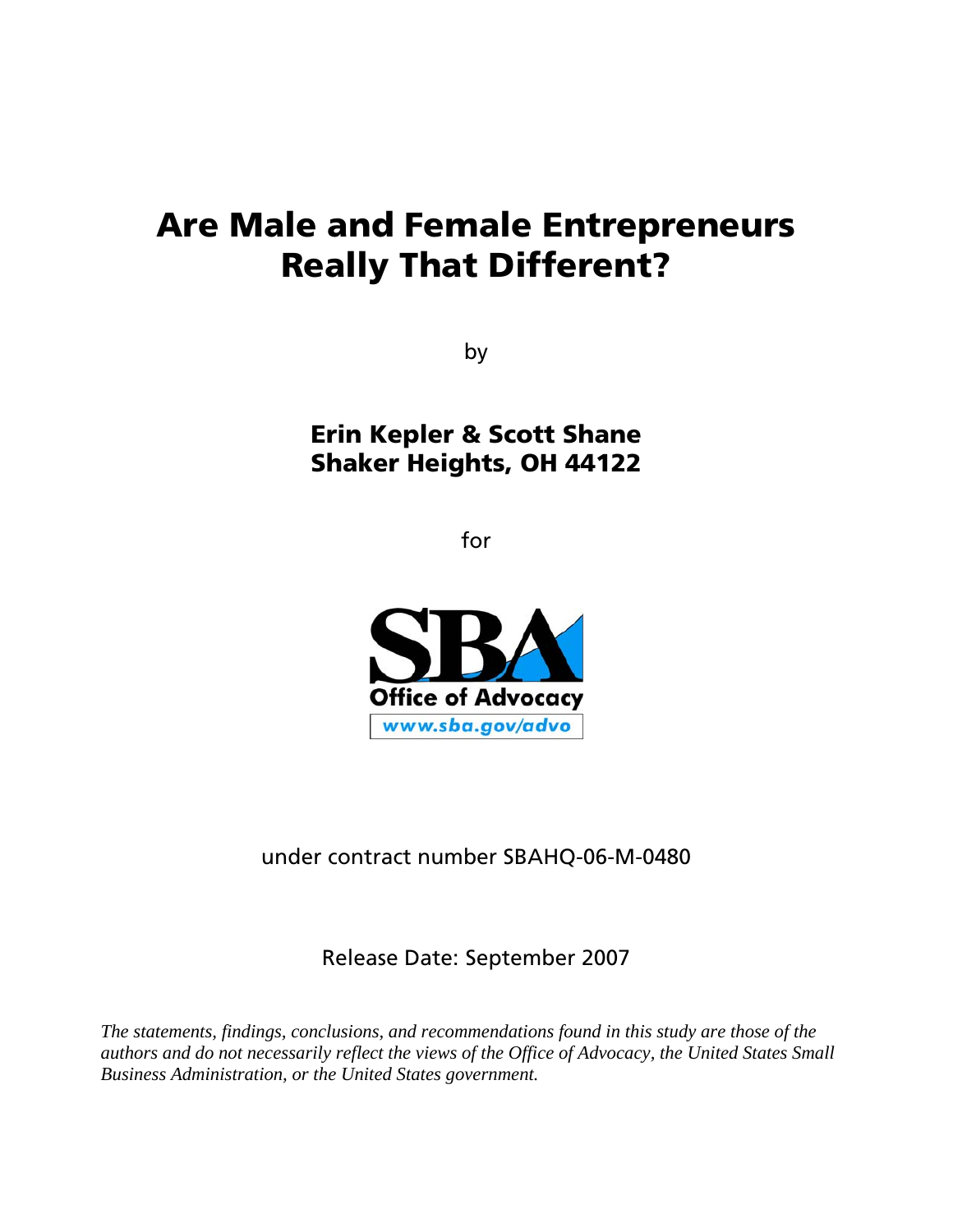# **Are Male and Female Entrepreneurs Really That Different?**

by

**Erin Kepler & Scott Shane Shaker Heights, OH 44122** 

for



under contract number SBAHQ-06-M-0480

Release Date: September 2007

*The statements, findings, conclusions, and recommendations found in this study are those of the authors and do not necessarily reflect the views of the Office of Advocacy, the United States Small Business Administration, or the United States government.*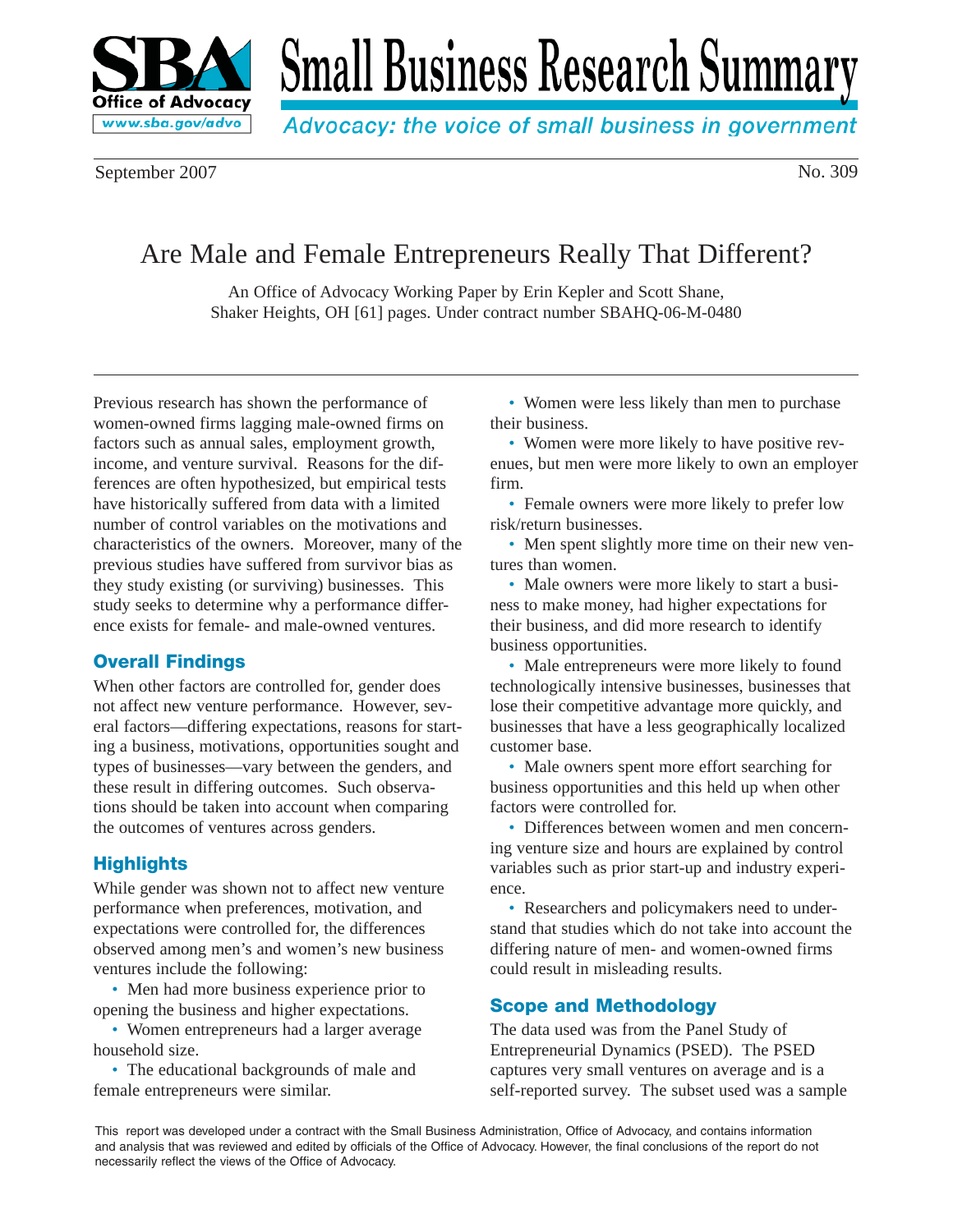

# **Small Business Research Summary**

Advocacy: the voice of small business in government

September 2007 No. 309

# Are Male and Female Entrepreneurs Really That Different?

An Office of Advocacy Working Paper by Erin Kepler and Scott Shane, Shaker Heights, OH [61] pages. Under contract number SBAHQ-06-M-0480

Previous research has shown the performance of women-owned firms lagging male-owned firms on factors such as annual sales, employment growth, income, and venture survival. Reasons for the differences are often hypothesized, but empirical tests have historically suffered from data with a limited number of control variables on the motivations and characteristics of the owners. Moreover, many of the previous studies have suffered from survivor bias as they study existing (or surviving) businesses. This study seeks to determine why a performance difference exists for female- and male-owned ventures.

# **Overall Findings**

When other factors are controlled for, gender does not affect new venture performance. However, several factors—differing expectations, reasons for starting a business, motivations, opportunities sought and types of businesses—vary between the genders, and these result in differing outcomes. Such observations should be taken into account when comparing the outcomes of ventures across genders.

# **Highlights**

While gender was shown not to affect new venture performance when preferences, motivation, and expectations were controlled for, the differences observed among men's and women's new business ventures include the following:

• Men had more business experience prior to opening the business and higher expectations.

• Women entrepreneurs had a larger average household size.

• The educational backgrounds of male and female entrepreneurs were similar.

• Women were less likely than men to purchase their business.

• Women were more likely to have positive revenues, but men were more likely to own an employer firm.

• Female owners were more likely to prefer low risk/return businesses.

• Men spent slightly more time on their new ventures than women.

• Male owners were more likely to start a business to make money, had higher expectations for their business, and did more research to identify business opportunities.

• Male entrepreneurs were more likely to found technologically intensive businesses, businesses that lose their competitive advantage more quickly, and businesses that have a less geographically localized customer base.

• Male owners spent more effort searching for business opportunities and this held up when other factors were controlled for.

• Differences between women and men concerning venture size and hours are explained by control variables such as prior start-up and industry experience.

• Researchers and policymakers need to understand that studies which do not take into account the differing nature of men- and women-owned firms could result in misleading results.

# **Scope and Methodology**

The data used was from the Panel Study of Entrepreneurial Dynamics (PSED). The PSED captures very small ventures on average and is a self-reported survey. The subset used was a sample

This report was developed under a contract with the Small Business Administration, Office of Advocacy, and contains information and analysis that was reviewed and edited by officials of the Office of Advocacy. However, the final conclusions of the report do not necessarily reflect the views of the Office of Advocacy.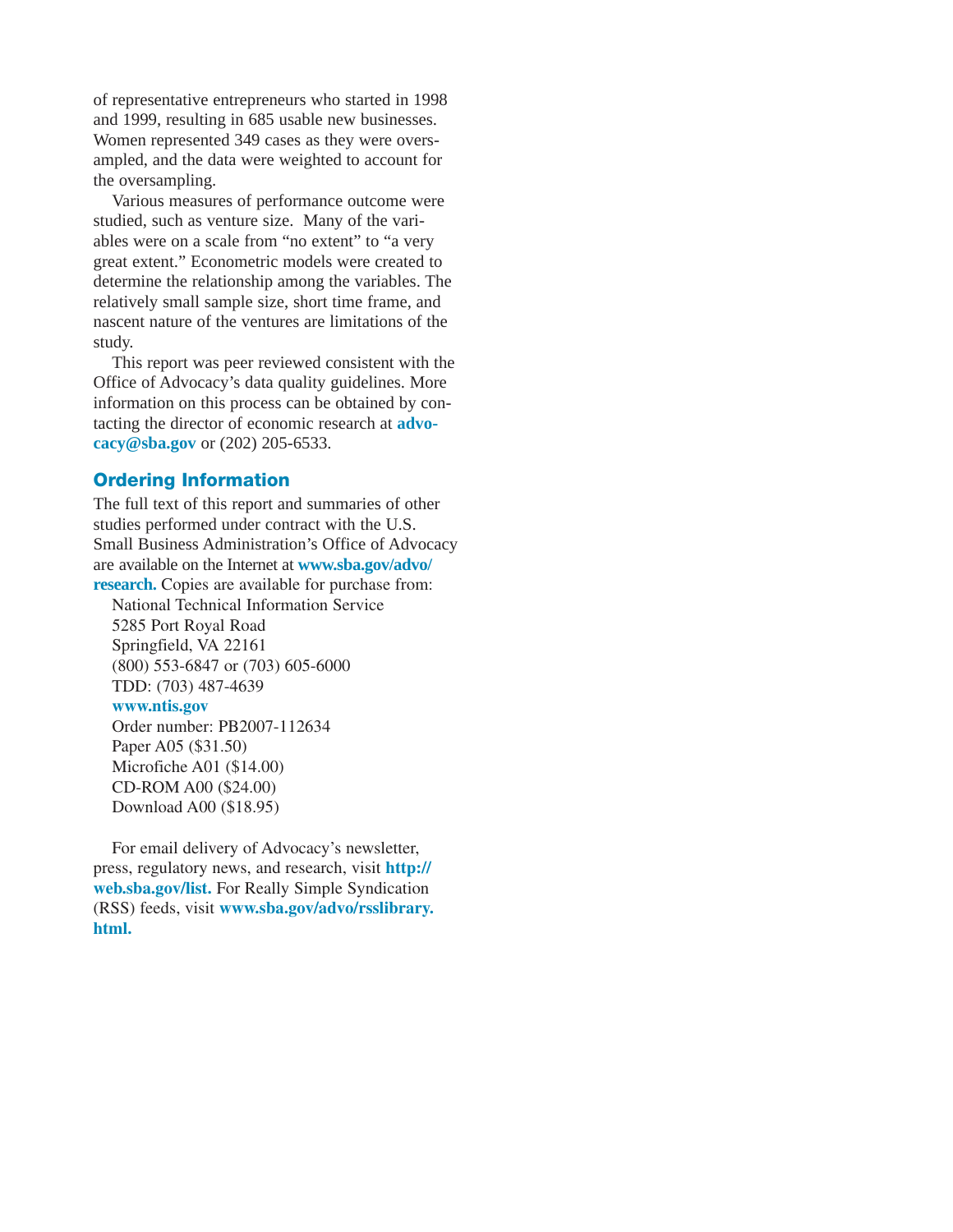of representative entrepreneurs who started in 1998 and 1999, resulting in 685 usable new businesses. Women represented 349 cases as they were oversampled, and the data were weighted to account for the oversampling.

Various measures of performance outcome were studied, such as venture size. Many of the variables were on a scale from "no extent" to "a very great extent." Econometric models were created to determine the relationship among the variables. The relatively small sample size, short time frame, and nascent nature of the ventures are limitations of the study.

This report was peer reviewed consistent with the Office of Advocacy's data quality guidelines. More information on this process can be obtained by contacting the director of economic research at **advocacy@sba.gov** or (202) 205-6533.

# **Ordering Information**

The full text of this report and summaries of other studies performed under contract with the U.S. Small Business Administration's Office of Advocacy are available on the Internet at **www.sba.gov/advo/ research.** Copies are available for purchase from:

National Technical Information Service 5285 Port Royal Road Springfield, VA 22161 (800) 553-6847 or (703) 605-6000 TDD: (703) 487-4639

#### **www.ntis.gov**

Order number: PB2007-112634 Paper A05 (\$31.50) Microfiche A01 (\$14.00) CD-ROM A00 (\$24.00) Download A00 (\$18.95)

For email delivery of Advocacy's newsletter, press, regulatory news, and research, visit **http:// web.sba.gov/list.** For Really Simple Syndication (RSS) feeds, visit **www.sba.gov/advo/rsslibrary. html.**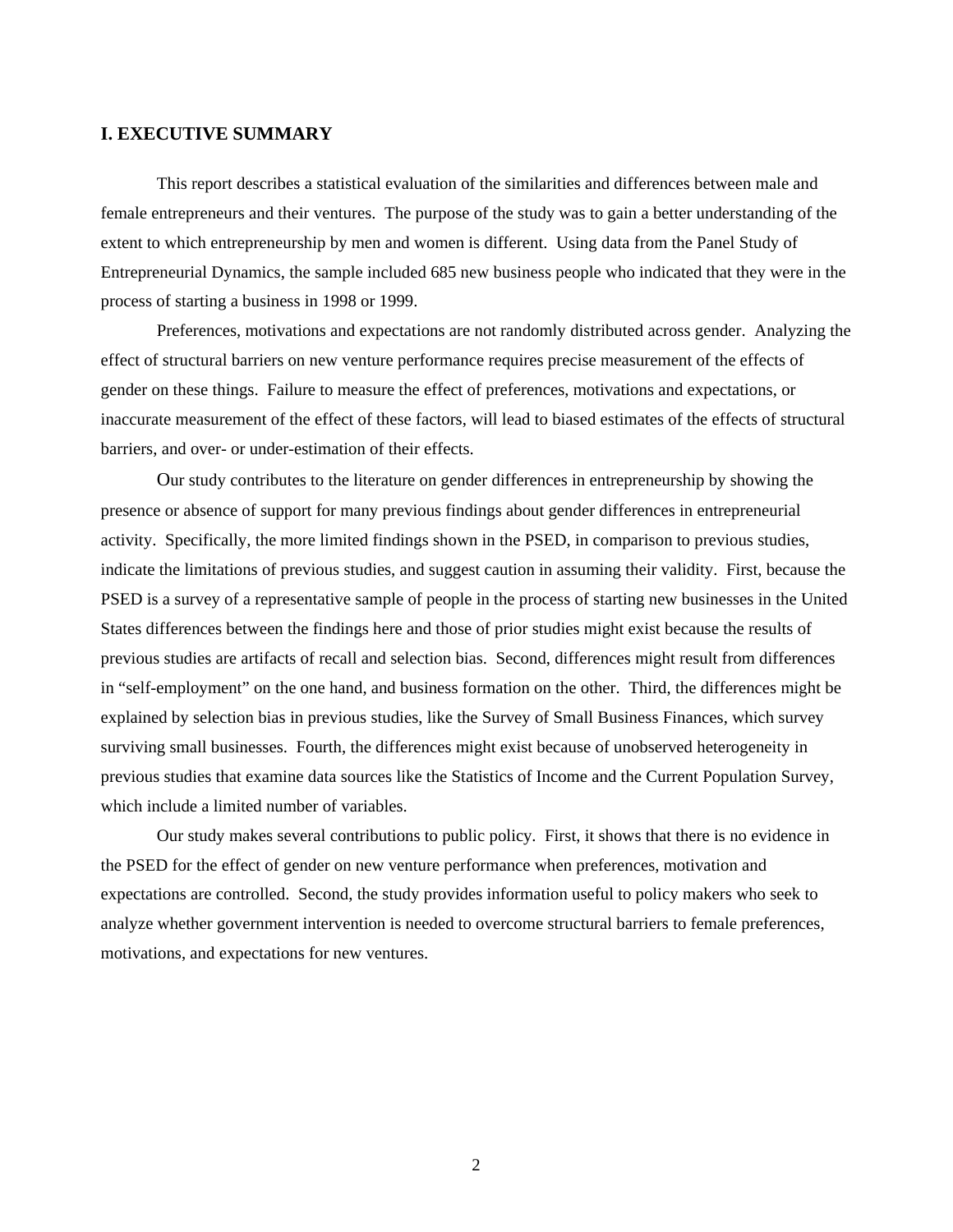#### **I. EXECUTIVE SUMMARY**

This report describes a statistical evaluation of the similarities and differences between male and female entrepreneurs and their ventures. The purpose of the study was to gain a better understanding of the extent to which entrepreneurship by men and women is different. Using data from the Panel Study of Entrepreneurial Dynamics, the sample included 685 new business people who indicated that they were in the process of starting a business in 1998 or 1999.

Preferences, motivations and expectations are not randomly distributed across gender. Analyzing the effect of structural barriers on new venture performance requires precise measurement of the effects of gender on these things. Failure to measure the effect of preferences, motivations and expectations, or inaccurate measurement of the effect of these factors, will lead to biased estimates of the effects of structural barriers, and over- or under-estimation of their effects.

Our study contributes to the literature on gender differences in entrepreneurship by showing the presence or absence of support for many previous findings about gender differences in entrepreneurial activity. Specifically, the more limited findings shown in the PSED, in comparison to previous studies, indicate the limitations of previous studies, and suggest caution in assuming their validity. First, because the PSED is a survey of a representative sample of people in the process of starting new businesses in the United States differences between the findings here and those of prior studies might exist because the results of previous studies are artifacts of recall and selection bias. Second, differences might result from differences in "self-employment" on the one hand, and business formation on the other. Third, the differences might be explained by selection bias in previous studies, like the Survey of Small Business Finances, which survey surviving small businesses. Fourth, the differences might exist because of unobserved heterogeneity in previous studies that examine data sources like the Statistics of Income and the Current Population Survey, which include a limited number of variables.

Our study makes several contributions to public policy. First, it shows that there is no evidence in the PSED for the effect of gender on new venture performance when preferences, motivation and expectations are controlled. Second, the study provides information useful to policy makers who seek to analyze whether government intervention is needed to overcome structural barriers to female preferences, motivations, and expectations for new ventures.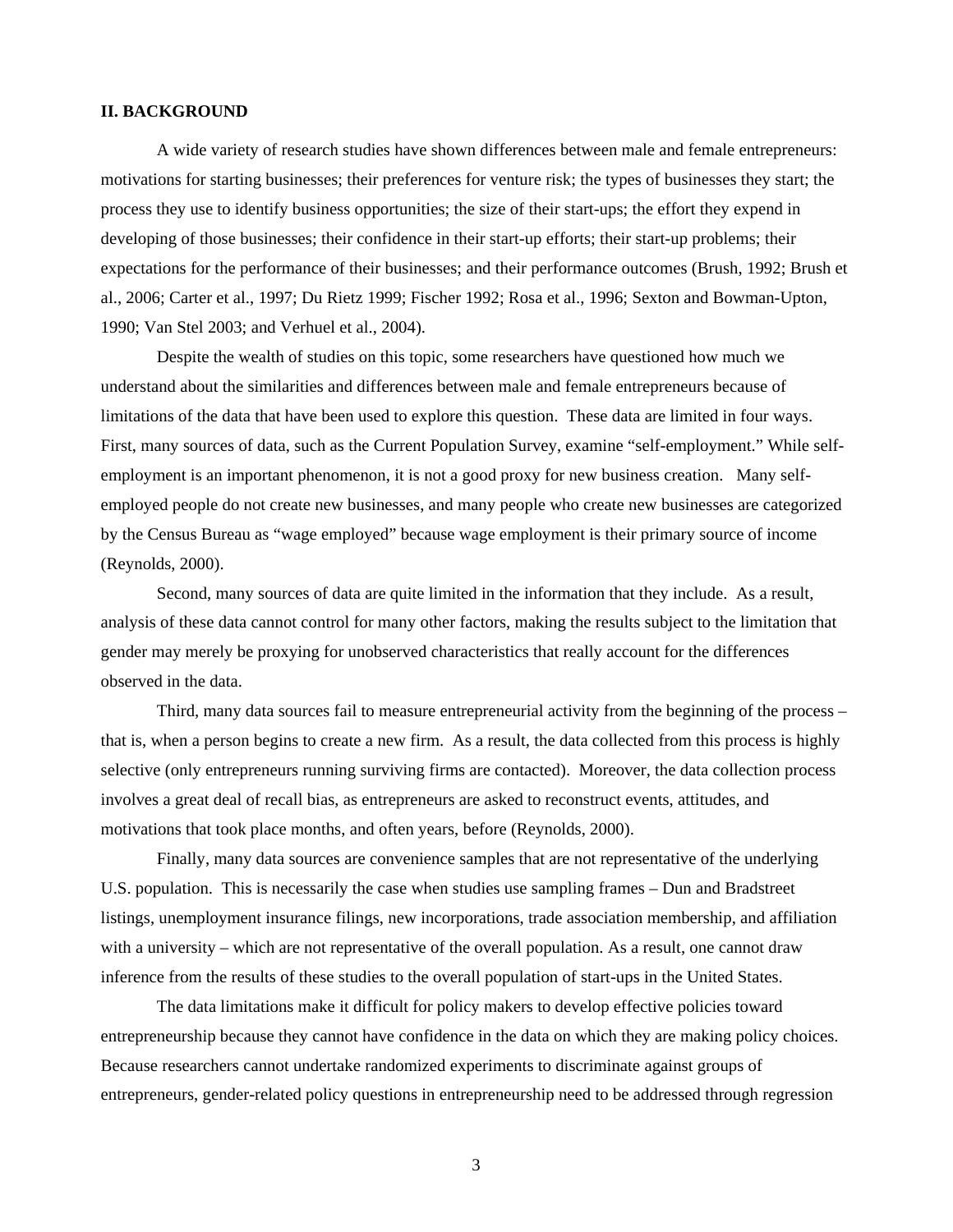#### **II. BACKGROUND**

A wide variety of research studies have shown differences between male and female entrepreneurs: motivations for starting businesses; their preferences for venture risk; the types of businesses they start; the process they use to identify business opportunities; the size of their start-ups; the effort they expend in developing of those businesses; their confidence in their start-up efforts; their start-up problems; their expectations for the performance of their businesses; and their performance outcomes (Brush, 1992; Brush et al., 2006; Carter et al., 1997; Du Rietz 1999; Fischer 1992; Rosa et al., 1996; Sexton and Bowman-Upton, 1990; Van Stel 2003; and Verhuel et al., 2004).

Despite the wealth of studies on this topic, some researchers have questioned how much we understand about the similarities and differences between male and female entrepreneurs because of limitations of the data that have been used to explore this question. These data are limited in four ways. First, many sources of data, such as the Current Population Survey, examine "self-employment." While selfemployment is an important phenomenon, it is not a good proxy for new business creation. Many selfemployed people do not create new businesses, and many people who create new businesses are categorized by the Census Bureau as "wage employed" because wage employment is their primary source of income (Reynolds, 2000).

Second, many sources of data are quite limited in the information that they include. As a result, analysis of these data cannot control for many other factors, making the results subject to the limitation that gender may merely be proxying for unobserved characteristics that really account for the differences observed in the data.

Third, many data sources fail to measure entrepreneurial activity from the beginning of the process – that is, when a person begins to create a new firm. As a result, the data collected from this process is highly selective (only entrepreneurs running surviving firms are contacted). Moreover, the data collection process involves a great deal of recall bias, as entrepreneurs are asked to reconstruct events, attitudes, and motivations that took place months, and often years, before (Reynolds, 2000).

Finally, many data sources are convenience samples that are not representative of the underlying U.S. population. This is necessarily the case when studies use sampling frames – Dun and Bradstreet listings, unemployment insurance filings, new incorporations, trade association membership, and affiliation with a university – which are not representative of the overall population. As a result, one cannot draw inference from the results of these studies to the overall population of start-ups in the United States.

The data limitations make it difficult for policy makers to develop effective policies toward entrepreneurship because they cannot have confidence in the data on which they are making policy choices. Because researchers cannot undertake randomized experiments to discriminate against groups of entrepreneurs, gender-related policy questions in entrepreneurship need to be addressed through regression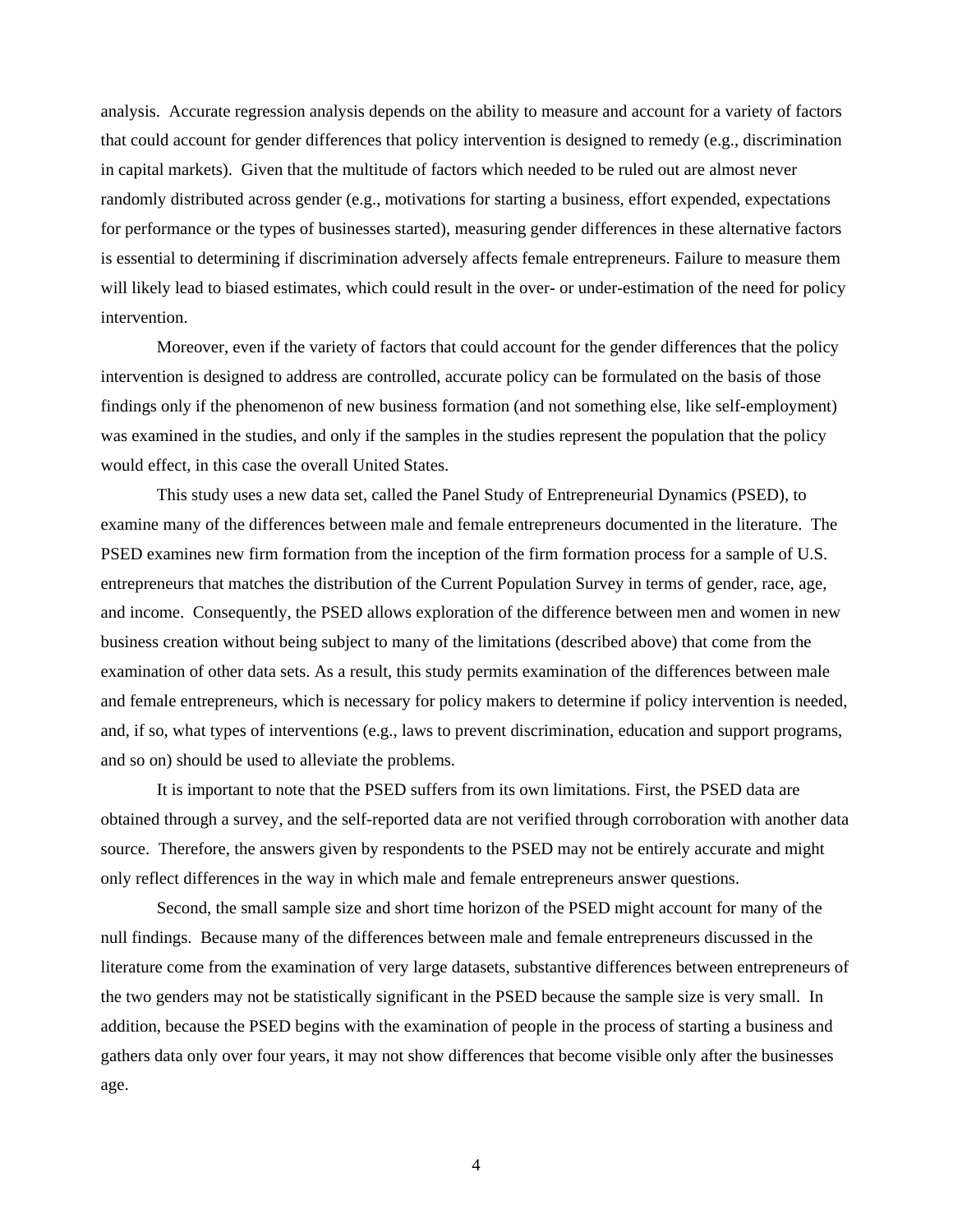analysis. Accurate regression analysis depends on the ability to measure and account for a variety of factors that could account for gender differences that policy intervention is designed to remedy (e.g., discrimination in capital markets). Given that the multitude of factors which needed to be ruled out are almost never randomly distributed across gender (e.g., motivations for starting a business, effort expended, expectations for performance or the types of businesses started), measuring gender differences in these alternative factors is essential to determining if discrimination adversely affects female entrepreneurs. Failure to measure them will likely lead to biased estimates, which could result in the over- or under-estimation of the need for policy intervention.

Moreover, even if the variety of factors that could account for the gender differences that the policy intervention is designed to address are controlled, accurate policy can be formulated on the basis of those findings only if the phenomenon of new business formation (and not something else, like self-employment) was examined in the studies, and only if the samples in the studies represent the population that the policy would effect, in this case the overall United States.

This study uses a new data set, called the Panel Study of Entrepreneurial Dynamics (PSED), to examine many of the differences between male and female entrepreneurs documented in the literature. The PSED examines new firm formation from the inception of the firm formation process for a sample of U.S. entrepreneurs that matches the distribution of the Current Population Survey in terms of gender, race, age, and income. Consequently, the PSED allows exploration of the difference between men and women in new business creation without being subject to many of the limitations (described above) that come from the examination of other data sets. As a result, this study permits examination of the differences between male and female entrepreneurs, which is necessary for policy makers to determine if policy intervention is needed, and, if so, what types of interventions (e.g., laws to prevent discrimination, education and support programs, and so on) should be used to alleviate the problems.

It is important to note that the PSED suffers from its own limitations. First, the PSED data are obtained through a survey, and the self-reported data are not verified through corroboration with another data source. Therefore, the answers given by respondents to the PSED may not be entirely accurate and might only reflect differences in the way in which male and female entrepreneurs answer questions.

 Second, the small sample size and short time horizon of the PSED might account for many of the null findings. Because many of the differences between male and female entrepreneurs discussed in the literature come from the examination of very large datasets, substantive differences between entrepreneurs of the two genders may not be statistically significant in the PSED because the sample size is very small. In addition, because the PSED begins with the examination of people in the process of starting a business and gathers data only over four years, it may not show differences that become visible only after the businesses age.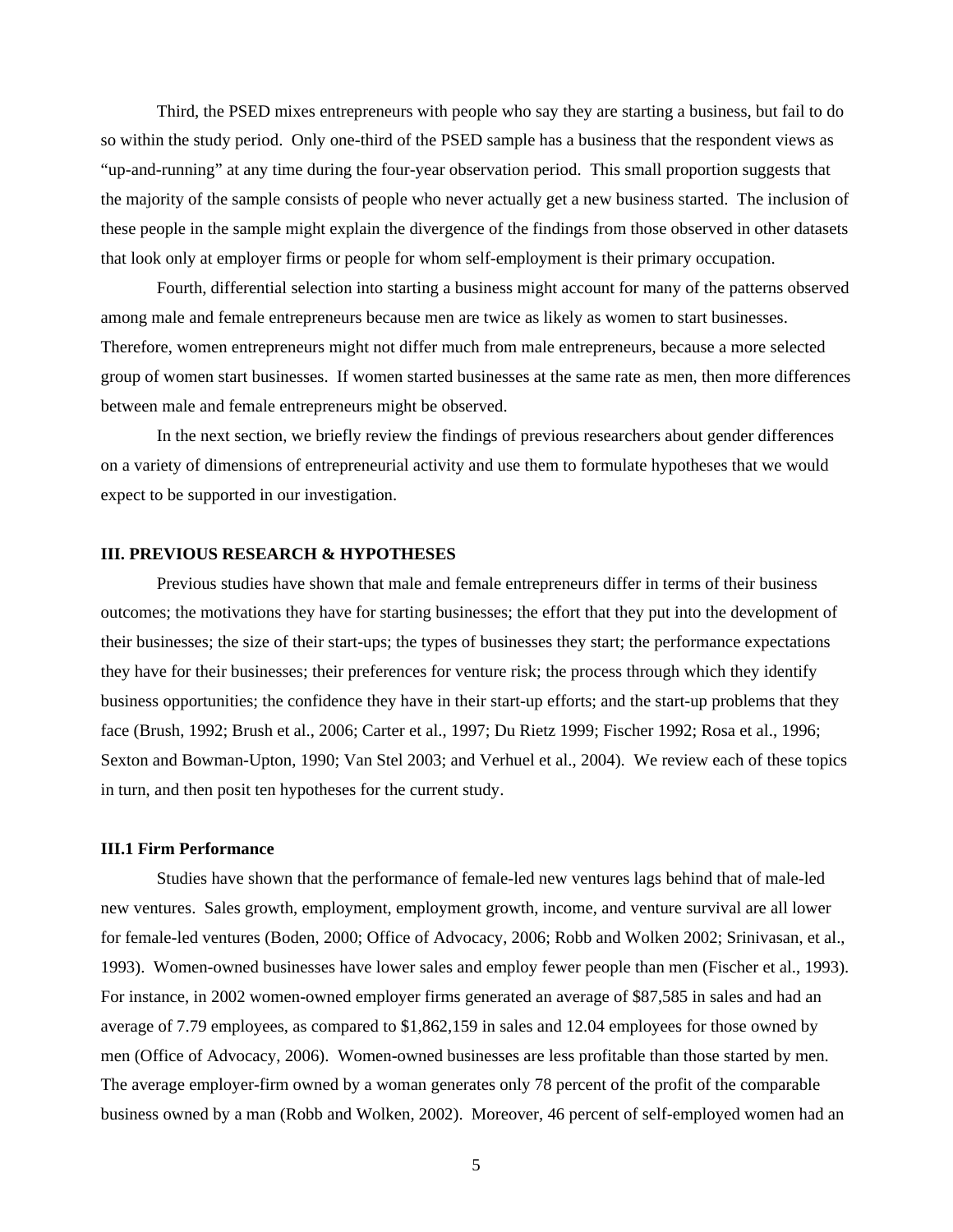Third, the PSED mixes entrepreneurs with people who say they are starting a business, but fail to do so within the study period. Only one-third of the PSED sample has a business that the respondent views as "up-and-running" at any time during the four-year observation period. This small proportion suggests that the majority of the sample consists of people who never actually get a new business started. The inclusion of these people in the sample might explain the divergence of the findings from those observed in other datasets that look only at employer firms or people for whom self-employment is their primary occupation.

Fourth, differential selection into starting a business might account for many of the patterns observed among male and female entrepreneurs because men are twice as likely as women to start businesses. Therefore, women entrepreneurs might not differ much from male entrepreneurs, because a more selected group of women start businesses. If women started businesses at the same rate as men, then more differences between male and female entrepreneurs might be observed.

In the next section, we briefly review the findings of previous researchers about gender differences on a variety of dimensions of entrepreneurial activity and use them to formulate hypotheses that we would expect to be supported in our investigation.

#### **III. PREVIOUS RESEARCH & HYPOTHESES**

Previous studies have shown that male and female entrepreneurs differ in terms of their business outcomes; the motivations they have for starting businesses; the effort that they put into the development of their businesses; the size of their start-ups; the types of businesses they start; the performance expectations they have for their businesses; their preferences for venture risk; the process through which they identify business opportunities; the confidence they have in their start-up efforts; and the start-up problems that they face (Brush, 1992; Brush et al., 2006; Carter et al., 1997; Du Rietz 1999; Fischer 1992; Rosa et al., 1996; Sexton and Bowman-Upton, 1990; Van Stel 2003; and Verhuel et al., 2004). We review each of these topics in turn, and then posit ten hypotheses for the current study.

#### **III.1 Firm Performance**

Studies have shown that the performance of female-led new ventures lags behind that of male-led new ventures. Sales growth, employment, employment growth, income, and venture survival are all lower for female-led ventures (Boden, 2000; Office of Advocacy, 2006; Robb and Wolken 2002; Srinivasan, et al., 1993). Women-owned businesses have lower sales and employ fewer people than men (Fischer et al., 1993). For instance, in 2002 women-owned employer firms generated an average of \$87,585 in sales and had an average of 7.79 employees, as compared to \$1,862,159 in sales and 12.04 employees for those owned by men (Office of Advocacy, 2006). Women-owned businesses are less profitable than those started by men. The average employer-firm owned by a woman generates only 78 percent of the profit of the comparable business owned by a man (Robb and Wolken, 2002). Moreover, 46 percent of self-employed women had an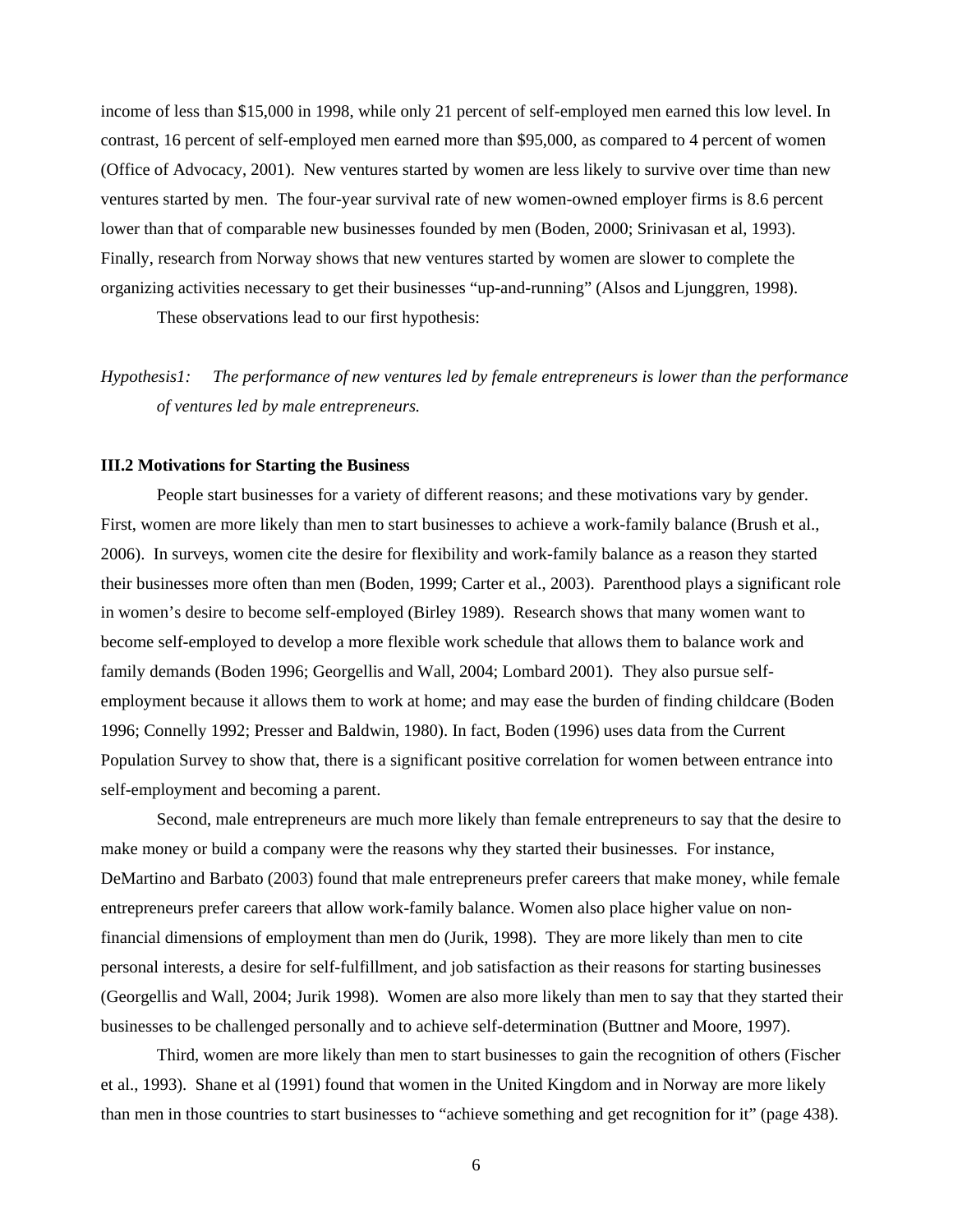income of less than \$15,000 in 1998, while only 21 percent of self-employed men earned this low level. In contrast, 16 percent of self-employed men earned more than \$95,000, as compared to 4 percent of women (Office of Advocacy, 2001). New ventures started by women are less likely to survive over time than new ventures started by men. The four-year survival rate of new women-owned employer firms is 8.6 percent lower than that of comparable new businesses founded by men (Boden, 2000; Srinivasan et al, 1993). Finally, research from Norway shows that new ventures started by women are slower to complete the organizing activities necessary to get their businesses "up-and-running" (Alsos and Ljunggren, 1998).

These observations lead to our first hypothesis:

*Hypothesis1: The performance of new ventures led by female entrepreneurs is lower than the performance of ventures led by male entrepreneurs.* 

#### **III.2 Motivations for Starting the Business**

People start businesses for a variety of different reasons; and these motivations vary by gender. First, women are more likely than men to start businesses to achieve a work-family balance (Brush et al., 2006). In surveys, women cite the desire for flexibility and work-family balance as a reason they started their businesses more often than men (Boden, 1999; Carter et al., 2003). Parenthood plays a significant role in women's desire to become self-employed (Birley 1989). Research shows that many women want to become self-employed to develop a more flexible work schedule that allows them to balance work and family demands (Boden 1996; Georgellis and Wall, 2004; Lombard 2001). They also pursue selfemployment because it allows them to work at home; and may ease the burden of finding childcare (Boden 1996; Connelly 1992; Presser and Baldwin, 1980). In fact, Boden (1996) uses data from the Current Population Survey to show that, there is a significant positive correlation for women between entrance into self-employment and becoming a parent.

Second, male entrepreneurs are much more likely than female entrepreneurs to say that the desire to make money or build a company were the reasons why they started their businesses. For instance, DeMartino and Barbato (2003) found that male entrepreneurs prefer careers that make money, while female entrepreneurs prefer careers that allow work-family balance. Women also place higher value on nonfinancial dimensions of employment than men do (Jurik, 1998). They are more likely than men to cite personal interests, a desire for self-fulfillment, and job satisfaction as their reasons for starting businesses (Georgellis and Wall, 2004; Jurik 1998). Women are also more likely than men to say that they started their businesses to be challenged personally and to achieve self-determination (Buttner and Moore, 1997).

Third, women are more likely than men to start businesses to gain the recognition of others (Fischer et al., 1993). Shane et al (1991) found that women in the United Kingdom and in Norway are more likely than men in those countries to start businesses to "achieve something and get recognition for it" (page 438).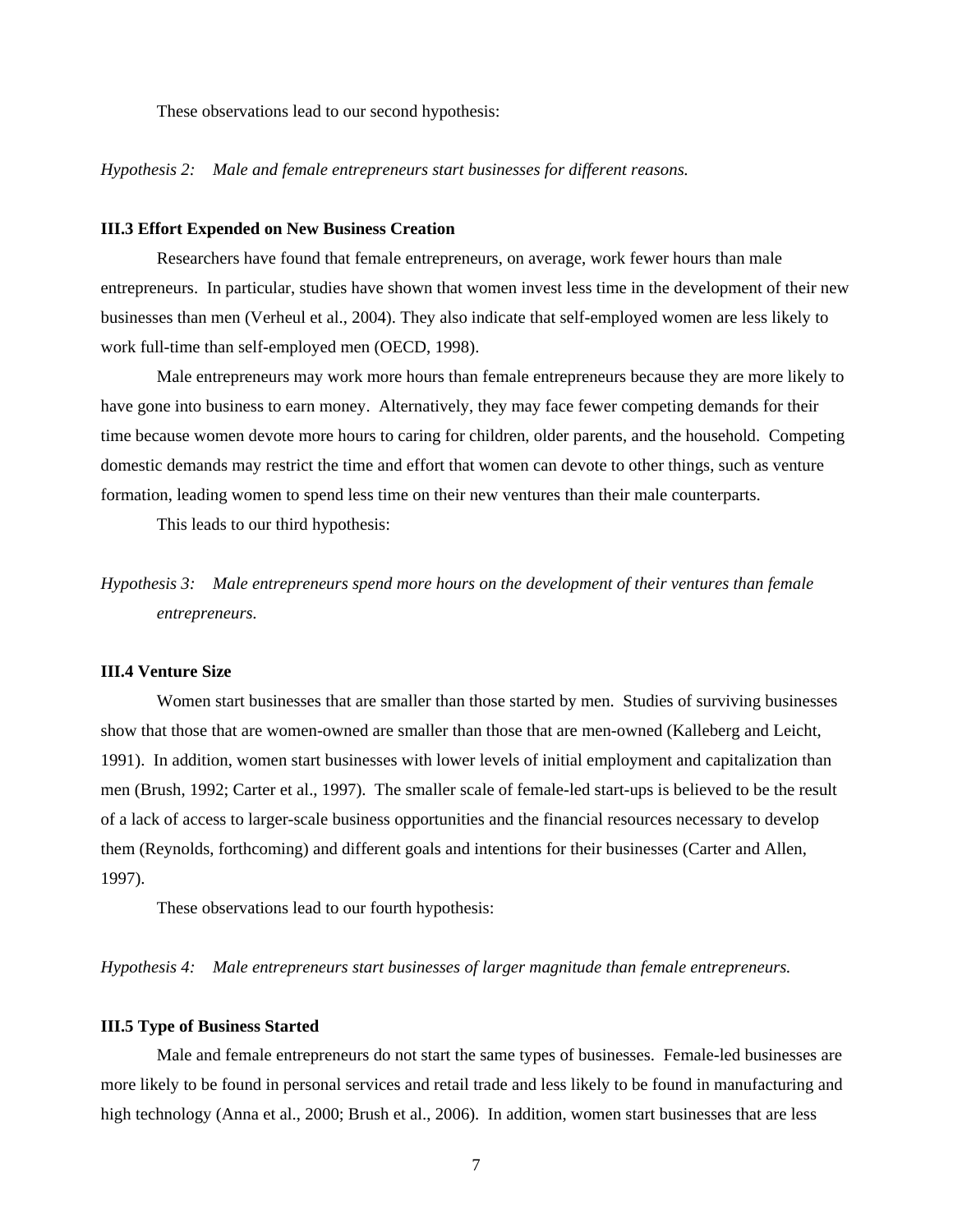These observations lead to our second hypothesis:

*Hypothesis 2: Male and female entrepreneurs start businesses for different reasons.* 

#### **III.3 Effort Expended on New Business Creation**

Researchers have found that female entrepreneurs, on average, work fewer hours than male entrepreneurs. In particular, studies have shown that women invest less time in the development of their new businesses than men (Verheul et al., 2004). They also indicate that self-employed women are less likely to work full-time than self-employed men (OECD, 1998).

Male entrepreneurs may work more hours than female entrepreneurs because they are more likely to have gone into business to earn money. Alternatively, they may face fewer competing demands for their time because women devote more hours to caring for children, older parents, and the household. Competing domestic demands may restrict the time and effort that women can devote to other things, such as venture formation, leading women to spend less time on their new ventures than their male counterparts.

This leads to our third hypothesis:

*Hypothesis 3: Male entrepreneurs spend more hours on the development of their ventures than female entrepreneurs.* 

#### **III.4 Venture Size**

Women start businesses that are smaller than those started by men. Studies of surviving businesses show that those that are women-owned are smaller than those that are men-owned (Kalleberg and Leicht, 1991). In addition, women start businesses with lower levels of initial employment and capitalization than men (Brush, 1992; Carter et al., 1997). The smaller scale of female-led start-ups is believed to be the result of a lack of access to larger-scale business opportunities and the financial resources necessary to develop them (Reynolds, forthcoming) and different goals and intentions for their businesses (Carter and Allen, 1997).

These observations lead to our fourth hypothesis:

*Hypothesis 4: Male entrepreneurs start businesses of larger magnitude than female entrepreneurs.* 

#### **III.5 Type of Business Started**

Male and female entrepreneurs do not start the same types of businesses. Female-led businesses are more likely to be found in personal services and retail trade and less likely to be found in manufacturing and high technology (Anna et al., 2000; Brush et al., 2006). In addition, women start businesses that are less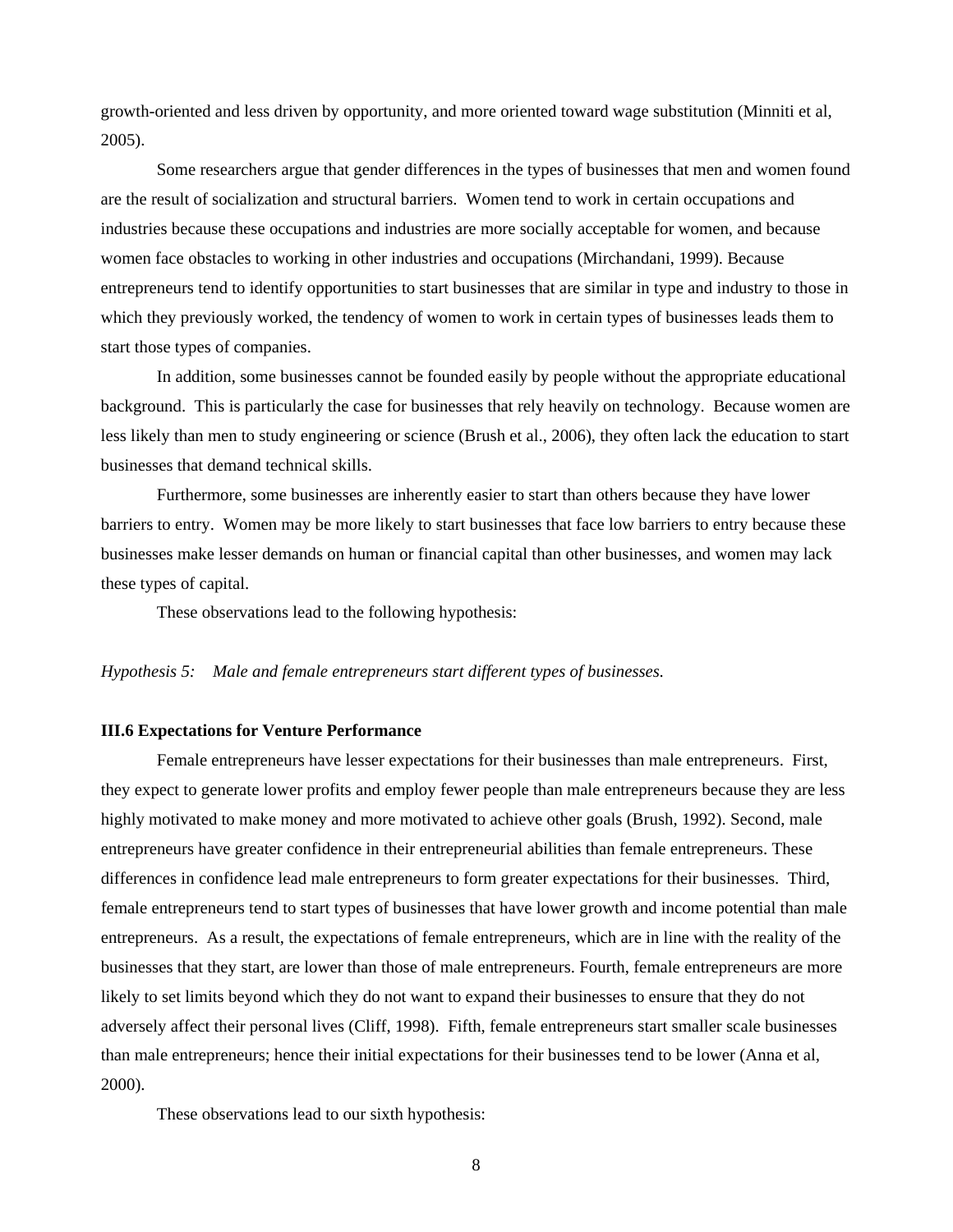growth-oriented and less driven by opportunity, and more oriented toward wage substitution (Minniti et al, 2005).

Some researchers argue that gender differences in the types of businesses that men and women found are the result of socialization and structural barriers. Women tend to work in certain occupations and industries because these occupations and industries are more socially acceptable for women, and because women face obstacles to working in other industries and occupations (Mirchandani, 1999). Because entrepreneurs tend to identify opportunities to start businesses that are similar in type and industry to those in which they previously worked, the tendency of women to work in certain types of businesses leads them to start those types of companies.

In addition, some businesses cannot be founded easily by people without the appropriate educational background. This is particularly the case for businesses that rely heavily on technology. Because women are less likely than men to study engineering or science (Brush et al., 2006), they often lack the education to start businesses that demand technical skills.

Furthermore, some businesses are inherently easier to start than others because they have lower barriers to entry. Women may be more likely to start businesses that face low barriers to entry because these businesses make lesser demands on human or financial capital than other businesses, and women may lack these types of capital.

These observations lead to the following hypothesis:

#### *Hypothesis 5: Male and female entrepreneurs start different types of businesses.*

#### **III.6 Expectations for Venture Performance**

Female entrepreneurs have lesser expectations for their businesses than male entrepreneurs. First, they expect to generate lower profits and employ fewer people than male entrepreneurs because they are less highly motivated to make money and more motivated to achieve other goals (Brush, 1992). Second, male entrepreneurs have greater confidence in their entrepreneurial abilities than female entrepreneurs. These differences in confidence lead male entrepreneurs to form greater expectations for their businesses. Third, female entrepreneurs tend to start types of businesses that have lower growth and income potential than male entrepreneurs. As a result, the expectations of female entrepreneurs, which are in line with the reality of the businesses that they start, are lower than those of male entrepreneurs. Fourth, female entrepreneurs are more likely to set limits beyond which they do not want to expand their businesses to ensure that they do not adversely affect their personal lives (Cliff, 1998). Fifth, female entrepreneurs start smaller scale businesses than male entrepreneurs; hence their initial expectations for their businesses tend to be lower (Anna et al, 2000).

These observations lead to our sixth hypothesis: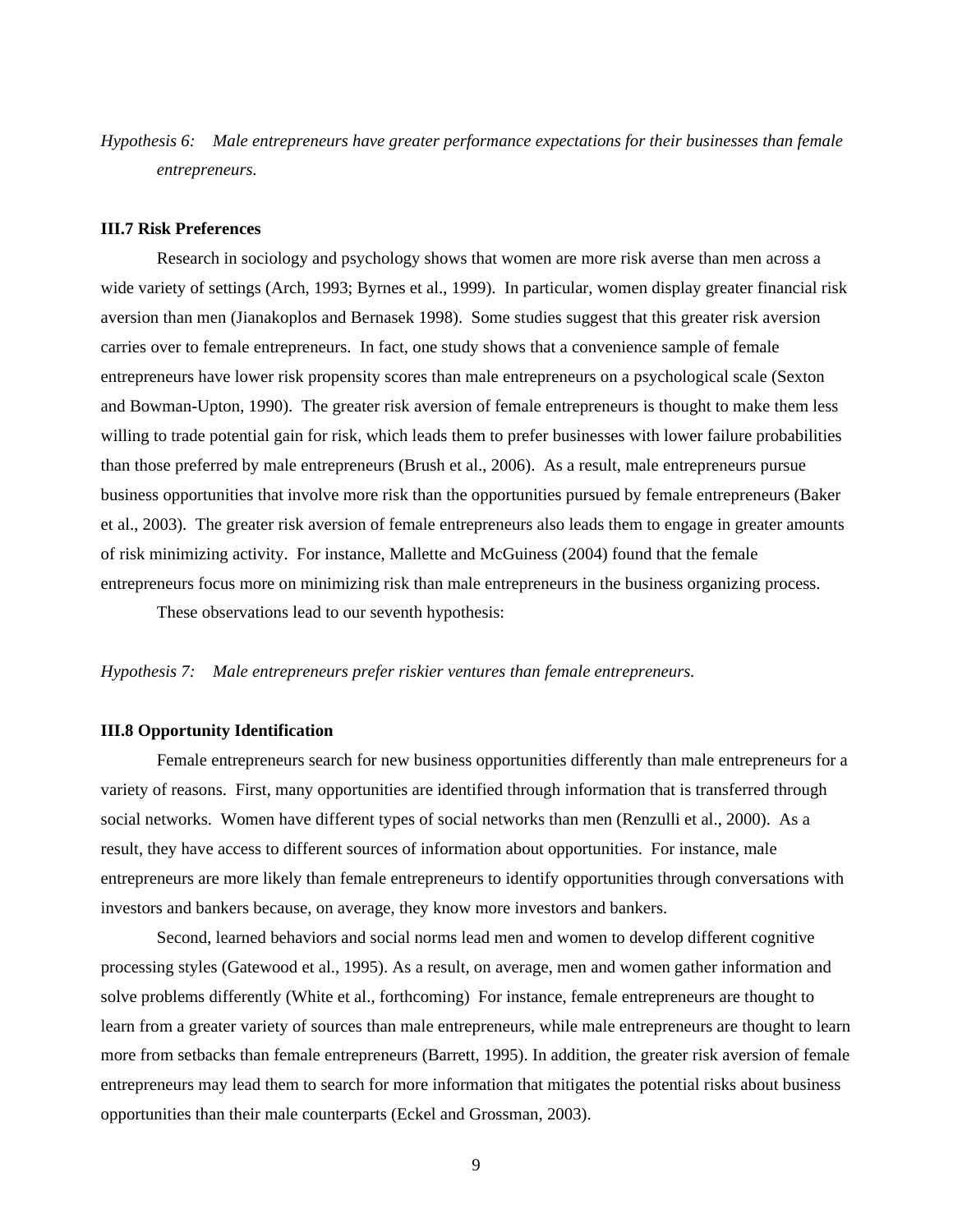*Hypothesis 6: Male entrepreneurs have greater performance expectations for their businesses than female entrepreneurs.* 

#### **III.7 Risk Preferences**

Research in sociology and psychology shows that women are more risk averse than men across a wide variety of settings (Arch, 1993; Byrnes et al., 1999). In particular, women display greater financial risk aversion than men (Jianakoplos and Bernasek 1998). Some studies suggest that this greater risk aversion carries over to female entrepreneurs. In fact, one study shows that a convenience sample of female entrepreneurs have lower risk propensity scores than male entrepreneurs on a psychological scale (Sexton and Bowman-Upton, 1990). The greater risk aversion of female entrepreneurs is thought to make them less willing to trade potential gain for risk, which leads them to prefer businesses with lower failure probabilities than those preferred by male entrepreneurs (Brush et al., 2006). As a result, male entrepreneurs pursue business opportunities that involve more risk than the opportunities pursued by female entrepreneurs (Baker et al., 2003). The greater risk aversion of female entrepreneurs also leads them to engage in greater amounts of risk minimizing activity. For instance, Mallette and McGuiness (2004) found that the female entrepreneurs focus more on minimizing risk than male entrepreneurs in the business organizing process.

These observations lead to our seventh hypothesis:

#### *Hypothesis 7: Male entrepreneurs prefer riskier ventures than female entrepreneurs.*

#### **III.8 Opportunity Identification**

Female entrepreneurs search for new business opportunities differently than male entrepreneurs for a variety of reasons. First, many opportunities are identified through information that is transferred through social networks. Women have different types of social networks than men (Renzulli et al., 2000). As a result, they have access to different sources of information about opportunities. For instance, male entrepreneurs are more likely than female entrepreneurs to identify opportunities through conversations with investors and bankers because, on average, they know more investors and bankers.

Second, learned behaviors and social norms lead men and women to develop different cognitive processing styles (Gatewood et al., 1995). As a result, on average, men and women gather information and solve problems differently (White et al., forthcoming) For instance, female entrepreneurs are thought to learn from a greater variety of sources than male entrepreneurs, while male entrepreneurs are thought to learn more from setbacks than female entrepreneurs (Barrett, 1995). In addition, the greater risk aversion of female entrepreneurs may lead them to search for more information that mitigates the potential risks about business opportunities than their male counterparts (Eckel and Grossman, 2003).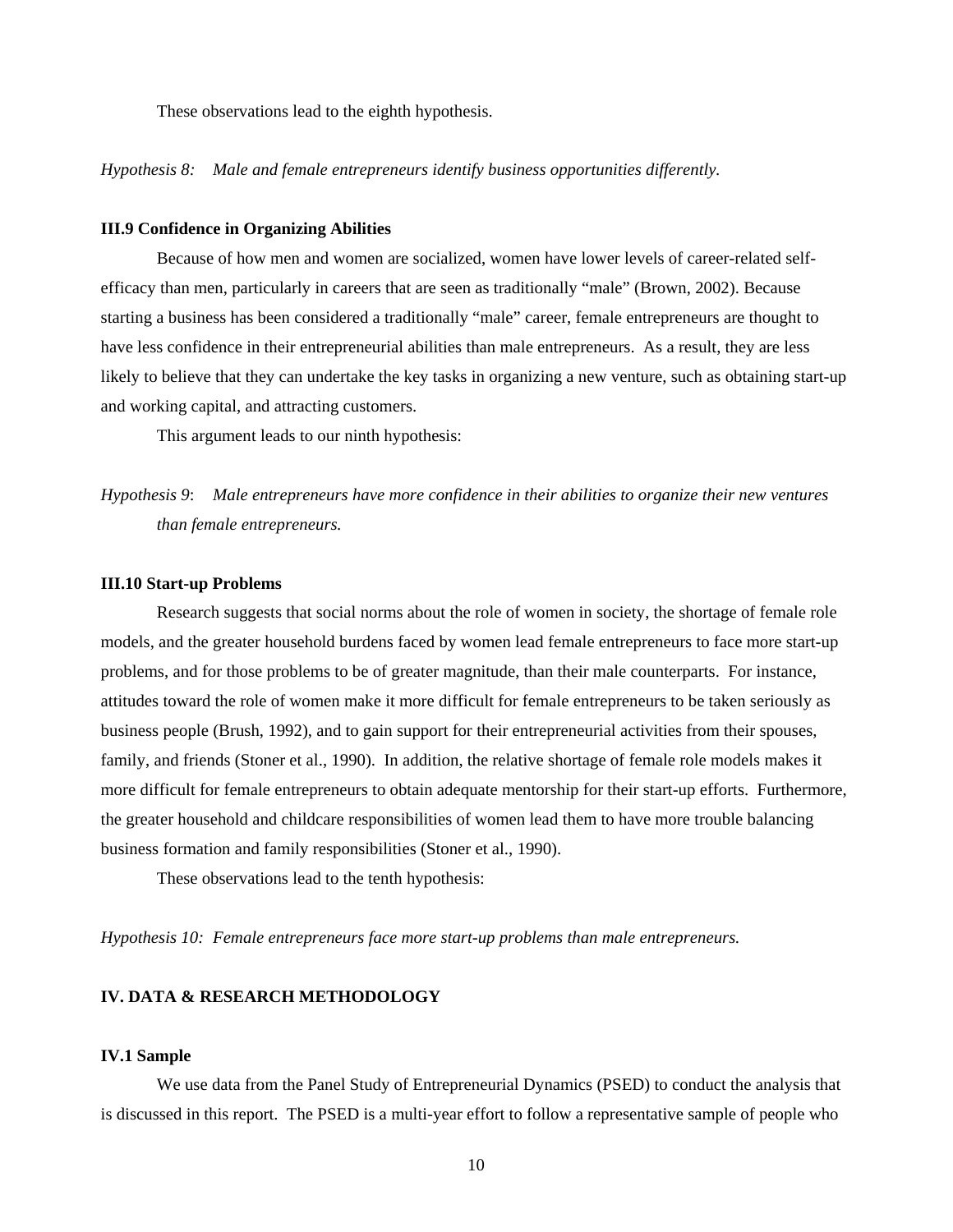These observations lead to the eighth hypothesis.

*Hypothesis 8: Male and female entrepreneurs identify business opportunities differently.* 

#### **III.9 Confidence in Organizing Abilities**

Because of how men and women are socialized, women have lower levels of career-related selfefficacy than men, particularly in careers that are seen as traditionally "male" (Brown, 2002). Because starting a business has been considered a traditionally "male" career, female entrepreneurs are thought to have less confidence in their entrepreneurial abilities than male entrepreneurs. As a result, they are less likely to believe that they can undertake the key tasks in organizing a new venture, such as obtaining start-up and working capital, and attracting customers.

This argument leads to our ninth hypothesis:

*Hypothesis 9*: *Male entrepreneurs have more confidence in their abilities to organize their new ventures than female entrepreneurs.*

#### **III.10 Start-up Problems**

Research suggests that social norms about the role of women in society, the shortage of female role models, and the greater household burdens faced by women lead female entrepreneurs to face more start-up problems, and for those problems to be of greater magnitude, than their male counterparts. For instance, attitudes toward the role of women make it more difficult for female entrepreneurs to be taken seriously as business people (Brush, 1992), and to gain support for their entrepreneurial activities from their spouses, family, and friends (Stoner et al., 1990). In addition, the relative shortage of female role models makes it more difficult for female entrepreneurs to obtain adequate mentorship for their start-up efforts. Furthermore, the greater household and childcare responsibilities of women lead them to have more trouble balancing business formation and family responsibilities (Stoner et al., 1990).

These observations lead to the tenth hypothesis:

*Hypothesis 10: Female entrepreneurs face more start-up problems than male entrepreneurs.* 

#### **IV. DATA & RESEARCH METHODOLOGY**

#### **IV.1 Sample**

We use data from the Panel Study of Entrepreneurial Dynamics (PSED) to conduct the analysis that is discussed in this report. The PSED is a multi-year effort to follow a representative sample of people who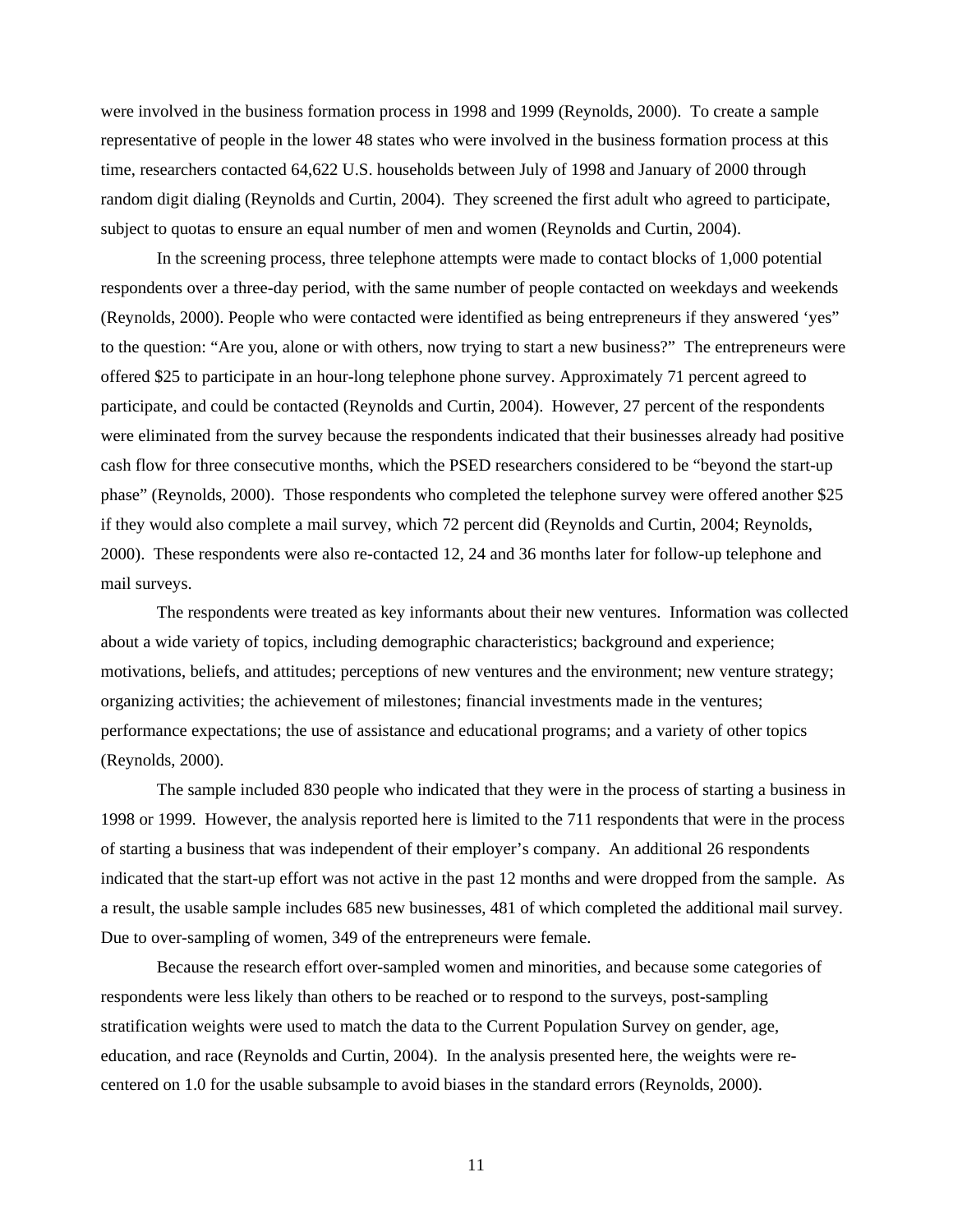were involved in the business formation process in 1998 and 1999 (Reynolds, 2000). To create a sample representative of people in the lower 48 states who were involved in the business formation process at this time, researchers contacted 64,622 U.S. households between July of 1998 and January of 2000 through random digit dialing (Reynolds and Curtin, 2004). They screened the first adult who agreed to participate, subject to quotas to ensure an equal number of men and women (Reynolds and Curtin, 2004).

In the screening process, three telephone attempts were made to contact blocks of 1,000 potential respondents over a three-day period, with the same number of people contacted on weekdays and weekends (Reynolds, 2000). People who were contacted were identified as being entrepreneurs if they answered 'yes" to the question: "Are you, alone or with others, now trying to start a new business?" The entrepreneurs were offered \$25 to participate in an hour-long telephone phone survey. Approximately 71 percent agreed to participate, and could be contacted (Reynolds and Curtin, 2004). However, 27 percent of the respondents were eliminated from the survey because the respondents indicated that their businesses already had positive cash flow for three consecutive months, which the PSED researchers considered to be "beyond the start-up phase" (Reynolds, 2000). Those respondents who completed the telephone survey were offered another \$25 if they would also complete a mail survey, which 72 percent did (Reynolds and Curtin, 2004; Reynolds, 2000). These respondents were also re-contacted 12, 24 and 36 months later for follow-up telephone and mail surveys.

The respondents were treated as key informants about their new ventures. Information was collected about a wide variety of topics, including demographic characteristics; background and experience; motivations, beliefs, and attitudes; perceptions of new ventures and the environment; new venture strategy; organizing activities; the achievement of milestones; financial investments made in the ventures; performance expectations; the use of assistance and educational programs; and a variety of other topics (Reynolds, 2000).

The sample included 830 people who indicated that they were in the process of starting a business in 1998 or 1999. However, the analysis reported here is limited to the 711 respondents that were in the process of starting a business that was independent of their employer's company. An additional 26 respondents indicated that the start-up effort was not active in the past 12 months and were dropped from the sample. As a result, the usable sample includes 685 new businesses, 481 of which completed the additional mail survey. Due to over-sampling of women, 349 of the entrepreneurs were female.

Because the research effort over-sampled women and minorities, and because some categories of respondents were less likely than others to be reached or to respond to the surveys, post-sampling stratification weights were used to match the data to the Current Population Survey on gender, age, education, and race (Reynolds and Curtin, 2004). In the analysis presented here, the weights were recentered on 1.0 for the usable subsample to avoid biases in the standard errors (Reynolds, 2000).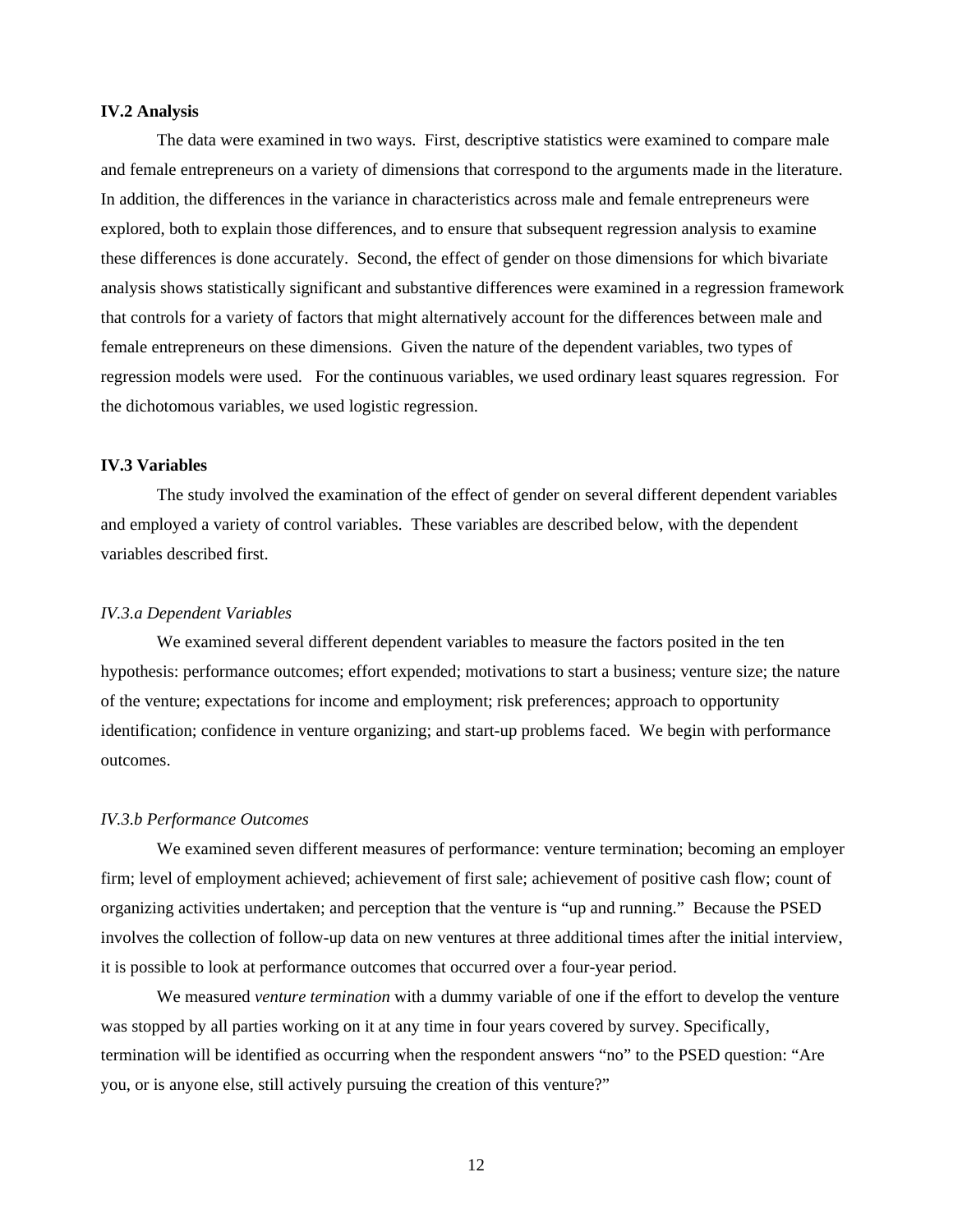#### **IV.2 Analysis**

The data were examined in two ways. First, descriptive statistics were examined to compare male and female entrepreneurs on a variety of dimensions that correspond to the arguments made in the literature. In addition, the differences in the variance in characteristics across male and female entrepreneurs were explored, both to explain those differences, and to ensure that subsequent regression analysis to examine these differences is done accurately. Second, the effect of gender on those dimensions for which bivariate analysis shows statistically significant and substantive differences were examined in a regression framework that controls for a variety of factors that might alternatively account for the differences between male and female entrepreneurs on these dimensions. Given the nature of the dependent variables, two types of regression models were used. For the continuous variables, we used ordinary least squares regression. For the dichotomous variables, we used logistic regression.

#### **IV.3 Variables**

The study involved the examination of the effect of gender on several different dependent variables and employed a variety of control variables. These variables are described below, with the dependent variables described first.

#### *IV.3.a Dependent Variables*

 We examined several different dependent variables to measure the factors posited in the ten hypothesis: performance outcomes; effort expended; motivations to start a business; venture size; the nature of the venture; expectations for income and employment; risk preferences; approach to opportunity identification; confidence in venture organizing; and start-up problems faced. We begin with performance outcomes.

#### *IV.3.b Performance Outcomes*

We examined seven different measures of performance: venture termination; becoming an employer firm; level of employment achieved; achievement of first sale; achievement of positive cash flow; count of organizing activities undertaken; and perception that the venture is "up and running." Because the PSED involves the collection of follow-up data on new ventures at three additional times after the initial interview, it is possible to look at performance outcomes that occurred over a four-year period.

We measured *venture termination* with a dummy variable of one if the effort to develop the venture was stopped by all parties working on it at any time in four years covered by survey. Specifically, termination will be identified as occurring when the respondent answers "no" to the PSED question: "Are you, or is anyone else, still actively pursuing the creation of this venture?"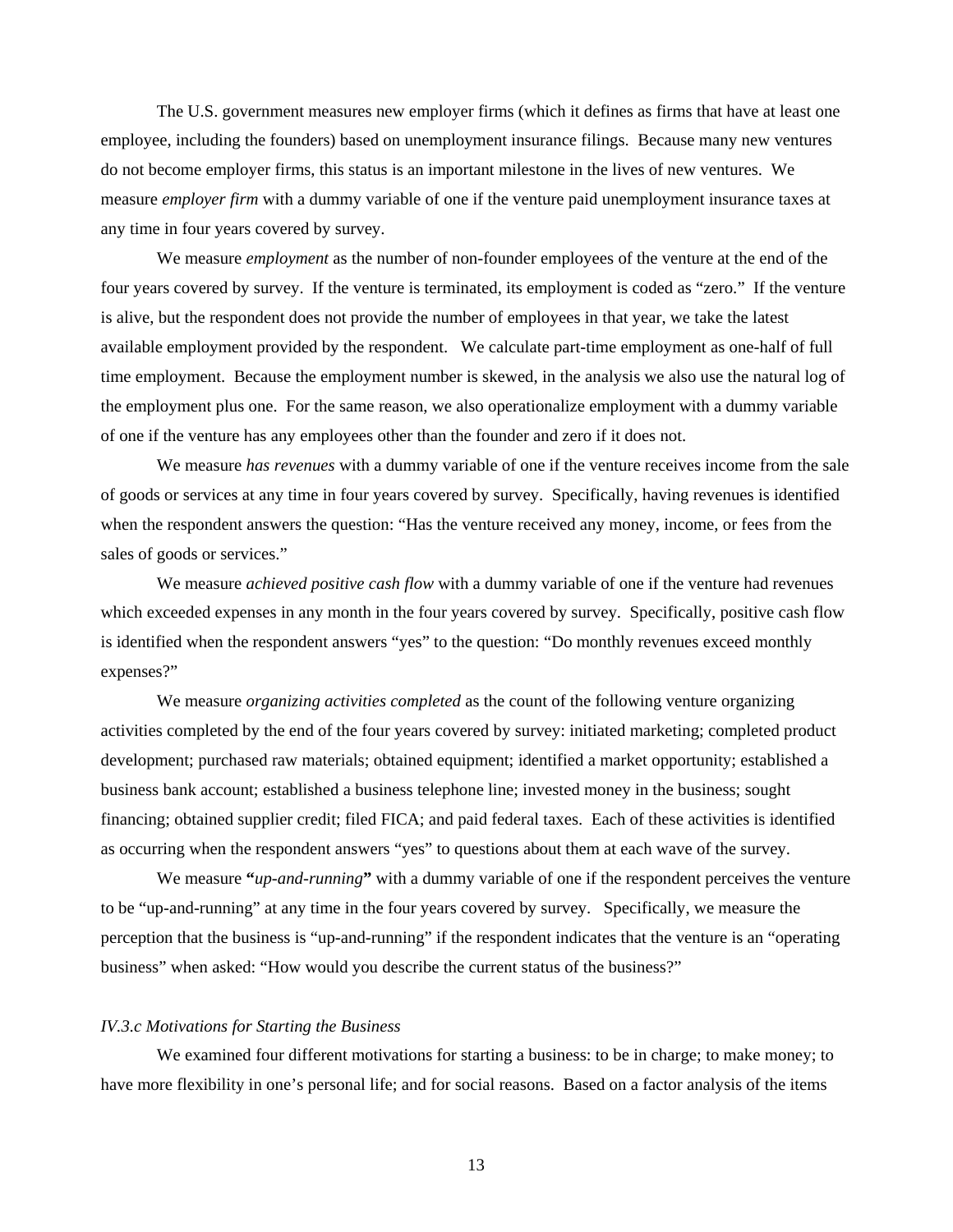The U.S. government measures new employer firms (which it defines as firms that have at least one employee, including the founders) based on unemployment insurance filings. Because many new ventures do not become employer firms, this status is an important milestone in the lives of new ventures. We measure *employer firm* with a dummy variable of one if the venture paid unemployment insurance taxes at any time in four years covered by survey.

We measure *employment* as the number of non-founder employees of the venture at the end of the four years covered by survey. If the venture is terminated, its employment is coded as "zero." If the venture is alive, but the respondent does not provide the number of employees in that year, we take the latest available employment provided by the respondent. We calculate part-time employment as one-half of full time employment. Because the employment number is skewed, in the analysis we also use the natural log of the employment plus one. For the same reason, we also operationalize employment with a dummy variable of one if the venture has any employees other than the founder and zero if it does not.

We measure *has revenues* with a dummy variable of one if the venture receives income from the sale of goods or services at any time in four years covered by survey. Specifically, having revenues is identified when the respondent answers the question: "Has the venture received any money, income, or fees from the sales of goods or services."

We measure *achieved positive cash flow* with a dummy variable of one if the venture had revenues which exceeded expenses in any month in the four years covered by survey. Specifically, positive cash flow is identified when the respondent answers "yes" to the question: "Do monthly revenues exceed monthly expenses?"

We measure *organizing activities completed* as the count of the following venture organizing activities completed by the end of the four years covered by survey: initiated marketing; completed product development; purchased raw materials; obtained equipment; identified a market opportunity; established a business bank account; established a business telephone line; invested money in the business; sought financing; obtained supplier credit; filed FICA; and paid federal taxes. Each of these activities is identified as occurring when the respondent answers "yes" to questions about them at each wave of the survey.

We measure **"***up-and-running***"** with a dummy variable of one if the respondent perceives the venture to be "up-and-running" at any time in the four years covered by survey. Specifically, we measure the perception that the business is "up-and-running" if the respondent indicates that the venture is an "operating business" when asked: "How would you describe the current status of the business?"

#### *IV.3.c Motivations for Starting the Business*

 We examined four different motivations for starting a business: to be in charge; to make money; to have more flexibility in one's personal life; and for social reasons. Based on a factor analysis of the items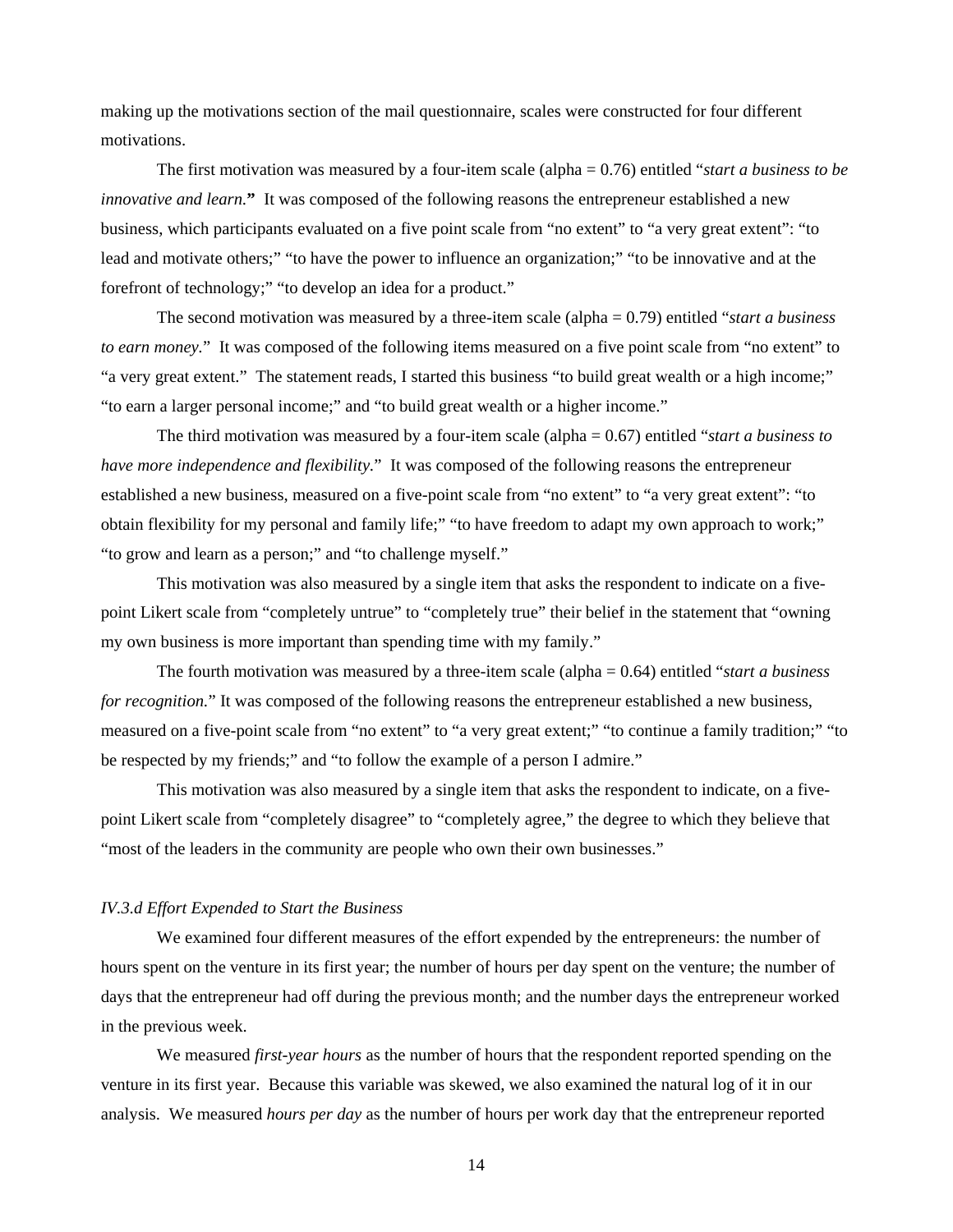making up the motivations section of the mail questionnaire, scales were constructed for four different motivations.

The first motivation was measured by a four-item scale (alpha = 0.76) entitled "*start a business to be innovative and learn.***"** It was composed of the following reasons the entrepreneur established a new business, which participants evaluated on a five point scale from "no extent" to "a very great extent": "to lead and motivate others;" "to have the power to influence an organization;" "to be innovative and at the forefront of technology;" "to develop an idea for a product."

The second motivation was measured by a three-item scale (alpha = 0.79) entitled "*start a business to earn money.*" It was composed of the following items measured on a five point scale from "no extent" to "a very great extent." The statement reads, I started this business "to build great wealth or a high income;" "to earn a larger personal income;" and "to build great wealth or a higher income."

The third motivation was measured by a four-item scale (alpha = 0.67) entitled "*start a business to have more independence and flexibility.*" It was composed of the following reasons the entrepreneur established a new business, measured on a five-point scale from "no extent" to "a very great extent": "to obtain flexibility for my personal and family life;" "to have freedom to adapt my own approach to work;" "to grow and learn as a person;" and "to challenge myself."

This motivation was also measured by a single item that asks the respondent to indicate on a fivepoint Likert scale from "completely untrue" to "completely true" their belief in the statement that "owning my own business is more important than spending time with my family."

The fourth motivation was measured by a three-item scale (alpha = 0.64) entitled "*start a business for recognition.*" It was composed of the following reasons the entrepreneur established a new business, measured on a five-point scale from "no extent" to "a very great extent;" "to continue a family tradition;" "to be respected by my friends;" and "to follow the example of a person I admire."

This motivation was also measured by a single item that asks the respondent to indicate, on a fivepoint Likert scale from "completely disagree" to "completely agree," the degree to which they believe that "most of the leaders in the community are people who own their own businesses."

#### *IV.3.d Effort Expended to Start the Business*

We examined four different measures of the effort expended by the entrepreneurs: the number of hours spent on the venture in its first year; the number of hours per day spent on the venture; the number of days that the entrepreneur had off during the previous month; and the number days the entrepreneur worked in the previous week.

We measured *first-year hours* as the number of hours that the respondent reported spending on the venture in its first year. Because this variable was skewed, we also examined the natural log of it in our analysis. We measured *hours per day* as the number of hours per work day that the entrepreneur reported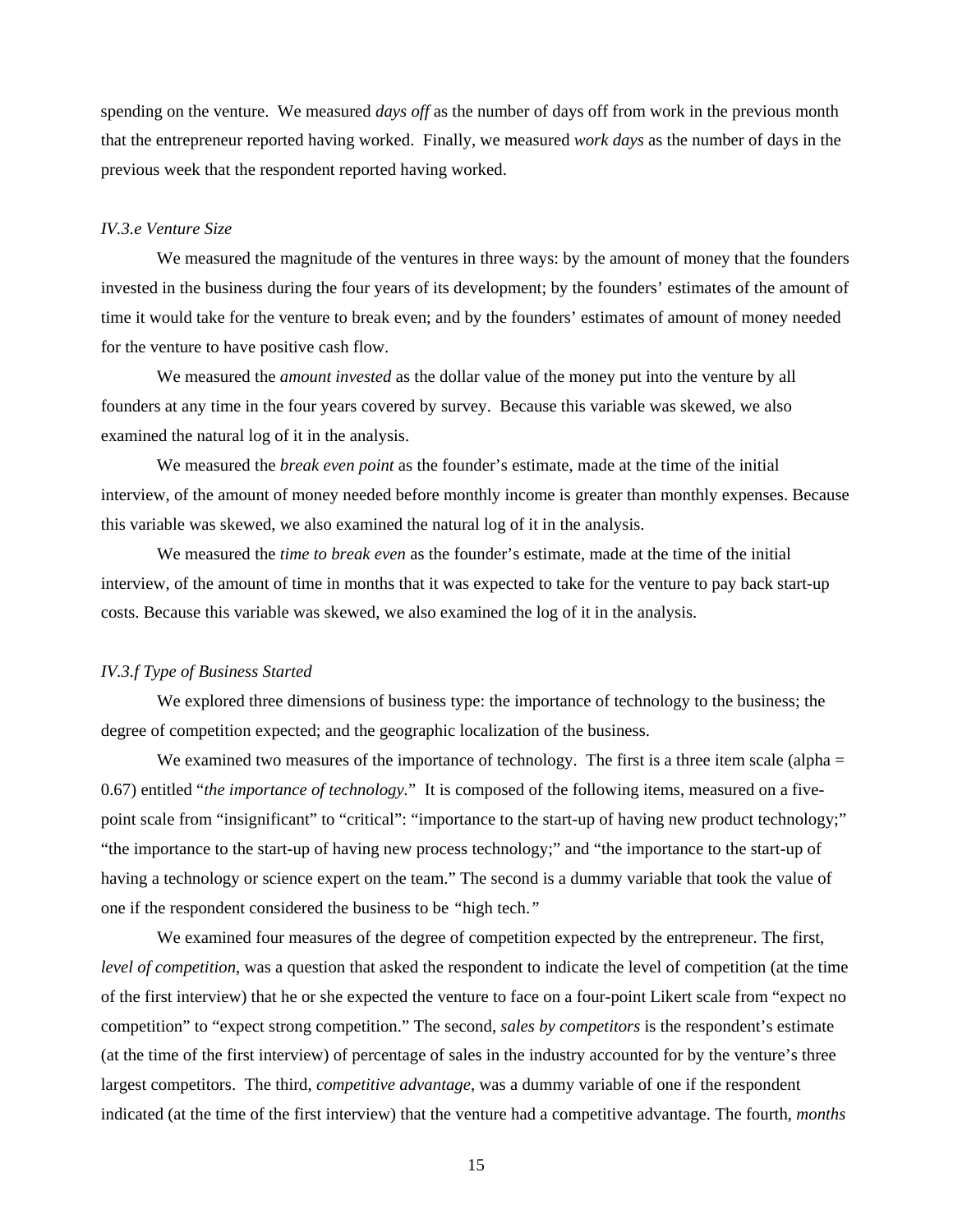spending on the venture. We measured *days off* as the number of days off from work in the previous month that the entrepreneur reported having worked. Finally, we measured *work days* as the number of days in the previous week that the respondent reported having worked.

#### *IV.3.e Venture Size*

We measured the magnitude of the ventures in three ways: by the amount of money that the founders invested in the business during the four years of its development; by the founders' estimates of the amount of time it would take for the venture to break even; and by the founders' estimates of amount of money needed for the venture to have positive cash flow.

We measured the *amount invested* as the dollar value of the money put into the venture by all founders at any time in the four years covered by survey. Because this variable was skewed, we also examined the natural log of it in the analysis.

We measured the *break even point* as the founder's estimate, made at the time of the initial interview, of the amount of money needed before monthly income is greater than monthly expenses. Because this variable was skewed, we also examined the natural log of it in the analysis.

We measured the *time to break even* as the founder's estimate, made at the time of the initial interview, of the amount of time in months that it was expected to take for the venture to pay back start-up costs. Because this variable was skewed, we also examined the log of it in the analysis.

#### *IV.3.f Type of Business Started*

We explored three dimensions of business type: the importance of technology to the business; the degree of competition expected; and the geographic localization of the business.

We examined two measures of the importance of technology. The first is a three item scale (alpha = 0.67) entitled "*the importance of technology.*" It is composed of the following items, measured on a fivepoint scale from "insignificant" to "critical": "importance to the start-up of having new product technology;" "the importance to the start-up of having new process technology;" and "the importance to the start-up of having a technology or science expert on the team." The second is a dummy variable that took the value of one if the respondent considered the business to be *"*high tech.*"* 

We examined four measures of the degree of competition expected by the entrepreneur. The first, *level of competition*, was a question that asked the respondent to indicate the level of competition (at the time of the first interview) that he or she expected the venture to face on a four-point Likert scale from "expect no competition" to "expect strong competition." The second, *sales by competitors* is the respondent's estimate (at the time of the first interview) of percentage of sales in the industry accounted for by the venture's three largest competitors. The third, *competitive advantage*, was a dummy variable of one if the respondent indicated (at the time of the first interview) that the venture had a competitive advantage. The fourth, *months*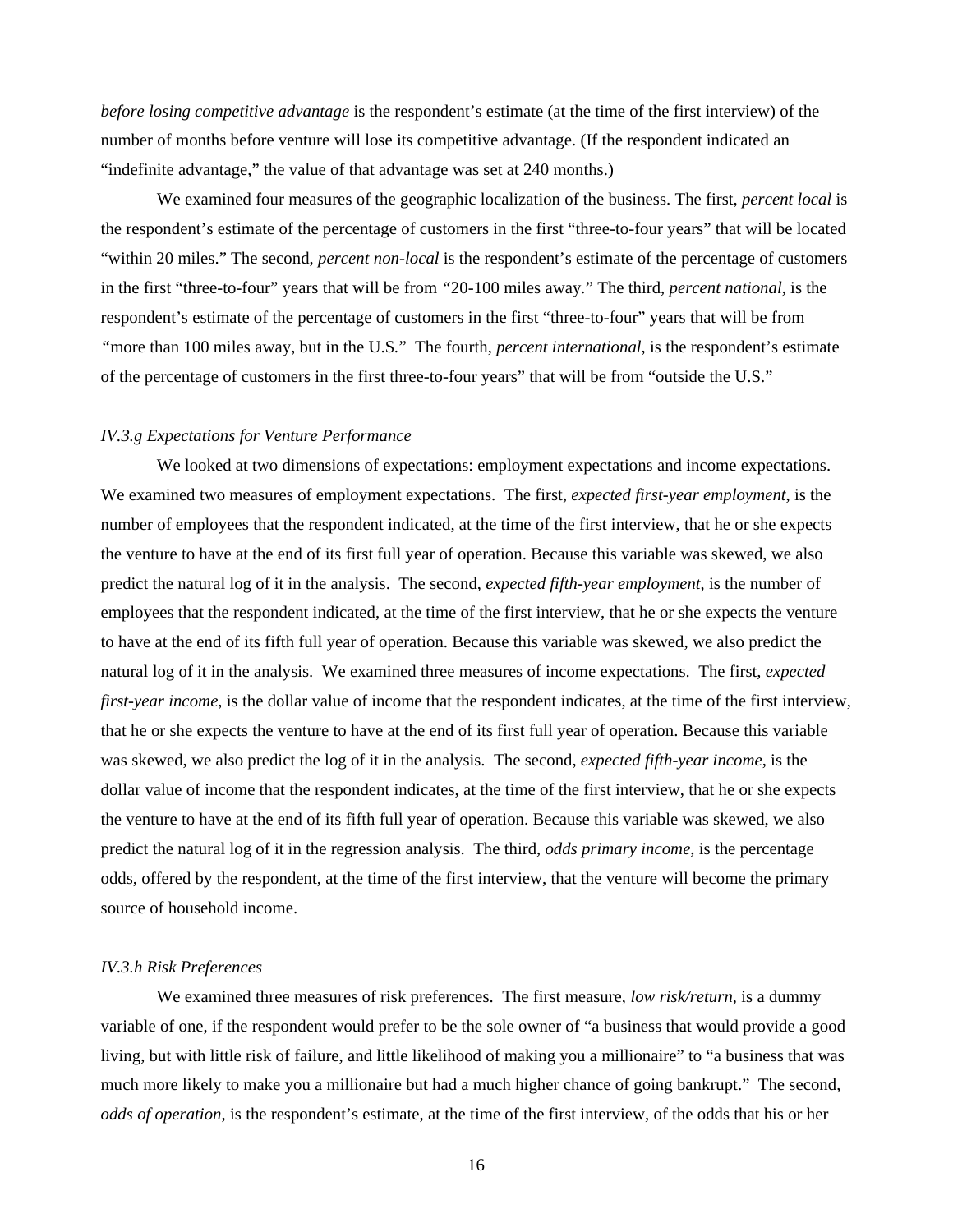*before losing competitive advantage* is the respondent's estimate (at the time of the first interview) of the number of months before venture will lose its competitive advantage. (If the respondent indicated an "indefinite advantage," the value of that advantage was set at 240 months.)

We examined four measures of the geographic localization of the business. The first, *percent local* is the respondent's estimate of the percentage of customers in the first "three-to-four years" that will be located "within 20 miles." The second, *percent non-local* is the respondent's estimate of the percentage of customers in the first "three-to-four" years that will be from *"*20-100 miles away*.*" The third, *percent national*, is the respondent's estimate of the percentage of customers in the first "three-to-four" years that will be from *"*more than 100 miles away, but in the U.S*.*" The fourth, *percent international*, is the respondent's estimate of the percentage of customers in the first three-to-four years" that will be from "outside the U.S."

#### *IV.3.g Expectations for Venture Performance*

We looked at two dimensions of expectations: employment expectations and income expectations. We examined two measures of employment expectations. The first, *expected first-year employment*, is the number of employees that the respondent indicated, at the time of the first interview, that he or she expects the venture to have at the end of its first full year of operation. Because this variable was skewed, we also predict the natural log of it in the analysis. The second, *expected fifth-year employment*, is the number of employees that the respondent indicated, at the time of the first interview, that he or she expects the venture to have at the end of its fifth full year of operation. Because this variable was skewed, we also predict the natural log of it in the analysis. We examined three measures of income expectations. The first, *expected first-year income*, is the dollar value of income that the respondent indicates, at the time of the first interview, that he or she expects the venture to have at the end of its first full year of operation. Because this variable was skewed, we also predict the log of it in the analysis. The second, *expected fifth-year income*, is the dollar value of income that the respondent indicates, at the time of the first interview, that he or she expects the venture to have at the end of its fifth full year of operation. Because this variable was skewed, we also predict the natural log of it in the regression analysis. The third, *odds primary income*, is the percentage odds, offered by the respondent, at the time of the first interview, that the venture will become the primary source of household income.

#### *IV.3.h Risk Preferences*

We examined three measures of risk preferences. The first measure, *low risk/return*, is a dummy variable of one, if the respondent would prefer to be the sole owner of "a business that would provide a good living, but with little risk of failure, and little likelihood of making you a millionaire" to "a business that was much more likely to make you a millionaire but had a much higher chance of going bankrupt." The second, *odds of operation*, is the respondent's estimate, at the time of the first interview, of the odds that his or her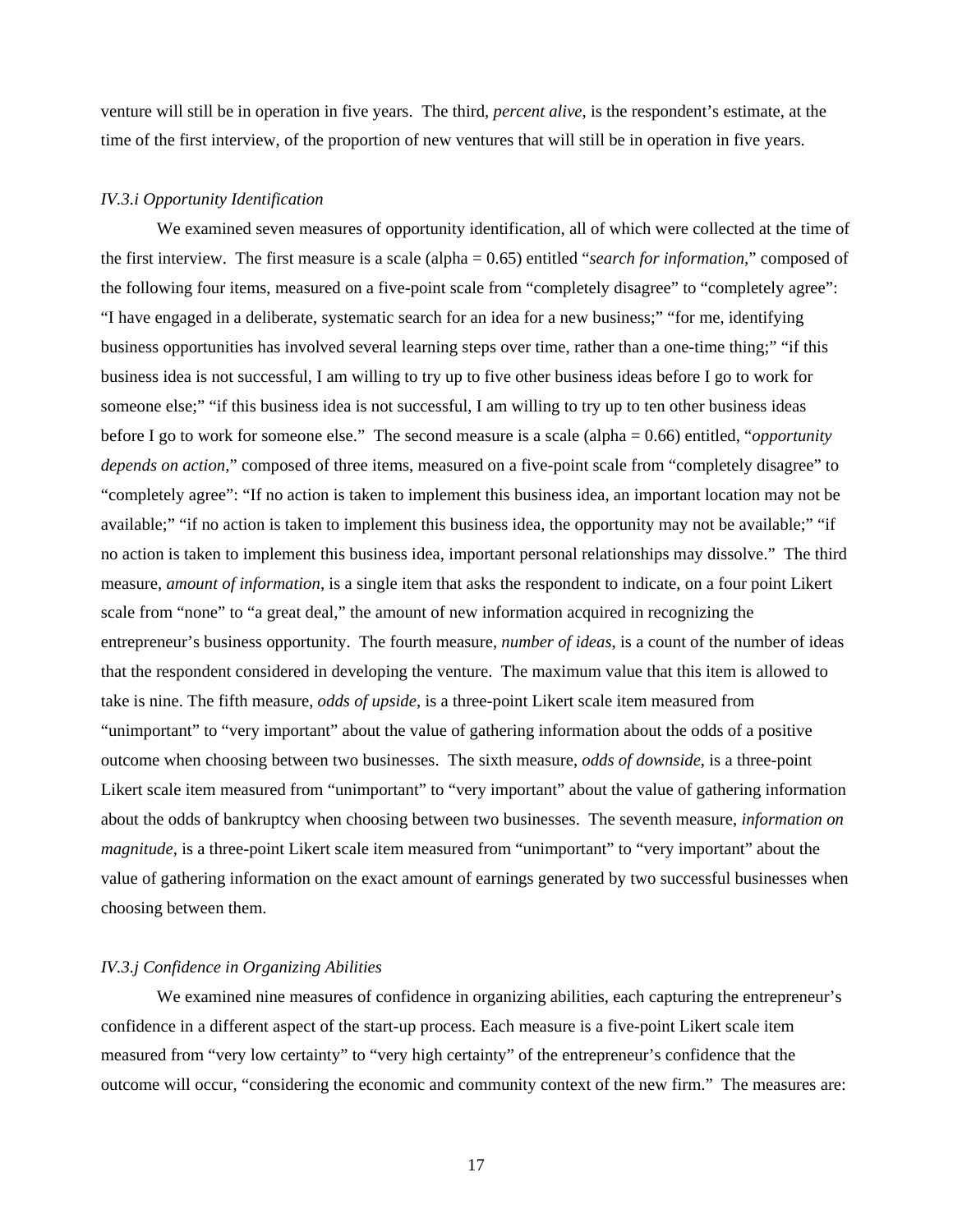venture will still be in operation in five years. The third, *percent alive*, is the respondent's estimate, at the time of the first interview, of the proportion of new ventures that will still be in operation in five years.

#### *IV.3.i Opportunity Identification*

We examined seven measures of opportunity identification, all of which were collected at the time of the first interview. The first measure is a scale (alpha = 0.65) entitled "*search for information,*" composed of the following four items, measured on a five-point scale from "completely disagree" to "completely agree": "I have engaged in a deliberate, systematic search for an idea for a new business;" "for me, identifying business opportunities has involved several learning steps over time, rather than a one-time thing;" "if this business idea is not successful, I am willing to try up to five other business ideas before I go to work for someone else;" "if this business idea is not successful, I am willing to try up to ten other business ideas before I go to work for someone else." The second measure is a scale (alpha = 0.66) entitled, "*opportunity depends on action,*" composed of three items, measured on a five-point scale from "completely disagree" to "completely agree": "If no action is taken to implement this business idea, an important location may not be available;" "if no action is taken to implement this business idea, the opportunity may not be available;" "if no action is taken to implement this business idea, important personal relationships may dissolve." The third measure, *amount of information*, is a single item that asks the respondent to indicate, on a four point Likert scale from "none" to "a great deal," the amount of new information acquired in recognizing the entrepreneur's business opportunity. The fourth measure, *number of ideas*, is a count of the number of ideas that the respondent considered in developing the venture. The maximum value that this item is allowed to take is nine. The fifth measure, *odds of upside*, is a three-point Likert scale item measured from "unimportant" to "very important" about the value of gathering information about the odds of a positive outcome when choosing between two businesses. The sixth measure, *odds of downside*, is a three-point Likert scale item measured from "unimportant" to "very important" about the value of gathering information about the odds of bankruptcy when choosing between two businesses. The seventh measure, *information on magnitude*, is a three-point Likert scale item measured from "unimportant" to "very important" about the value of gathering information on the exact amount of earnings generated by two successful businesses when choosing between them.

## *IV.3.j Confidence in Organizing Abilities*

We examined nine measures of confidence in organizing abilities, each capturing the entrepreneur's confidence in a different aspect of the start-up process. Each measure is a five-point Likert scale item measured from "very low certainty" to "very high certainty" of the entrepreneur's confidence that the outcome will occur, "considering the economic and community context of the new firm." The measures are: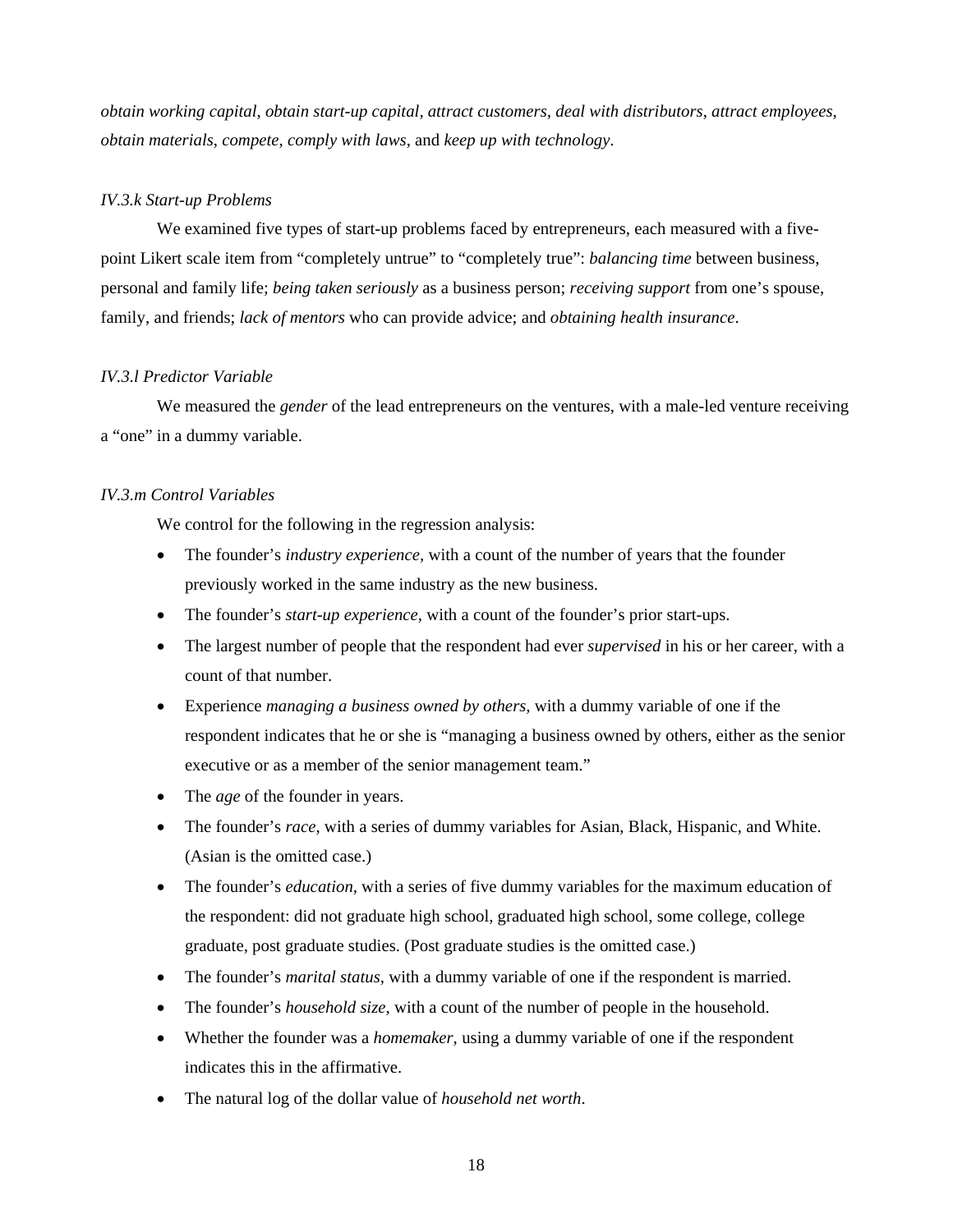*obtain working capital*, *obtain start-up capital, attract customers, deal with distributors*, *attract employees*, *obtain materials*, *compete*, *comply with laws*, and *keep up with technology*.

#### *IV.3.k Start-up Problems*

We examined five types of start-up problems faced by entrepreneurs, each measured with a fivepoint Likert scale item from "completely untrue" to "completely true": *balancing time* between business, personal and family life; *being taken seriously* as a business person; *receiving support* from one's spouse, family, and friends; *lack of mentors* who can provide advice; and *obtaining health insurance*.

#### *IV.3.l Predictor Variable*

We measured the *gender* of the lead entrepreneurs on the ventures, with a male-led venture receiving a "one" in a dummy variable.

#### *IV.3.m Control Variables*

We control for the following in the regression analysis:

- The founder's *industry experience*, with a count of the number of years that the founder previously worked in the same industry as the new business.
- The founder's *start-up experience,* with a count of the founder's prior start-ups.
- The largest number of people that the respondent had ever *supervised* in his or her career, with a count of that number.
- Experience *managing a business owned by others,* with a dummy variable of one if the respondent indicates that he or she is "managing a business owned by others, either as the senior executive or as a member of the senior management team."
- The *age* of the founder in years.
- The founder's *race*, with a series of dummy variables for Asian, Black, Hispanic, and White. (Asian is the omitted case.)
- The founder's *education*, with a series of five dummy variables for the maximum education of the respondent: did not graduate high school, graduated high school, some college, college graduate, post graduate studies. (Post graduate studies is the omitted case.)
- The founder's *marital status*, with a dummy variable of one if the respondent is married.
- The founder's *household size,* with a count of the number of people in the household.
- Whether the founder was a *homemaker,* using a dummy variable of one if the respondent indicates this in the affirmative.
- The natural log of the dollar value of *household net worth*.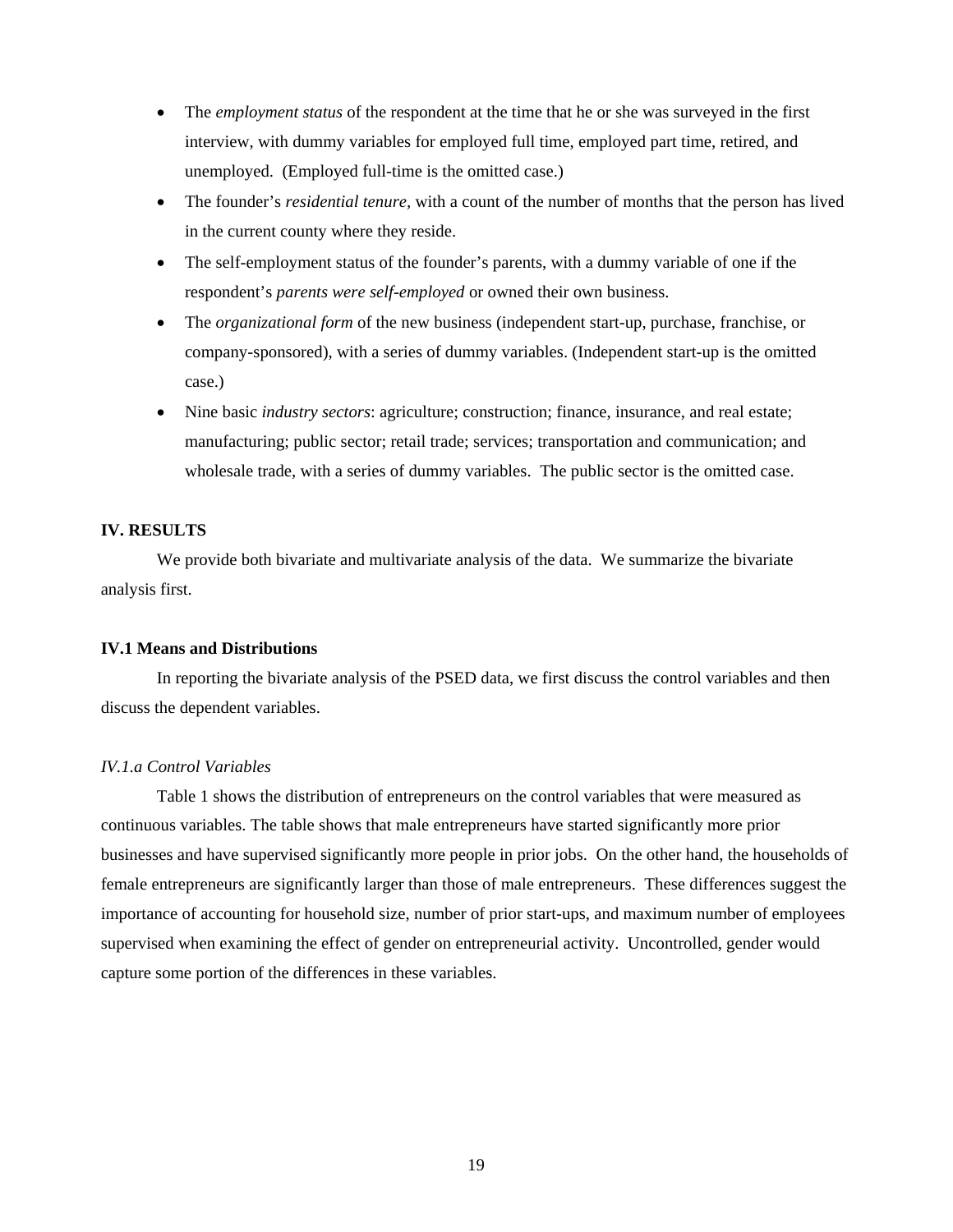- The *employment status* of the respondent at the time that he or she was surveyed in the first interview, with dummy variables for employed full time, employed part time, retired, and unemployed. (Employed full-time is the omitted case.)
- The founder's *residential tenure*, with a count of the number of months that the person has lived in the current county where they reside.
- The self-employment status of the founder's parents, with a dummy variable of one if the respondent's *parents were self-employed* or owned their own business.
- The *organizational form* of the new business (independent start-up, purchase, franchise, or company-sponsored), with a series of dummy variables. (Independent start-up is the omitted case.)
- Nine basic *industry sectors*: agriculture; construction; finance, insurance, and real estate; manufacturing; public sector; retail trade; services; transportation and communication; and wholesale trade, with a series of dummy variables. The public sector is the omitted case.

### **IV. RESULTS**

 We provide both bivariate and multivariate analysis of the data. We summarize the bivariate analysis first.

#### **IV.1 Means and Distributions**

In reporting the bivariate analysis of the PSED data, we first discuss the control variables and then discuss the dependent variables.

#### *IV.1.a Control Variables*

Table 1 shows the distribution of entrepreneurs on the control variables that were measured as continuous variables. The table shows that male entrepreneurs have started significantly more prior businesses and have supervised significantly more people in prior jobs. On the other hand, the households of female entrepreneurs are significantly larger than those of male entrepreneurs. These differences suggest the importance of accounting for household size, number of prior start-ups, and maximum number of employees supervised when examining the effect of gender on entrepreneurial activity. Uncontrolled, gender would capture some portion of the differences in these variables.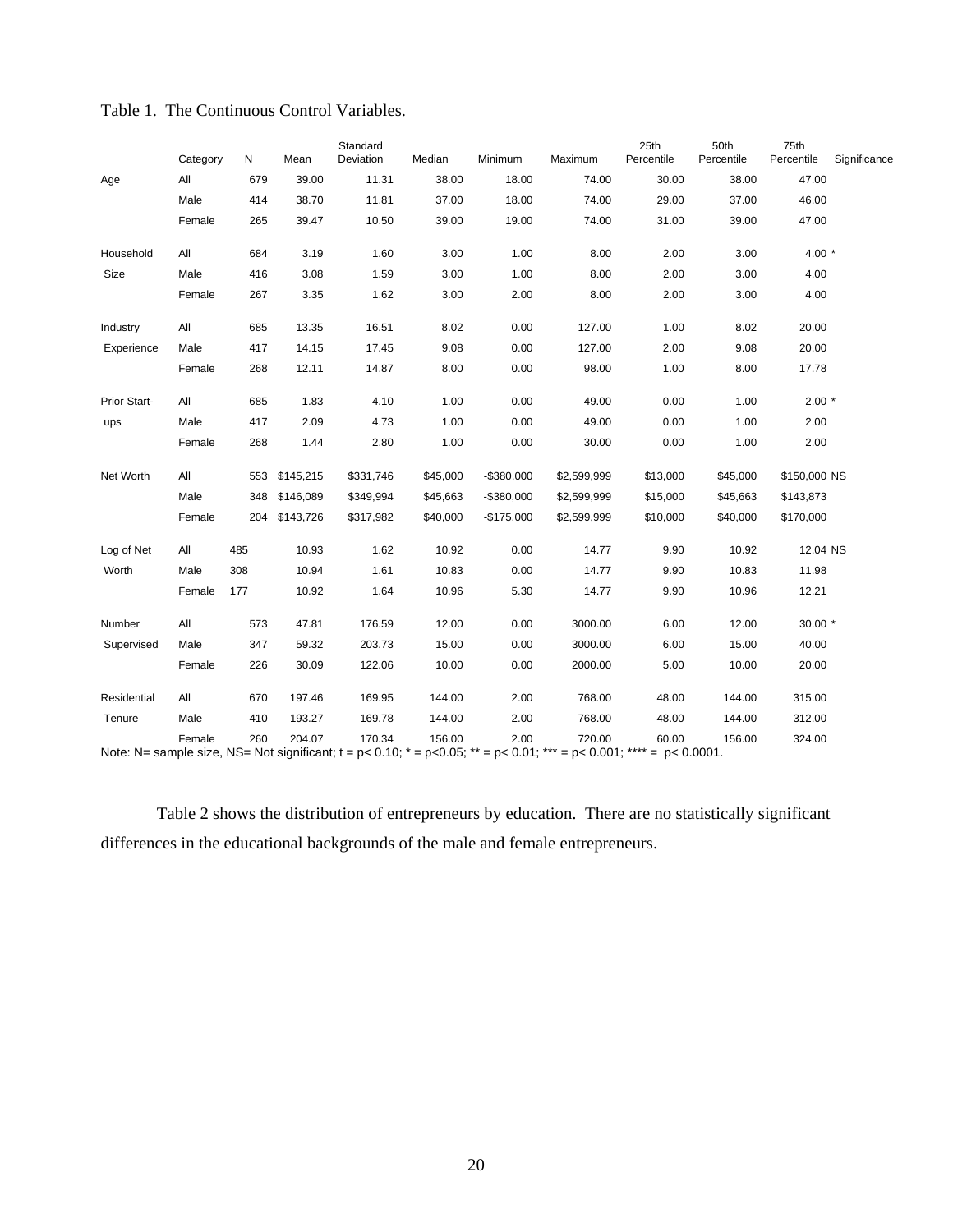|              | Category | N   | Mean      | Standard<br>Deviation | Median   | Minimum     | Maximum                                                                                                                                                     | 25th<br>Percentile | 50th<br>Percentile | 75th<br>Percentile | Significance |
|--------------|----------|-----|-----------|-----------------------|----------|-------------|-------------------------------------------------------------------------------------------------------------------------------------------------------------|--------------------|--------------------|--------------------|--------------|
| Age          | All      | 679 | 39.00     | 11.31                 | 38.00    | 18.00       | 74.00                                                                                                                                                       | 30.00              | 38.00              | 47.00              |              |
|              | Male     | 414 | 38.70     | 11.81                 | 37.00    | 18.00       | 74.00                                                                                                                                                       | 29.00              | 37.00              | 46.00              |              |
|              | Female   | 265 | 39.47     | 10.50                 | 39.00    | 19.00       | 74.00                                                                                                                                                       | 31.00              | 39.00              | 47.00              |              |
| Household    | All      | 684 | 3.19      | 1.60                  | 3.00     | 1.00        | 8.00                                                                                                                                                        | 2.00               | 3.00               | $4.00*$            |              |
| Size         | Male     | 416 | 3.08      | 1.59                  | 3.00     | 1.00        | 8.00                                                                                                                                                        | 2.00               | 3.00               | 4.00               |              |
|              | Female   | 267 | 3.35      | 1.62                  | 3.00     | 2.00        | 8.00                                                                                                                                                        | 2.00               | 3.00               | 4.00               |              |
| Industry     | All      | 685 | 13.35     | 16.51                 | 8.02     | 0.00        | 127.00                                                                                                                                                      | 1.00               | 8.02               | 20.00              |              |
| Experience   | Male     | 417 | 14.15     | 17.45                 | 9.08     | 0.00        | 127.00                                                                                                                                                      | 2.00               | 9.08               | 20.00              |              |
|              | Female   | 268 | 12.11     | 14.87                 | 8.00     | 0.00        | 98.00                                                                                                                                                       | 1.00               | 8.00               | 17.78              |              |
| Prior Start- | All      | 685 | 1.83      | 4.10                  | 1.00     | 0.00        | 49.00                                                                                                                                                       | 0.00               | 1.00               | $2.00*$            |              |
| ups          | Male     | 417 | 2.09      | 4.73                  | 1.00     | 0.00        | 49.00                                                                                                                                                       | 0.00               | 1.00               | 2.00               |              |
|              | Female   | 268 | 1.44      | 2.80                  | 1.00     | 0.00        | 30.00                                                                                                                                                       | 0.00               | 1.00               | 2.00               |              |
| Net Worth    | All      | 553 | \$145,215 | \$331,746             | \$45,000 | $-$380,000$ | \$2,599,999                                                                                                                                                 | \$13,000           | \$45,000           | \$150,000 NS       |              |
|              | Male     | 348 | \$146,089 | \$349,994             | \$45,663 | -\$380,000  | \$2,599,999                                                                                                                                                 | \$15,000           | \$45,663           | \$143,873          |              |
|              | Female   | 204 | \$143,726 | \$317,982             | \$40,000 | -\$175,000  | \$2,599,999                                                                                                                                                 | \$10,000           | \$40,000           | \$170,000          |              |
| Log of Net   | All      | 485 | 10.93     | 1.62                  | 10.92    | 0.00        | 14.77                                                                                                                                                       | 9.90               | 10.92              | 12.04 NS           |              |
| Worth        | Male     | 308 | 10.94     | 1.61                  | 10.83    | 0.00        | 14.77                                                                                                                                                       | 9.90               | 10.83              | 11.98              |              |
|              | Female   | 177 | 10.92     | 1.64                  | 10.96    | 5.30        | 14.77                                                                                                                                                       | 9.90               | 10.96              | 12.21              |              |
| Number       | All      | 573 | 47.81     | 176.59                | 12.00    | 0.00        | 3000.00                                                                                                                                                     | 6.00               | 12.00              | 30.00 *            |              |
| Supervised   | Male     | 347 | 59.32     | 203.73                | 15.00    | 0.00        | 3000.00                                                                                                                                                     | 6.00               | 15.00              | 40.00              |              |
|              | Female   | 226 | 30.09     | 122.06                | 10.00    | 0.00        | 2000.00                                                                                                                                                     | 5.00               | 10.00              | 20.00              |              |
| Residential  | All      | 670 | 197.46    | 169.95                | 144.00   | 2.00        | 768.00                                                                                                                                                      | 48.00              | 144.00             | 315.00             |              |
| Tenure       | Male     | 410 | 193.27    | 169.78                | 144.00   | 2.00        | 768.00                                                                                                                                                      | 48.00              | 144.00             | 312.00             |              |
|              | Female   | 260 | 204.07    | 170.34                | 156.00   | 2.00        | 720.00<br>Note: N= sample size, NS= Not significant; $t = p < 0.10$ ; $t = p < 0.05$ ; $t = p < 0.01$ ; $t = t = 0$ , 0.001; $t = 0.0001$ ; $t = 0.00001$ . | 60.00              | 156.00             | 324.00             |              |

| Table 1. The Continuous Control Variables. |
|--------------------------------------------|
|--------------------------------------------|

 Table 2 shows the distribution of entrepreneurs by education. There are no statistically significant differences in the educational backgrounds of the male and female entrepreneurs.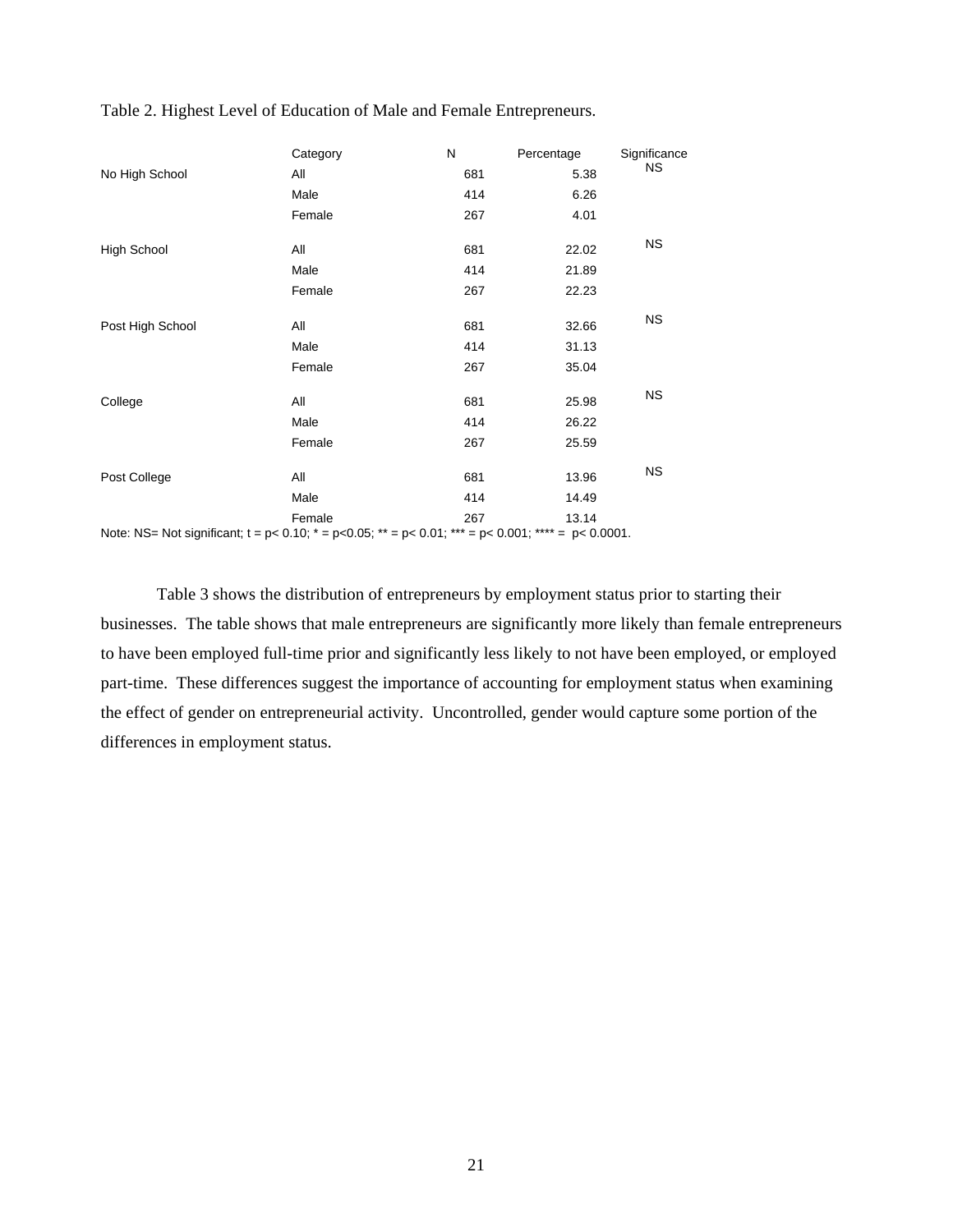|                    | Category                                                                                                           | N   | Percentage | Significance |
|--------------------|--------------------------------------------------------------------------------------------------------------------|-----|------------|--------------|
| No High School     | All                                                                                                                | 681 | 5.38       | NS.          |
|                    | Male                                                                                                               | 414 | 6.26       |              |
|                    | Female                                                                                                             | 267 | 4.01       |              |
| <b>High School</b> | All                                                                                                                | 681 | 22.02      | <b>NS</b>    |
|                    | Male                                                                                                               | 414 | 21.89      |              |
|                    | Female                                                                                                             | 267 | 22.23      |              |
| Post High School   | All                                                                                                                | 681 | 32.66      | <b>NS</b>    |
|                    | Male                                                                                                               | 414 | 31.13      |              |
|                    | Female                                                                                                             | 267 | 35.04      |              |
| College            | All                                                                                                                | 681 | 25.98      | <b>NS</b>    |
|                    | Male                                                                                                               | 414 | 26.22      |              |
|                    | Female                                                                                                             | 267 | 25.59      |              |
| Post College       | All                                                                                                                | 681 | 13.96      | <b>NS</b>    |
|                    | Male                                                                                                               | 414 | 14.49      |              |
|                    | Female                                                                                                             | 267 | 13.14      |              |
|                    | Note: NS= Not significant; $t = p < 0.10$ ; $* = p < 0.05$ ; $* = p < 0.01$ ; $* = p < 0.001$ ; $* = p < 0.0001$ . |     |            |              |

Table 2. Highest Level of Education of Male and Female Entrepreneurs.

 Table 3 shows the distribution of entrepreneurs by employment status prior to starting their businesses. The table shows that male entrepreneurs are significantly more likely than female entrepreneurs to have been employed full-time prior and significantly less likely to not have been employed, or employed part-time. These differences suggest the importance of accounting for employment status when examining the effect of gender on entrepreneurial activity. Uncontrolled, gender would capture some portion of the differences in employment status.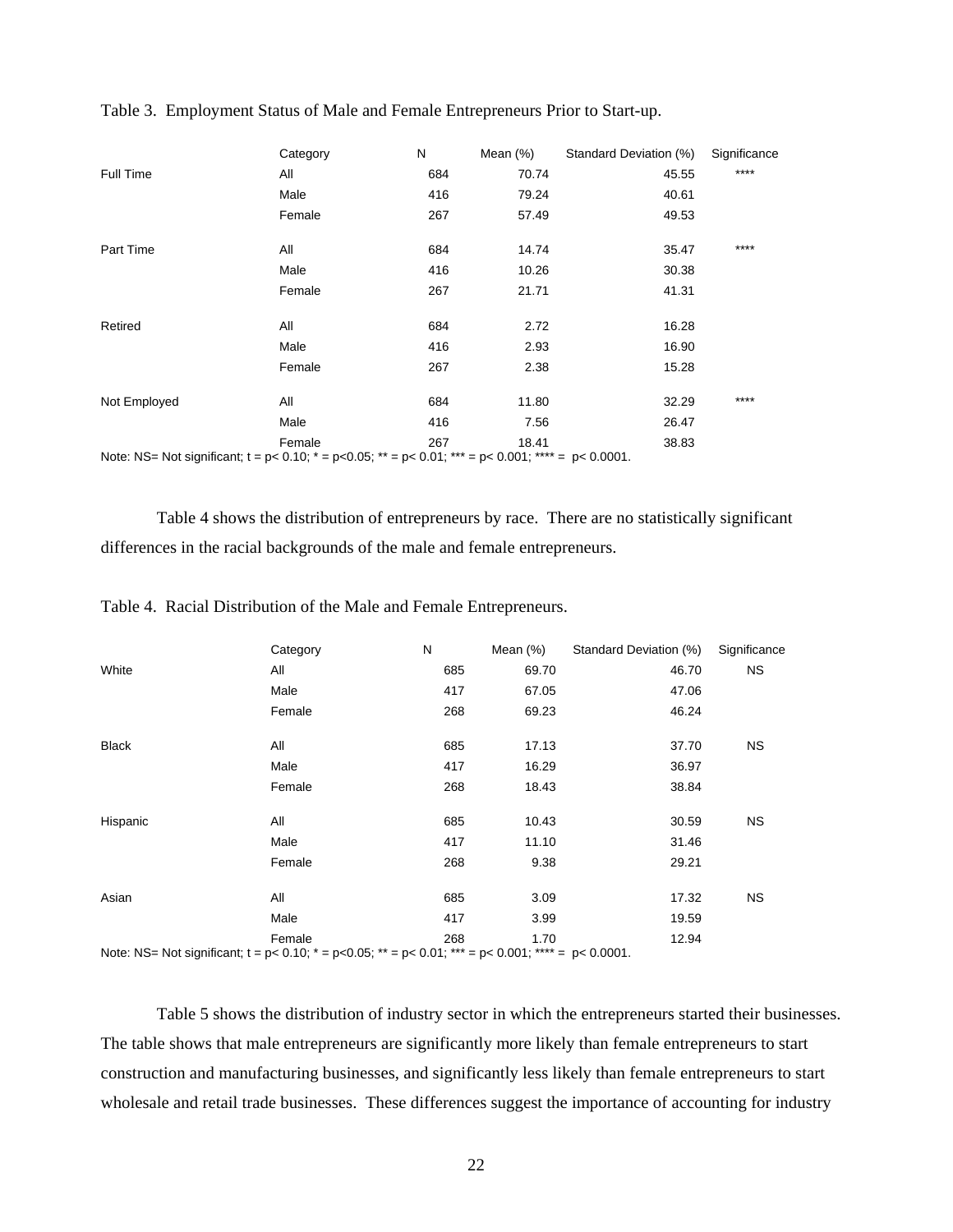|              | Category                                                                                                                | N   | Mean (%) | Standard Deviation (%) | Significance |
|--------------|-------------------------------------------------------------------------------------------------------------------------|-----|----------|------------------------|--------------|
| Full Time    | All                                                                                                                     | 684 | 70.74    | 45.55                  | $***$        |
|              | Male                                                                                                                    | 416 | 79.24    | 40.61                  |              |
|              | Female                                                                                                                  | 267 | 57.49    | 49.53                  |              |
| Part Time    | All                                                                                                                     | 684 | 14.74    | 35.47                  | ****         |
|              | Male                                                                                                                    | 416 | 10.26    | 30.38                  |              |
|              | Female                                                                                                                  | 267 | 21.71    | 41.31                  |              |
| Retired      | All                                                                                                                     | 684 | 2.72     | 16.28                  |              |
|              | Male                                                                                                                    | 416 | 2.93     | 16.90                  |              |
|              | Female                                                                                                                  | 267 | 2.38     | 15.28                  |              |
| Not Employed | All                                                                                                                     | 684 | 11.80    | 32.29                  | ****         |
|              | Male                                                                                                                    | 416 | 7.56     | 26.47                  |              |
|              | Female                                                                                                                  | 267 | 18.41    | 38.83                  |              |
|              | Note: NS= Not significant; $t = p < 0.10$ ; $* = p < 0.05$ ; $** = p < 0.01$ ; $*** = p < 0.001$ ; $*** = p < 0.0001$ . |     |          |                        |              |

Table 3. Employment Status of Male and Female Entrepreneurs Prior to Start-up.

 Table 4 shows the distribution of entrepreneurs by race. There are no statistically significant differences in the racial backgrounds of the male and female entrepreneurs.

|              | Category                                                                                                                     | N   | Mean (%) | Standard Deviation (%) | Significance |
|--------------|------------------------------------------------------------------------------------------------------------------------------|-----|----------|------------------------|--------------|
| White        | All                                                                                                                          | 685 | 69.70    | 46.70                  | NS.          |
|              | Male                                                                                                                         | 417 | 67.05    | 47.06                  |              |
|              | Female                                                                                                                       | 268 | 69.23    | 46.24                  |              |
| <b>Black</b> | All                                                                                                                          | 685 | 17.13    | 37.70                  | NS.          |
|              | Male                                                                                                                         | 417 | 16.29    | 36.97                  |              |
|              | Female                                                                                                                       | 268 | 18.43    | 38.84                  |              |
| Hispanic     | All                                                                                                                          | 685 | 10.43    | 30.59                  | NS.          |
|              | Male                                                                                                                         | 417 | 11.10    | 31.46                  |              |
|              | Female                                                                                                                       | 268 | 9.38     | 29.21                  |              |
| Asian        | All                                                                                                                          | 685 | 3.09     | 17.32                  | NS.          |
|              | Male                                                                                                                         | 417 | 3.99     | 19.59                  |              |
|              | Female                                                                                                                       | 268 | 1.70     | 12.94                  |              |
|              | Note: NS= Not significant; $t = p < 0.10$ ; $* = p < 0.05$ ; $* = p < 0.01$ ; $* = p < 0.001$ ; $* + \cdot * = p < 0.0001$ . |     |          |                        |              |

Table 4. Racial Distribution of the Male and Female Entrepreneurs.

Table 5 shows the distribution of industry sector in which the entrepreneurs started their businesses. The table shows that male entrepreneurs are significantly more likely than female entrepreneurs to start construction and manufacturing businesses, and significantly less likely than female entrepreneurs to start wholesale and retail trade businesses. These differences suggest the importance of accounting for industry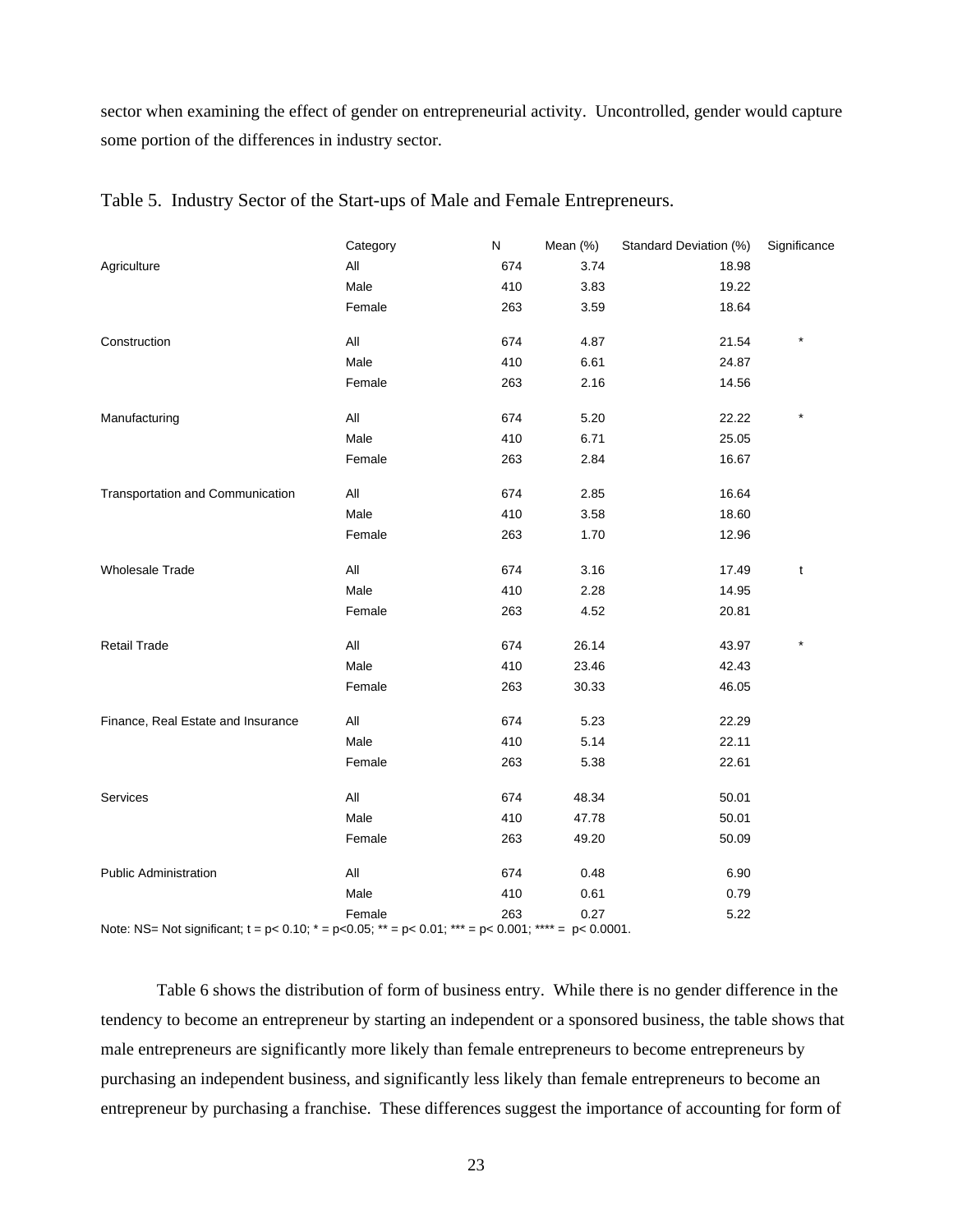sector when examining the effect of gender on entrepreneurial activity. Uncontrolled, gender would capture some portion of the differences in industry sector.

|                                                                                                                         | Category       | N   | Mean (%) | Standard Deviation (%) | Significance |
|-------------------------------------------------------------------------------------------------------------------------|----------------|-----|----------|------------------------|--------------|
| Agriculture                                                                                                             | All            | 674 | 3.74     | 18.98                  |              |
|                                                                                                                         | Male           | 410 | 3.83     | 19.22                  |              |
|                                                                                                                         | Female         | 263 | 3.59     | 18.64                  |              |
| Construction                                                                                                            | $\mathsf{All}$ | 674 | 4.87     | 21.54                  |              |
|                                                                                                                         | Male           | 410 | 6.61     | 24.87                  |              |
|                                                                                                                         | Female         | 263 | 2.16     | 14.56                  |              |
| Manufacturing                                                                                                           | All            | 674 | 5.20     | 22.22                  |              |
|                                                                                                                         | Male           | 410 | 6.71     | 25.05                  |              |
|                                                                                                                         | Female         | 263 | 2.84     | 16.67                  |              |
| Transportation and Communication                                                                                        | All            | 674 | 2.85     | 16.64                  |              |
|                                                                                                                         | Male           | 410 | 3.58     | 18.60                  |              |
|                                                                                                                         | Female         | 263 | 1.70     | 12.96                  |              |
| <b>Wholesale Trade</b>                                                                                                  | All            | 674 | 3.16     | 17.49                  | t            |
|                                                                                                                         | Male           | 410 | 2.28     | 14.95                  |              |
|                                                                                                                         | Female         | 263 | 4.52     | 20.81                  |              |
| <b>Retail Trade</b>                                                                                                     | All            | 674 | 26.14    | 43.97                  | $\star$      |
|                                                                                                                         | Male           | 410 | 23.46    | 42.43                  |              |
|                                                                                                                         | Female         | 263 | 30.33    | 46.05                  |              |
| Finance, Real Estate and Insurance                                                                                      | All            | 674 | 5.23     | 22.29                  |              |
|                                                                                                                         | Male           | 410 | 5.14     | 22.11                  |              |
|                                                                                                                         | Female         | 263 | 5.38     | 22.61                  |              |
| Services                                                                                                                | $\mathsf{All}$ | 674 | 48.34    | 50.01                  |              |
|                                                                                                                         | Male           | 410 | 47.78    | 50.01                  |              |
|                                                                                                                         | Female         | 263 | 49.20    | 50.09                  |              |
| Public Administration                                                                                                   | All            | 674 | 0.48     | 6.90                   |              |
|                                                                                                                         | Male           | 410 | 0.61     | 0.79                   |              |
|                                                                                                                         | Female         | 263 | 0.27     | 5.22                   |              |
| Note: NS= Not significant; $t = p < 0.10$ ; $* = p < 0.05$ ; $** = p < 0.01$ ; $*** = p < 0.001$ ; $*** = p < 0.0001$ . |                |     |          |                        |              |

|  |  |  | Table 5. Industry Sector of the Start-ups of Male and Female Entrepreneurs. |
|--|--|--|-----------------------------------------------------------------------------|
|  |  |  |                                                                             |

Table 6 shows the distribution of form of business entry. While there is no gender difference in the tendency to become an entrepreneur by starting an independent or a sponsored business, the table shows that male entrepreneurs are significantly more likely than female entrepreneurs to become entrepreneurs by purchasing an independent business, and significantly less likely than female entrepreneurs to become an entrepreneur by purchasing a franchise. These differences suggest the importance of accounting for form of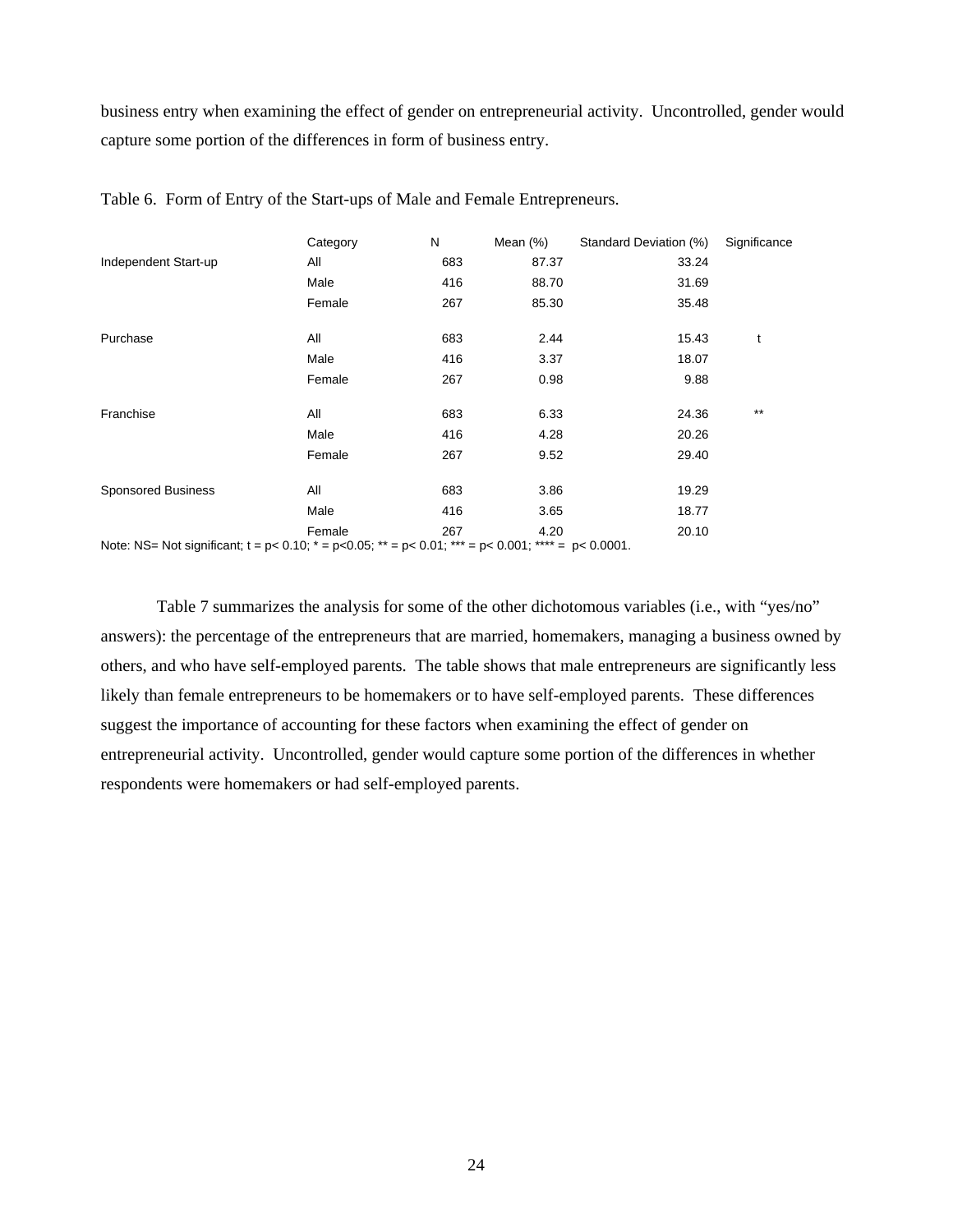business entry when examining the effect of gender on entrepreneurial activity. Uncontrolled, gender would capture some portion of the differences in form of business entry.

|                                                                                                                         | Category | N   | Mean (%) | Standard Deviation (%) | Significance |
|-------------------------------------------------------------------------------------------------------------------------|----------|-----|----------|------------------------|--------------|
| Independent Start-up                                                                                                    | All      | 683 | 87.37    | 33.24                  |              |
|                                                                                                                         | Male     | 416 | 88.70    | 31.69                  |              |
|                                                                                                                         | Female   | 267 | 85.30    | 35.48                  |              |
| Purchase                                                                                                                | All      | 683 | 2.44     | 15.43                  | t            |
|                                                                                                                         | Male     | 416 | 3.37     | 18.07                  |              |
|                                                                                                                         | Female   | 267 | 0.98     | 9.88                   |              |
| Franchise                                                                                                               | All      | 683 | 6.33     | 24.36                  | $***$        |
|                                                                                                                         | Male     | 416 | 4.28     | 20.26                  |              |
|                                                                                                                         | Female   | 267 | 9.52     | 29.40                  |              |
| <b>Sponsored Business</b>                                                                                               | All      | 683 | 3.86     | 19.29                  |              |
|                                                                                                                         | Male     | 416 | 3.65     | 18.77                  |              |
|                                                                                                                         | Female   | 267 | 4.20     | 20.10                  |              |
| Note: NS= Not significant; $t = p < 0.10$ ; $* = p < 0.05$ ; $** = p < 0.01$ ; $*** = p < 0.001$ ; $*** = p < 0.0001$ . |          |     |          |                        |              |

Table 6. Form of Entry of the Start-ups of Male and Female Entrepreneurs.

Table 7 summarizes the analysis for some of the other dichotomous variables (i.e., with "yes/no" answers): the percentage of the entrepreneurs that are married, homemakers, managing a business owned by others, and who have self-employed parents. The table shows that male entrepreneurs are significantly less likely than female entrepreneurs to be homemakers or to have self-employed parents. These differences suggest the importance of accounting for these factors when examining the effect of gender on entrepreneurial activity. Uncontrolled, gender would capture some portion of the differences in whether respondents were homemakers or had self-employed parents.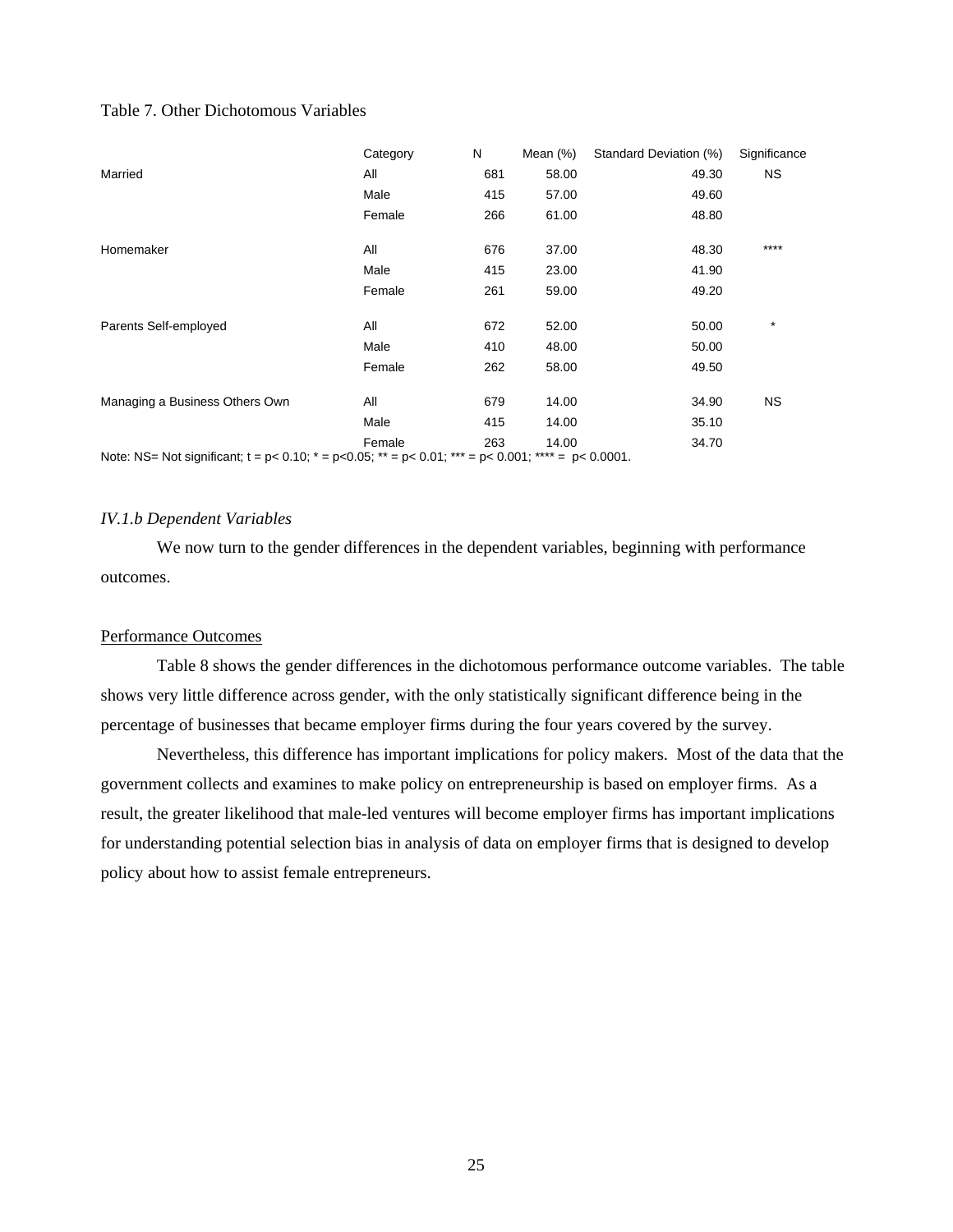## Table 7. Other Dichotomous Variables

|                                                                                                                    | Category | N   | Mean $(\%)$ | Standard Deviation (%) | Significance |
|--------------------------------------------------------------------------------------------------------------------|----------|-----|-------------|------------------------|--------------|
| Married                                                                                                            | All      | 681 | 58.00       | 49.30                  | NS.          |
|                                                                                                                    | Male     | 415 | 57.00       | 49.60                  |              |
|                                                                                                                    | Female   | 266 | 61.00       | 48.80                  |              |
| Homemaker                                                                                                          | All      | 676 | 37.00       | 48.30                  | ****         |
|                                                                                                                    | Male     | 415 | 23.00       | 41.90                  |              |
|                                                                                                                    | Female   | 261 | 59.00       | 49.20                  |              |
| Parents Self-employed                                                                                              | All      | 672 | 52.00       | 50.00                  | $\star$      |
|                                                                                                                    | Male     | 410 | 48.00       | 50.00                  |              |
|                                                                                                                    | Female   | 262 | 58.00       | 49.50                  |              |
| Managing a Business Others Own                                                                                     | All      | 679 | 14.00       | 34.90                  | <b>NS</b>    |
|                                                                                                                    | Male     | 415 | 14.00       | 35.10                  |              |
|                                                                                                                    | Female   | 263 | 14.00       | 34.70                  |              |
| Note: NS= Not significant; $t = p < 0.10$ ; $* = p < 0.05$ ; $* = p < 0.01$ ; $* = p < 0.001$ ; $* = p < 0.0001$ . |          |     |             |                        |              |

#### *IV.1.b Dependent Variables*

We now turn to the gender differences in the dependent variables, beginning with performance outcomes.

#### Performance Outcomes

Table 8 shows the gender differences in the dichotomous performance outcome variables. The table shows very little difference across gender, with the only statistically significant difference being in the percentage of businesses that became employer firms during the four years covered by the survey.

Nevertheless, this difference has important implications for policy makers. Most of the data that the government collects and examines to make policy on entrepreneurship is based on employer firms. As a result, the greater likelihood that male-led ventures will become employer firms has important implications for understanding potential selection bias in analysis of data on employer firms that is designed to develop policy about how to assist female entrepreneurs.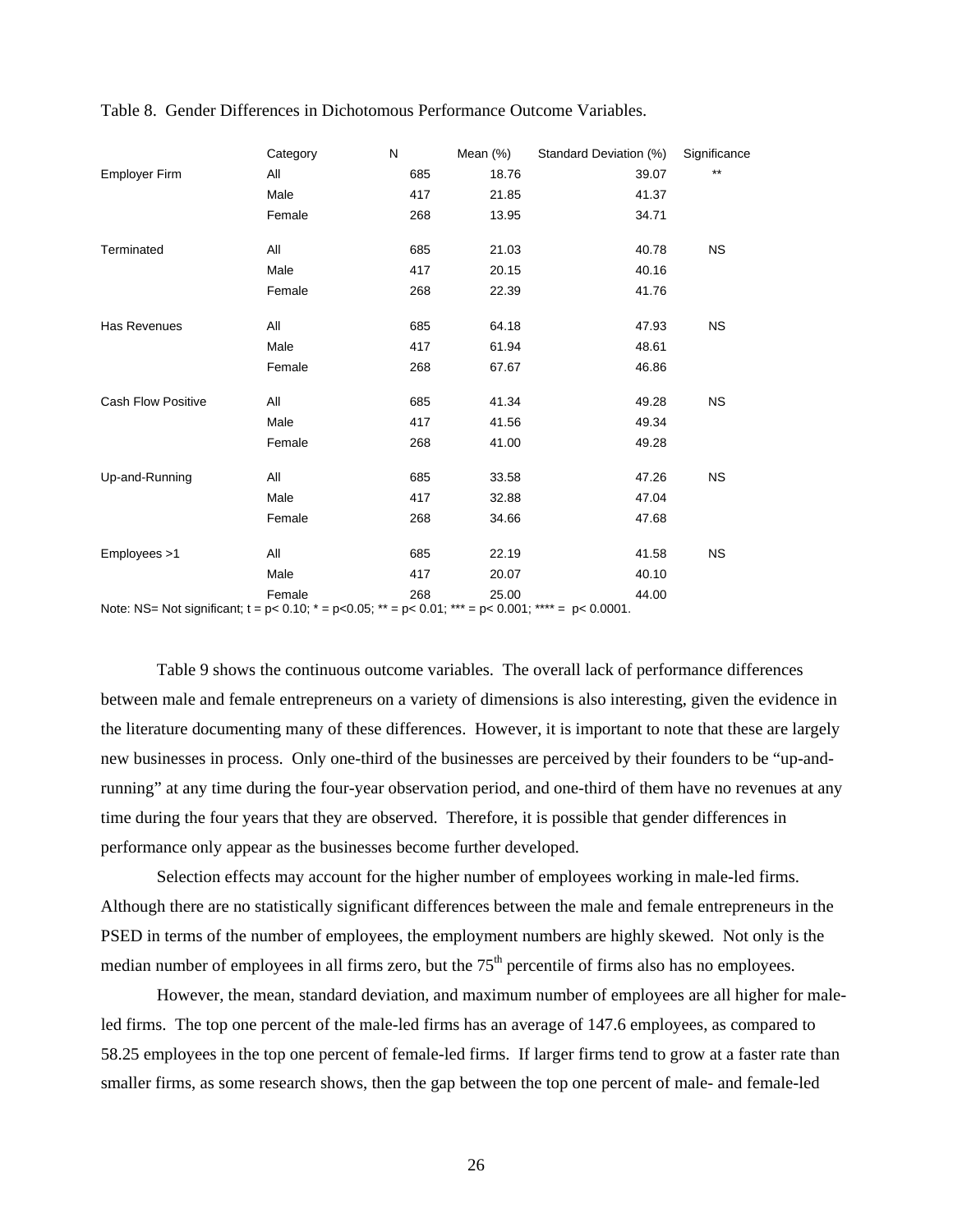|                                                                                                                         | Category | N   | Mean (%) | Standard Deviation (%) | Significance |
|-------------------------------------------------------------------------------------------------------------------------|----------|-----|----------|------------------------|--------------|
| Employer Firm                                                                                                           | All      | 685 | 18.76    | 39.07                  | $***$        |
|                                                                                                                         | Male     | 417 | 21.85    | 41.37                  |              |
|                                                                                                                         | Female   | 268 | 13.95    | 34.71                  |              |
| Terminated                                                                                                              | All      | 685 | 21.03    | 40.78                  | <b>NS</b>    |
|                                                                                                                         | Male     | 417 | 20.15    | 40.16                  |              |
|                                                                                                                         | Female   | 268 | 22.39    | 41.76                  |              |
| Has Revenues                                                                                                            | All      | 685 | 64.18    | 47.93                  | <b>NS</b>    |
|                                                                                                                         | Male     | 417 | 61.94    | 48.61                  |              |
|                                                                                                                         | Female   | 268 | 67.67    | 46.86                  |              |
| <b>Cash Flow Positive</b>                                                                                               | All      | 685 | 41.34    | 49.28                  | <b>NS</b>    |
|                                                                                                                         | Male     | 417 | 41.56    | 49.34                  |              |
|                                                                                                                         | Female   | 268 | 41.00    | 49.28                  |              |
| Up-and-Running                                                                                                          | All      | 685 | 33.58    | 47.26                  | <b>NS</b>    |
|                                                                                                                         | Male     | 417 | 32.88    | 47.04                  |              |
|                                                                                                                         | Female   | 268 | 34.66    | 47.68                  |              |
| Employees >1                                                                                                            | All      | 685 | 22.19    | 41.58                  | <b>NS</b>    |
|                                                                                                                         | Male     | 417 | 20.07    | 40.10                  |              |
|                                                                                                                         | Female   | 268 | 25.00    | 44.00                  |              |
| Note: NS= Not significant; $t = p < 0.10$ ; $* = p < 0.05$ ; $** = p < 0.01$ ; $*** = p < 0.001$ ; $*** = p < 0.0001$ . |          |     |          |                        |              |

Table 8. Gender Differences in Dichotomous Performance Outcome Variables.

Table 9 shows the continuous outcome variables. The overall lack of performance differences between male and female entrepreneurs on a variety of dimensions is also interesting, given the evidence in the literature documenting many of these differences. However, it is important to note that these are largely new businesses in process. Only one-third of the businesses are perceived by their founders to be "up-andrunning" at any time during the four-year observation period, and one-third of them have no revenues at any time during the four years that they are observed. Therefore, it is possible that gender differences in performance only appear as the businesses become further developed.

Selection effects may account for the higher number of employees working in male-led firms. Although there are no statistically significant differences between the male and female entrepreneurs in the PSED in terms of the number of employees, the employment numbers are highly skewed. Not only is the median number of employees in all firms zero, but the  $75<sup>th</sup>$  percentile of firms also has no employees.

However, the mean, standard deviation, and maximum number of employees are all higher for maleled firms. The top one percent of the male-led firms has an average of 147.6 employees, as compared to 58.25 employees in the top one percent of female-led firms. If larger firms tend to grow at a faster rate than smaller firms, as some research shows, then the gap between the top one percent of male- and female-led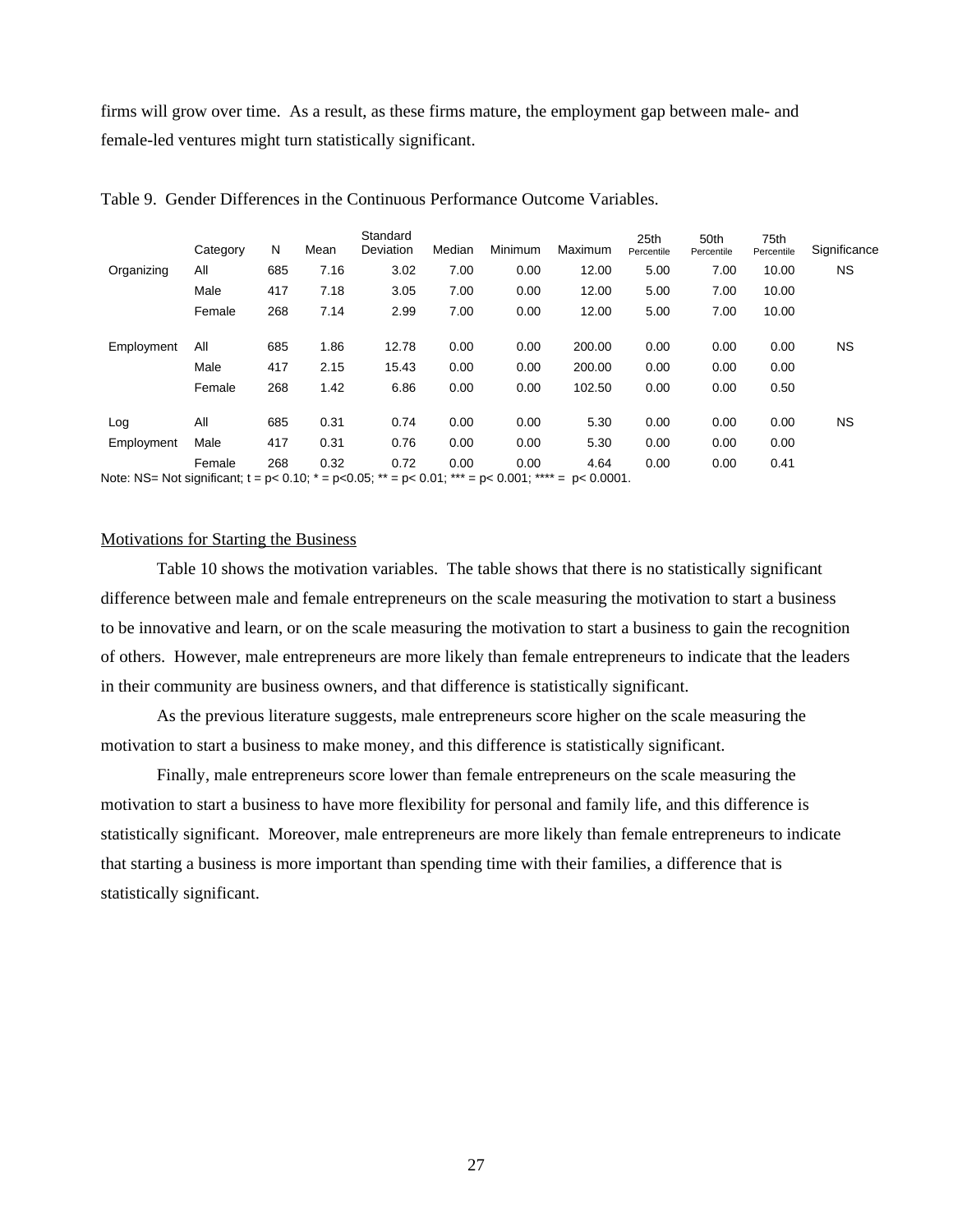firms will grow over time. As a result, as these firms mature, the employment gap between male- and female-led ventures might turn statistically significant.

|                                                                                                            | Category | N   | Mean | Standard<br>Deviation | Median | Minimum | Maximum | 25th<br>Percentile | 50th<br>Percentile | 75th<br>Percentile | Significance |
|------------------------------------------------------------------------------------------------------------|----------|-----|------|-----------------------|--------|---------|---------|--------------------|--------------------|--------------------|--------------|
| Organizing                                                                                                 | All      | 685 | 7.16 | 3.02                  | 7.00   | 0.00    | 12.00   | 5.00               | 7.00               | 10.00              | NS.          |
|                                                                                                            | Male     | 417 | 7.18 | 3.05                  | 7.00   | 0.00    | 12.00   | 5.00               | 7.00               | 10.00              |              |
|                                                                                                            | Female   | 268 | 7.14 | 2.99                  | 7.00   | 0.00    | 12.00   | 5.00               | 7.00               | 10.00              |              |
| Employment                                                                                                 | All      | 685 | 1.86 | 12.78                 | 0.00   | 0.00    | 200.00  | 0.00               | 0.00               | 0.00               | NS.          |
|                                                                                                            | Male     | 417 | 2.15 | 15.43                 | 0.00   | 0.00    | 200.00  | 0.00               | 0.00               | 0.00               |              |
|                                                                                                            | Female   | 268 | 1.42 | 6.86                  | 0.00   | 0.00    | 102.50  | 0.00               | 0.00               | 0.50               |              |
| Log                                                                                                        | All      | 685 | 0.31 | 0.74                  | 0.00   | 0.00    | 5.30    | 0.00               | 0.00               | 0.00               | NS.          |
| Employment                                                                                                 | Male     | 417 | 0.31 | 0.76                  | 0.00   | 0.00    | 5.30    | 0.00               | 0.00               | 0.00               |              |
|                                                                                                            | Female   | 268 | 0.32 | 0.72                  | 0.00   | 0.00    | 4.64    | 0.00               | 0.00               | 0.41               |              |
| Note: NS= Not significant; t = p< 0.10; $*$ = p<0.05; $**$ = p< 0.01; $***$ = p< 0.001; $***$ = p< 0.0001. |          |     |      |                       |        |         |         |                    |                    |                    |              |

| Table 9. Gender Differences in the Continuous Performance Outcome Variables. |  |  |  |
|------------------------------------------------------------------------------|--|--|--|
|                                                                              |  |  |  |

Motivations for Starting the Business

Table 10 shows the motivation variables. The table shows that there is no statistically significant difference between male and female entrepreneurs on the scale measuring the motivation to start a business to be innovative and learn, or on the scale measuring the motivation to start a business to gain the recognition of others. However, male entrepreneurs are more likely than female entrepreneurs to indicate that the leaders in their community are business owners, and that difference is statistically significant.

As the previous literature suggests, male entrepreneurs score higher on the scale measuring the motivation to start a business to make money, and this difference is statistically significant.

Finally, male entrepreneurs score lower than female entrepreneurs on the scale measuring the motivation to start a business to have more flexibility for personal and family life, and this difference is statistically significant. Moreover, male entrepreneurs are more likely than female entrepreneurs to indicate that starting a business is more important than spending time with their families, a difference that is statistically significant.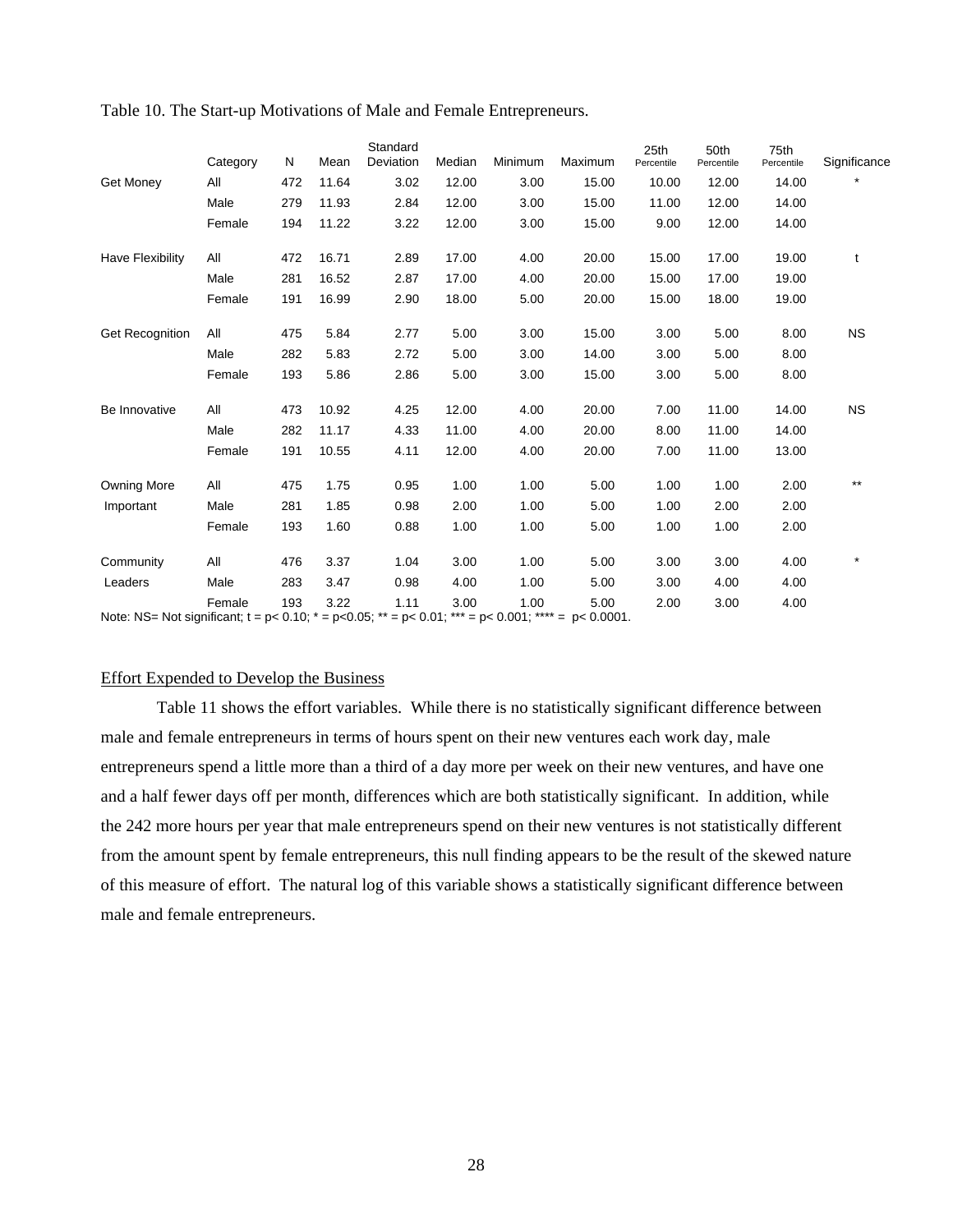|                                                                                                                             | Category | N   | Mean  | Standard<br>Deviation | Median | Minimum | Maximum | 25th<br>Percentile | 50th<br>Percentile | 75th<br>Percentile | Significance |
|-----------------------------------------------------------------------------------------------------------------------------|----------|-----|-------|-----------------------|--------|---------|---------|--------------------|--------------------|--------------------|--------------|
| Get Money                                                                                                                   | All      | 472 | 11.64 | 3.02                  | 12.00  | 3.00    | 15.00   | 10.00              | 12.00              | 14.00              |              |
|                                                                                                                             | Male     | 279 | 11.93 | 2.84                  | 12.00  | 3.00    | 15.00   | 11.00              | 12.00              | 14.00              |              |
|                                                                                                                             | Female   | 194 | 11.22 | 3.22                  | 12.00  | 3.00    | 15.00   | 9.00               | 12.00              | 14.00              |              |
| Have Flexibility                                                                                                            | All      | 472 | 16.71 | 2.89                  | 17.00  | 4.00    | 20.00   | 15.00              | 17.00              | 19.00              | t            |
|                                                                                                                             | Male     | 281 | 16.52 | 2.87                  | 17.00  | 4.00    | 20.00   | 15.00              | 17.00              | 19.00              |              |
|                                                                                                                             | Female   | 191 | 16.99 | 2.90                  | 18.00  | 5.00    | 20.00   | 15.00              | 18.00              | 19.00              |              |
| <b>Get Recognition</b>                                                                                                      | All      | 475 | 5.84  | 2.77                  | 5.00   | 3.00    | 15.00   | 3.00               | 5.00               | 8.00               | <b>NS</b>    |
|                                                                                                                             | Male     | 282 | 5.83  | 2.72                  | 5.00   | 3.00    | 14.00   | 3.00               | 5.00               | 8.00               |              |
|                                                                                                                             | Female   | 193 | 5.86  | 2.86                  | 5.00   | 3.00    | 15.00   | 3.00               | 5.00               | 8.00               |              |
| Be Innovative                                                                                                               | All      | 473 | 10.92 | 4.25                  | 12.00  | 4.00    | 20.00   | 7.00               | 11.00              | 14.00              | <b>NS</b>    |
|                                                                                                                             | Male     | 282 | 11.17 | 4.33                  | 11.00  | 4.00    | 20.00   | 8.00               | 11.00              | 14.00              |              |
|                                                                                                                             | Female   | 191 | 10.55 | 4.11                  | 12.00  | 4.00    | 20.00   | 7.00               | 11.00              | 13.00              |              |
| <b>Owning More</b>                                                                                                          | All      | 475 | 1.75  | 0.95                  | 1.00   | 1.00    | 5.00    | 1.00               | 1.00               | 2.00               | $***$        |
| Important                                                                                                                   | Male     | 281 | 1.85  | 0.98                  | 2.00   | 1.00    | 5.00    | 1.00               | 2.00               | 2.00               |              |
|                                                                                                                             | Female   | 193 | 1.60  | 0.88                  | 1.00   | 1.00    | 5.00    | 1.00               | 1.00               | 2.00               |              |
| Community                                                                                                                   | All      | 476 | 3.37  | 1.04                  | 3.00   | 1.00    | 5.00    | 3.00               | 3.00               | 4.00               | $\star$      |
| Leaders                                                                                                                     | Male     | 283 | 3.47  | 0.98                  | 4.00   | 1.00    | 5.00    | 3.00               | 4.00               | 4.00               |              |
|                                                                                                                             | Female   | 193 | 3.22  | 1.11                  | 3.00   | 1.00    | 5.00    | 2.00               | 3.00               | 4.00               |              |
| Note: NS= Not significant; $t = p < 0.10$ ; $* = p < 0.05$ ; $* = p < 0.01$ ; $* = p < 0.001$ ; $* + \cdots = p < 0.0001$ . |          |     |       |                       |        |         |         |                    |                    |                    |              |

Table 10. The Start-up Motivations of Male and Female Entrepreneurs.

#### Effort Expended to Develop the Business

Table 11 shows the effort variables. While there is no statistically significant difference between male and female entrepreneurs in terms of hours spent on their new ventures each work day, male entrepreneurs spend a little more than a third of a day more per week on their new ventures, and have one and a half fewer days off per month, differences which are both statistically significant. In addition, while the 242 more hours per year that male entrepreneurs spend on their new ventures is not statistically different from the amount spent by female entrepreneurs, this null finding appears to be the result of the skewed nature of this measure of effort. The natural log of this variable shows a statistically significant difference between male and female entrepreneurs.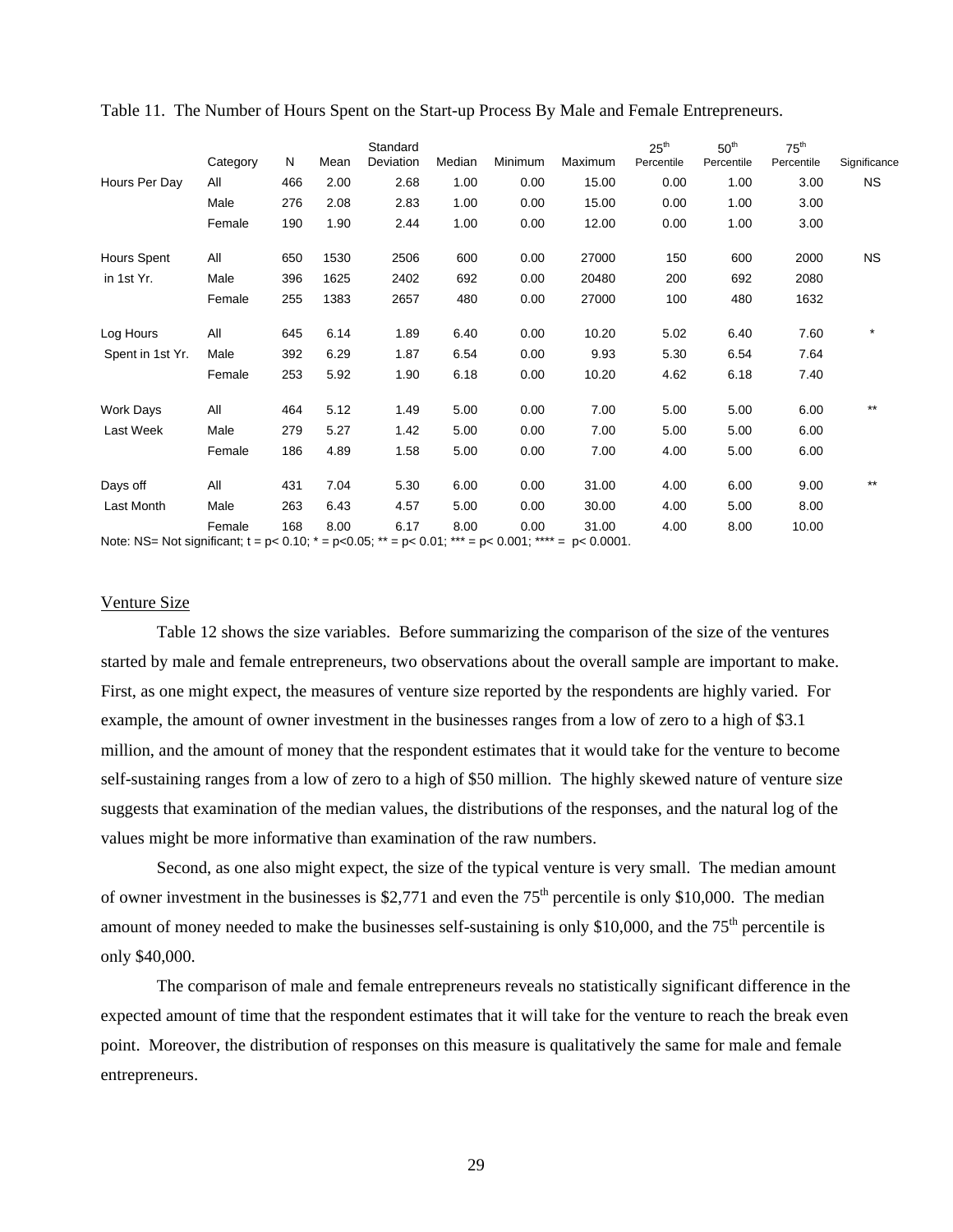|                                                                                                                    | Category | N   | Mean | Standard<br>Deviation | Median | Minimum | Maximum | $25^{\text{th}}$<br>Percentile | 50 <sup>th</sup><br>Percentile | $75^{\text{th}}$<br>Percentile | Significance |
|--------------------------------------------------------------------------------------------------------------------|----------|-----|------|-----------------------|--------|---------|---------|--------------------------------|--------------------------------|--------------------------------|--------------|
| Hours Per Day                                                                                                      | All      | 466 | 2.00 | 2.68                  | 1.00   | 0.00    | 15.00   | 0.00                           | 1.00                           | 3.00                           | ΝS           |
|                                                                                                                    | Male     | 276 | 2.08 | 2.83                  | 1.00   | 0.00    | 15.00   | 0.00                           | 1.00                           | 3.00                           |              |
|                                                                                                                    | Female   | 190 | 1.90 | 2.44                  | 1.00   | 0.00    | 12.00   | 0.00                           | 1.00                           | 3.00                           |              |
| <b>Hours Spent</b>                                                                                                 | All      | 650 | 1530 | 2506                  | 600    | 0.00    | 27000   | 150                            | 600                            | 2000                           | <b>NS</b>    |
| in 1st Yr.                                                                                                         | Male     | 396 | 1625 | 2402                  | 692    | 0.00    | 20480   | 200                            | 692                            | 2080                           |              |
|                                                                                                                    | Female   | 255 | 1383 | 2657                  | 480    | 0.00    | 27000   | 100                            | 480                            | 1632                           |              |
| Log Hours                                                                                                          | All      | 645 | 6.14 | 1.89                  | 6.40   | 0.00    | 10.20   | 5.02                           | 6.40                           | 7.60                           | $\star$      |
| Spent in 1st Yr.                                                                                                   | Male     | 392 | 6.29 | 1.87                  | 6.54   | 0.00    | 9.93    | 5.30                           | 6.54                           | 7.64                           |              |
|                                                                                                                    | Female   | 253 | 5.92 | 1.90                  | 6.18   | 0.00    | 10.20   | 4.62                           | 6.18                           | 7.40                           |              |
| <b>Work Days</b>                                                                                                   | All      | 464 | 5.12 | 1.49                  | 5.00   | 0.00    | 7.00    | 5.00                           | 5.00                           | 6.00                           | $***$        |
| Last Week                                                                                                          | Male     | 279 | 5.27 | 1.42                  | 5.00   | 0.00    | 7.00    | 5.00                           | 5.00                           | 6.00                           |              |
|                                                                                                                    | Female   | 186 | 4.89 | 1.58                  | 5.00   | 0.00    | 7.00    | 4.00                           | 5.00                           | 6.00                           |              |
| Days off                                                                                                           | All      | 431 | 7.04 | 5.30                  | 6.00   | 0.00    | 31.00   | 4.00                           | 6.00                           | 9.00                           | $***$        |
| Last Month                                                                                                         | Male     | 263 | 6.43 | 4.57                  | 5.00   | 0.00    | 30.00   | 4.00                           | 5.00                           | 8.00                           |              |
| Note: NS= Not significant; $t = p < 0.10$ ; $t = p < 0.05$ ; $t = p < 0.01$ ; $t = p < 0.001$ ; $t = p < 0.0001$ . | Female   | 168 | 8.00 | 6.17                  | 8.00   | 0.00    | 31.00   | 4.00                           | 8.00                           | 10.00                          |              |

Table 11. The Number of Hours Spent on the Start-up Process By Male and Female Entrepreneurs.

Venture Size

Table 12 shows the size variables. Before summarizing the comparison of the size of the ventures started by male and female entrepreneurs, two observations about the overall sample are important to make. First, as one might expect, the measures of venture size reported by the respondents are highly varied. For example, the amount of owner investment in the businesses ranges from a low of zero to a high of \$3.1 million, and the amount of money that the respondent estimates that it would take for the venture to become self-sustaining ranges from a low of zero to a high of \$50 million. The highly skewed nature of venture size suggests that examination of the median values, the distributions of the responses, and the natural log of the values might be more informative than examination of the raw numbers.

 Second, as one also might expect, the size of the typical venture is very small. The median amount of owner investment in the businesses is \$2,771 and even the  $75<sup>th</sup>$  percentile is only \$10,000. The median amount of money needed to make the businesses self-sustaining is only \$10,000, and the  $75<sup>th</sup>$  percentile is only \$40,000.

 The comparison of male and female entrepreneurs reveals no statistically significant difference in the expected amount of time that the respondent estimates that it will take for the venture to reach the break even point. Moreover, the distribution of responses on this measure is qualitatively the same for male and female entrepreneurs.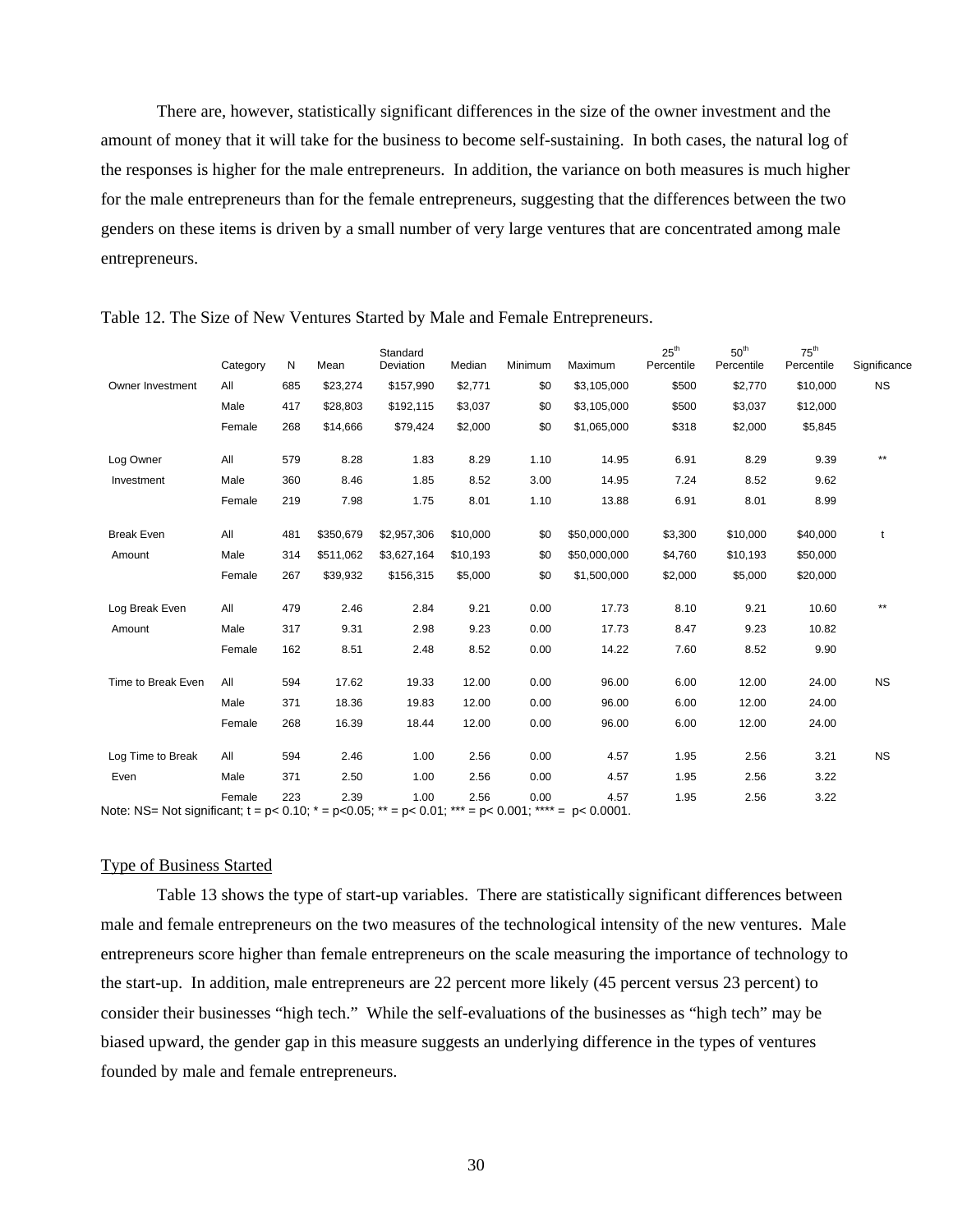There are, however, statistically significant differences in the size of the owner investment and the amount of money that it will take for the business to become self-sustaining. In both cases, the natural log of the responses is higher for the male entrepreneurs. In addition, the variance on both measures is much higher for the male entrepreneurs than for the female entrepreneurs, suggesting that the differences between the two genders on these items is driven by a small number of very large ventures that are concentrated among male entrepreneurs.

|                                                                                                                    | Category | N   | Mean      | Standard<br>Deviation | Median   | Minimum | Maximum      | $25^{\text{th}}$<br>Percentile | 50 <sup>th</sup><br>Percentile | $75^{\text{th}}$<br>Percentile | Significance |
|--------------------------------------------------------------------------------------------------------------------|----------|-----|-----------|-----------------------|----------|---------|--------------|--------------------------------|--------------------------------|--------------------------------|--------------|
| Owner Investment                                                                                                   | All      | 685 | \$23,274  | \$157,990             | \$2,771  | \$0     | \$3,105,000  | \$500                          | \$2,770                        | \$10,000                       | <b>NS</b>    |
|                                                                                                                    | Male     | 417 | \$28,803  | \$192,115             | \$3,037  | \$0     | \$3,105,000  | \$500                          | \$3,037                        | \$12,000                       |              |
|                                                                                                                    | Female   | 268 | \$14,666  | \$79,424              | \$2,000  | \$0     | \$1,065,000  | \$318                          | \$2,000                        | \$5,845                        |              |
| Log Owner                                                                                                          | All      | 579 | 8.28      | 1.83                  | 8.29     | 1.10    | 14.95        | 6.91                           | 8.29                           | 9.39                           | $***$        |
| Investment                                                                                                         | Male     | 360 | 8.46      | 1.85                  | 8.52     | 3.00    | 14.95        | 7.24                           | 8.52                           | 9.62                           |              |
|                                                                                                                    | Female   | 219 | 7.98      | 1.75                  | 8.01     | 1.10    | 13.88        | 6.91                           | 8.01                           | 8.99                           |              |
| <b>Break Even</b>                                                                                                  | All      | 481 | \$350,679 | \$2,957,306           | \$10,000 | \$0     | \$50,000,000 | \$3,300                        | \$10,000                       | \$40,000                       | t            |
| Amount                                                                                                             | Male     | 314 | \$511,062 | \$3,627,164           | \$10,193 | \$0     | \$50,000,000 | \$4,760                        | \$10,193                       | \$50,000                       |              |
|                                                                                                                    | Female   | 267 | \$39,932  | \$156,315             | \$5,000  | \$0     | \$1,500,000  | \$2,000                        | \$5,000                        | \$20,000                       |              |
| Log Break Even                                                                                                     | All      | 479 | 2.46      | 2.84                  | 9.21     | 0.00    | 17.73        | 8.10                           | 9.21                           | 10.60                          | $***$        |
| Amount                                                                                                             | Male     | 317 | 9.31      | 2.98                  | 9.23     | 0.00    | 17.73        | 8.47                           | 9.23                           | 10.82                          |              |
|                                                                                                                    | Female   | 162 | 8.51      | 2.48                  | 8.52     | 0.00    | 14.22        | 7.60                           | 8.52                           | 9.90                           |              |
| Time to Break Even                                                                                                 | All      | 594 | 17.62     | 19.33                 | 12.00    | 0.00    | 96.00        | 6.00                           | 12.00                          | 24.00                          | <b>NS</b>    |
|                                                                                                                    | Male     | 371 | 18.36     | 19.83                 | 12.00    | 0.00    | 96.00        | 6.00                           | 12.00                          | 24.00                          |              |
|                                                                                                                    | Female   | 268 | 16.39     | 18.44                 | 12.00    | 0.00    | 96.00        | 6.00                           | 12.00                          | 24.00                          |              |
| Log Time to Break                                                                                                  | All      | 594 | 2.46      | 1.00                  | 2.56     | 0.00    | 4.57         | 1.95                           | 2.56                           | 3.21                           | <b>NS</b>    |
| Even                                                                                                               | Male     | 371 | 2.50      | 1.00                  | 2.56     | 0.00    | 4.57         | 1.95                           | 2.56                           | 3.22                           |              |
| Note: NS= Not significant; $t = p < 0.10$ ; $* = p < 0.05$ ; $* = p < 0.01$ ; $* = p < 0.001$ ; $* = p < 0.0001$ . | Female   | 223 | 2.39      | 1.00                  | 2.56     | 0.00    | 4.57         | 1.95                           | 2.56                           | 3.22                           |              |

Table 12. The Size of New Ventures Started by Male and Female Entrepreneurs.

Type of Business Started

 Table 13 shows the type of start-up variables. There are statistically significant differences between male and female entrepreneurs on the two measures of the technological intensity of the new ventures. Male entrepreneurs score higher than female entrepreneurs on the scale measuring the importance of technology to the start-up. In addition, male entrepreneurs are 22 percent more likely (45 percent versus 23 percent) to consider their businesses "high tech." While the self-evaluations of the businesses as "high tech" may be biased upward, the gender gap in this measure suggests an underlying difference in the types of ventures founded by male and female entrepreneurs.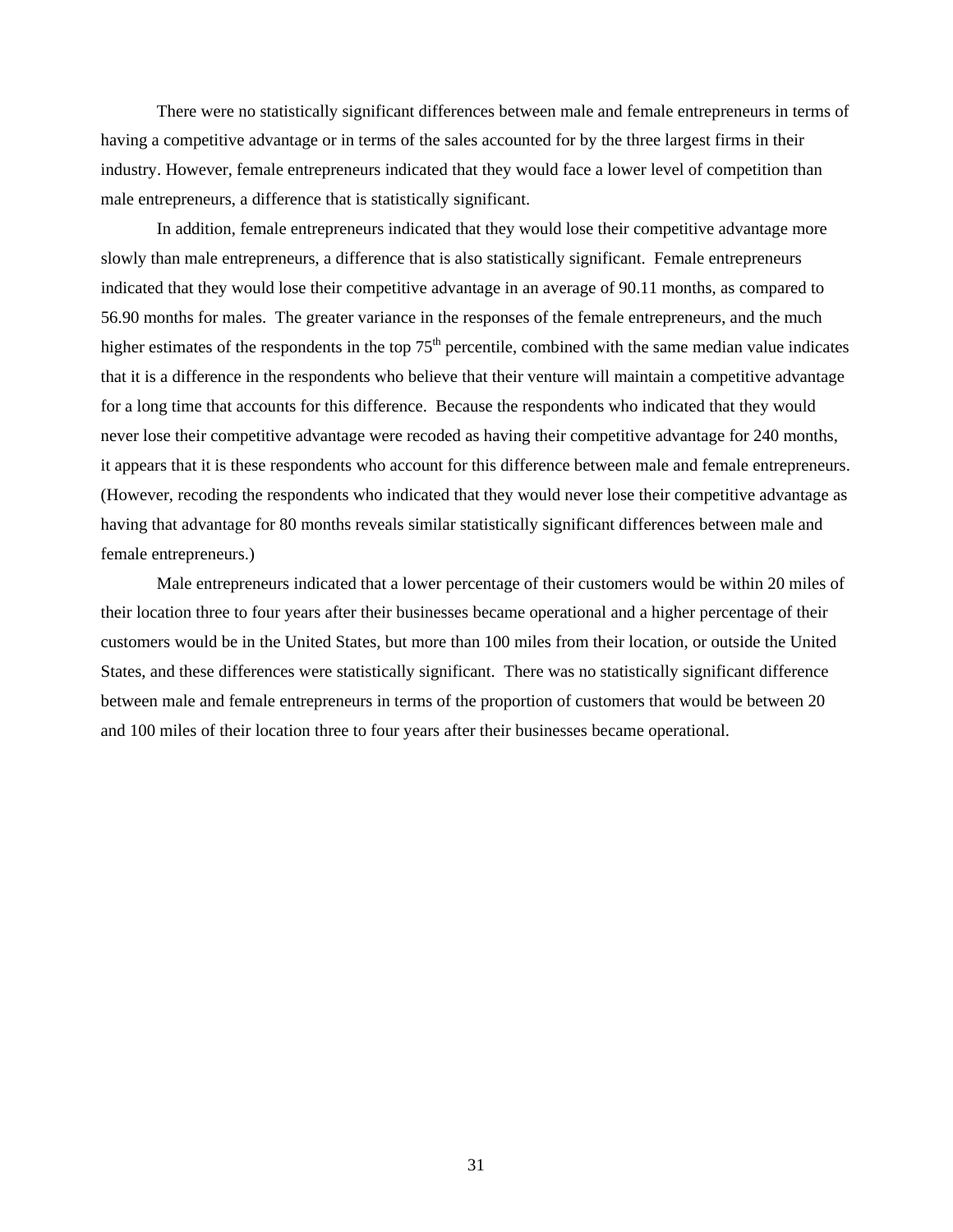There were no statistically significant differences between male and female entrepreneurs in terms of having a competitive advantage or in terms of the sales accounted for by the three largest firms in their industry. However, female entrepreneurs indicated that they would face a lower level of competition than male entrepreneurs, a difference that is statistically significant.

In addition, female entrepreneurs indicated that they would lose their competitive advantage more slowly than male entrepreneurs, a difference that is also statistically significant. Female entrepreneurs indicated that they would lose their competitive advantage in an average of 90.11 months, as compared to 56.90 months for males. The greater variance in the responses of the female entrepreneurs, and the much higher estimates of the respondents in the top  $75<sup>th</sup>$  percentile, combined with the same median value indicates that it is a difference in the respondents who believe that their venture will maintain a competitive advantage for a long time that accounts for this difference. Because the respondents who indicated that they would never lose their competitive advantage were recoded as having their competitive advantage for 240 months, it appears that it is these respondents who account for this difference between male and female entrepreneurs. (However, recoding the respondents who indicated that they would never lose their competitive advantage as having that advantage for 80 months reveals similar statistically significant differences between male and female entrepreneurs.)

Male entrepreneurs indicated that a lower percentage of their customers would be within 20 miles of their location three to four years after their businesses became operational and a higher percentage of their customers would be in the United States, but more than 100 miles from their location, or outside the United States, and these differences were statistically significant. There was no statistically significant difference between male and female entrepreneurs in terms of the proportion of customers that would be between 20 and 100 miles of their location three to four years after their businesses became operational.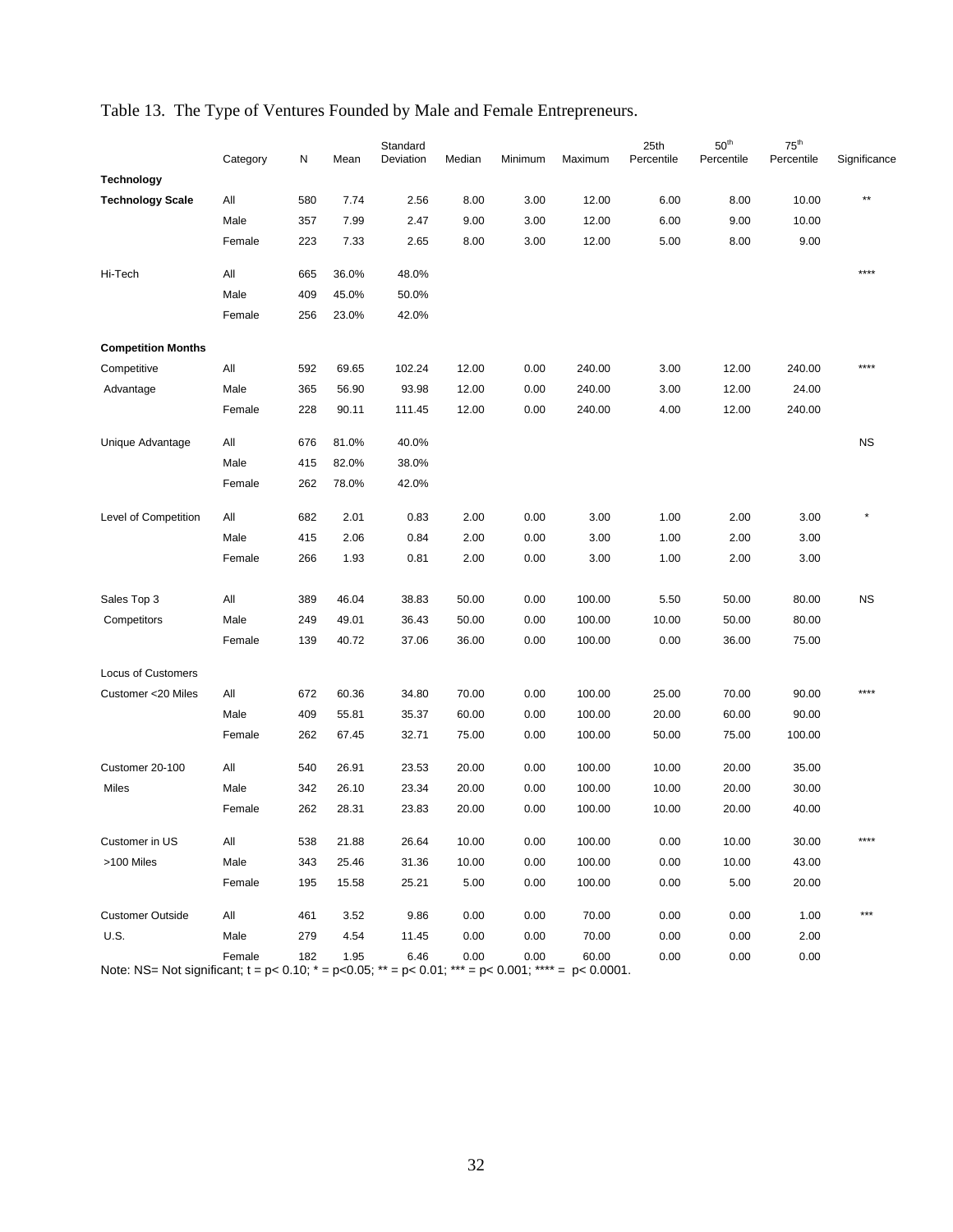|                                                                                                                    | Category | N   | Mean  | Standard<br>Deviation | Median | Minimum | Maximum | 25th<br>Percentile | $50^{\rm th}$<br>Percentile | $75^{\text{th}}$<br>Percentile | Significance |
|--------------------------------------------------------------------------------------------------------------------|----------|-----|-------|-----------------------|--------|---------|---------|--------------------|-----------------------------|--------------------------------|--------------|
| <b>Technology</b>                                                                                                  |          |     |       |                       |        |         |         |                    |                             |                                |              |
| <b>Technology Scale</b>                                                                                            | All      | 580 | 7.74  | 2.56                  | 8.00   | 3.00    | 12.00   | 6.00               | 8.00                        | 10.00                          |              |
|                                                                                                                    | Male     | 357 | 7.99  | 2.47                  | 9.00   | 3.00    | 12.00   | 6.00               | 9.00                        | 10.00                          |              |
|                                                                                                                    | Female   | 223 | 7.33  | 2.65                  | 8.00   | 3.00    | 12.00   | 5.00               | 8.00                        | 9.00                           |              |
| Hi-Tech                                                                                                            | All      | 665 | 36.0% | 48.0%                 |        |         |         |                    |                             |                                | ****         |
|                                                                                                                    | Male     | 409 | 45.0% | 50.0%                 |        |         |         |                    |                             |                                |              |
|                                                                                                                    | Female   | 256 | 23.0% | 42.0%                 |        |         |         |                    |                             |                                |              |
| <b>Competition Months</b>                                                                                          |          |     |       |                       |        |         |         |                    |                             |                                |              |
| Competitive                                                                                                        | All      | 592 | 69.65 | 102.24                | 12.00  | 0.00    | 240.00  | 3.00               | 12.00                       | 240.00                         | ****         |
| Advantage                                                                                                          | Male     | 365 | 56.90 | 93.98                 | 12.00  | 0.00    | 240.00  | 3.00               | 12.00                       | 24.00                          |              |
|                                                                                                                    | Female   | 228 | 90.11 | 111.45                | 12.00  | 0.00    | 240.00  | 4.00               | 12.00                       | 240.00                         |              |
| Unique Advantage                                                                                                   | All      | 676 | 81.0% | 40.0%                 |        |         |         |                    |                             |                                | <b>NS</b>    |
|                                                                                                                    | Male     | 415 | 82.0% | 38.0%                 |        |         |         |                    |                             |                                |              |
|                                                                                                                    | Female   | 262 | 78.0% | 42.0%                 |        |         |         |                    |                             |                                |              |
| Level of Competition                                                                                               | All      | 682 | 2.01  | 0.83                  | 2.00   | 0.00    | 3.00    | 1.00               | 2.00                        | 3.00                           |              |
|                                                                                                                    | Male     | 415 | 2.06  | 0.84                  | 2.00   | 0.00    | 3.00    | 1.00               | 2.00                        | 3.00                           |              |
|                                                                                                                    | Female   | 266 | 1.93  | 0.81                  | 2.00   | 0.00    | 3.00    | 1.00               | 2.00                        | 3.00                           |              |
| Sales Top 3                                                                                                        | All      | 389 | 46.04 | 38.83                 | 50.00  | 0.00    | 100.00  | 5.50               | 50.00                       | 80.00                          | <b>NS</b>    |
| Competitors                                                                                                        | Male     | 249 | 49.01 | 36.43                 | 50.00  | 0.00    | 100.00  | 10.00              | 50.00                       | 80.00                          |              |
|                                                                                                                    | Female   | 139 | 40.72 | 37.06                 | 36.00  | 0.00    | 100.00  | 0.00               | 36.00                       | 75.00                          |              |
|                                                                                                                    |          |     |       |                       |        |         |         |                    |                             |                                |              |
| <b>Locus of Customers</b>                                                                                          |          |     |       |                       |        |         |         |                    |                             |                                | ****         |
| Customer <20 Miles                                                                                                 | All      | 672 | 60.36 | 34.80                 | 70.00  | 0.00    | 100.00  | 25.00              | 70.00                       | 90.00                          |              |
|                                                                                                                    | Male     | 409 | 55.81 | 35.37                 | 60.00  | 0.00    | 100.00  | 20.00              | 60.00                       | 90.00                          |              |
|                                                                                                                    | Female   | 262 | 67.45 | 32.71                 | 75.00  | 0.00    | 100.00  | 50.00              | 75.00                       | 100.00                         |              |
| Customer 20-100                                                                                                    | All      | 540 | 26.91 | 23.53                 | 20.00  | 0.00    | 100.00  | 10.00              | 20.00                       | 35.00                          |              |
| Miles                                                                                                              | Male     | 342 | 26.10 | 23.34                 | 20.00  | 0.00    | 100.00  | 10.00              | 20.00                       | 30.00                          |              |
|                                                                                                                    | Female   | 262 | 28.31 | 23.83                 | 20.00  | 0.00    | 100.00  | 10.00              | 20.00                       | 40.00                          |              |
| Customer in US                                                                                                     | All      | 538 | 21.88 | 26.64                 | 10.00  | 0.00    | 100.00  | 0.00               | 10.00                       | 30.00                          |              |
| >100 Miles                                                                                                         | Male     | 343 | 25.46 | 31.36                 | 10.00  | 0.00    | 100.00  | 0.00               | 10.00                       | 43.00                          |              |
|                                                                                                                    | Female   | 195 | 15.58 | 25.21                 | 5.00   | 0.00    | 100.00  | 0.00               | 5.00                        | 20.00                          |              |
| <b>Customer Outside</b>                                                                                            | All      | 461 | 3.52  | 9.86                  | 0.00   | 0.00    | 70.00   | 0.00               | 0.00                        | 1.00                           | ***          |
| <b>U.S.</b>                                                                                                        | Male     | 279 | 4.54  | 11.45                 | 0.00   | 0.00    | 70.00   | 0.00               | 0.00                        | 2.00                           |              |
| Note: NS= Not significant; $t = p < 0.10$ ; $* = p < 0.05$ ; $* = p < 0.01$ ; $* = p < 0.001$ ; $* = p < 0.0001$ . | Female   | 182 | 1.95  | 6.46                  | 0.00   | 0.00    | 60.00   | 0.00               | 0.00                        | 0.00                           |              |

# Table 13. The Type of Ventures Founded by Male and Female Entrepreneurs.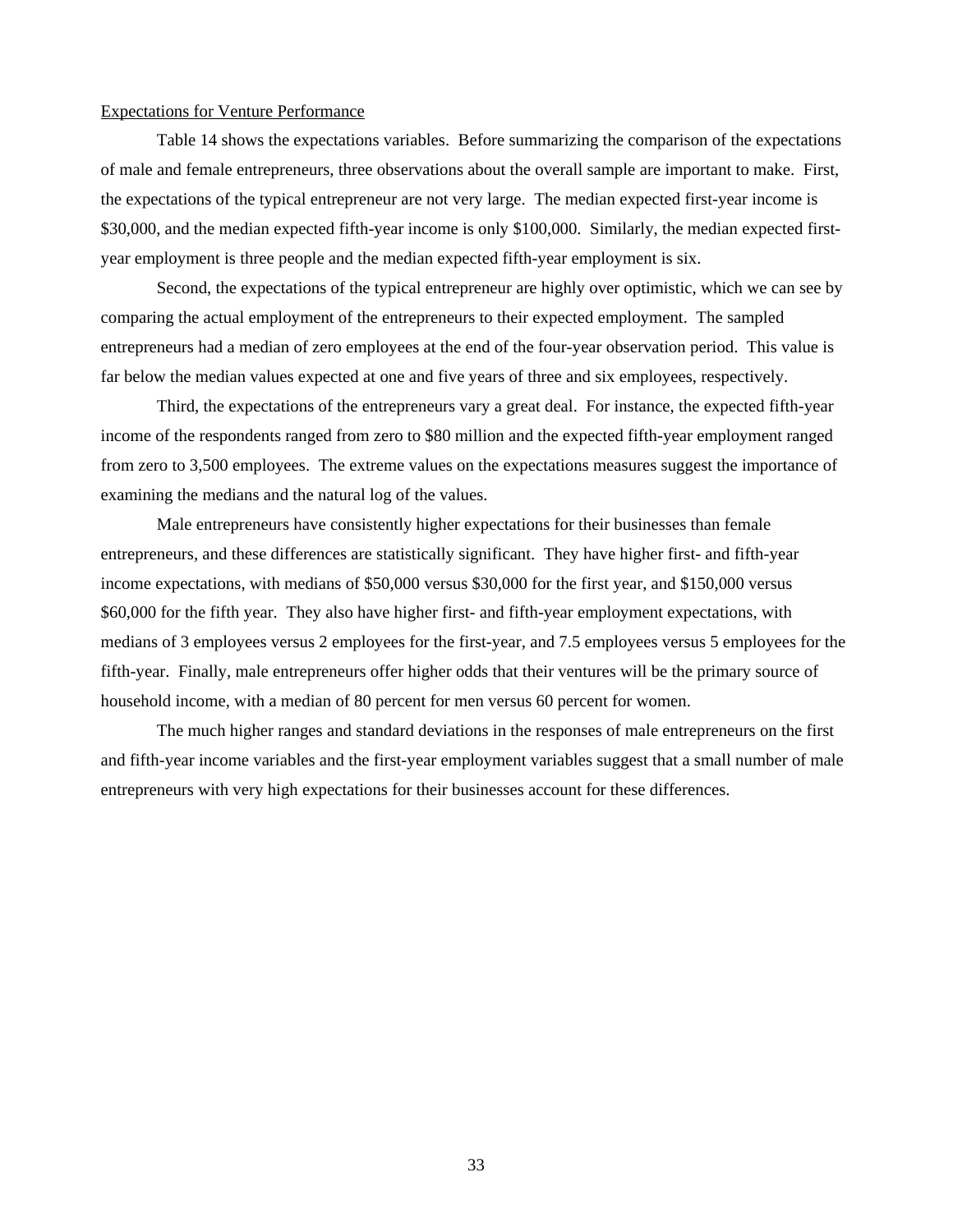#### Expectations for Venture Performance

 Table 14 shows the expectations variables. Before summarizing the comparison of the expectations of male and female entrepreneurs, three observations about the overall sample are important to make. First, the expectations of the typical entrepreneur are not very large. The median expected first-year income is \$30,000, and the median expected fifth-year income is only \$100,000. Similarly, the median expected firstyear employment is three people and the median expected fifth-year employment is six.

 Second, the expectations of the typical entrepreneur are highly over optimistic, which we can see by comparing the actual employment of the entrepreneurs to their expected employment. The sampled entrepreneurs had a median of zero employees at the end of the four-year observation period. This value is far below the median values expected at one and five years of three and six employees, respectively.

 Third, the expectations of the entrepreneurs vary a great deal. For instance, the expected fifth-year income of the respondents ranged from zero to \$80 million and the expected fifth-year employment ranged from zero to 3,500 employees. The extreme values on the expectations measures suggest the importance of examining the medians and the natural log of the values.

 Male entrepreneurs have consistently higher expectations for their businesses than female entrepreneurs, and these differences are statistically significant. They have higher first- and fifth-year income expectations, with medians of \$50,000 versus \$30,000 for the first year, and \$150,000 versus \$60,000 for the fifth year. They also have higher first- and fifth-year employment expectations, with medians of 3 employees versus 2 employees for the first-year, and 7.5 employees versus 5 employees for the fifth-year. Finally, male entrepreneurs offer higher odds that their ventures will be the primary source of household income, with a median of 80 percent for men versus 60 percent for women.

 The much higher ranges and standard deviations in the responses of male entrepreneurs on the first and fifth-year income variables and the first-year employment variables suggest that a small number of male entrepreneurs with very high expectations for their businesses account for these differences.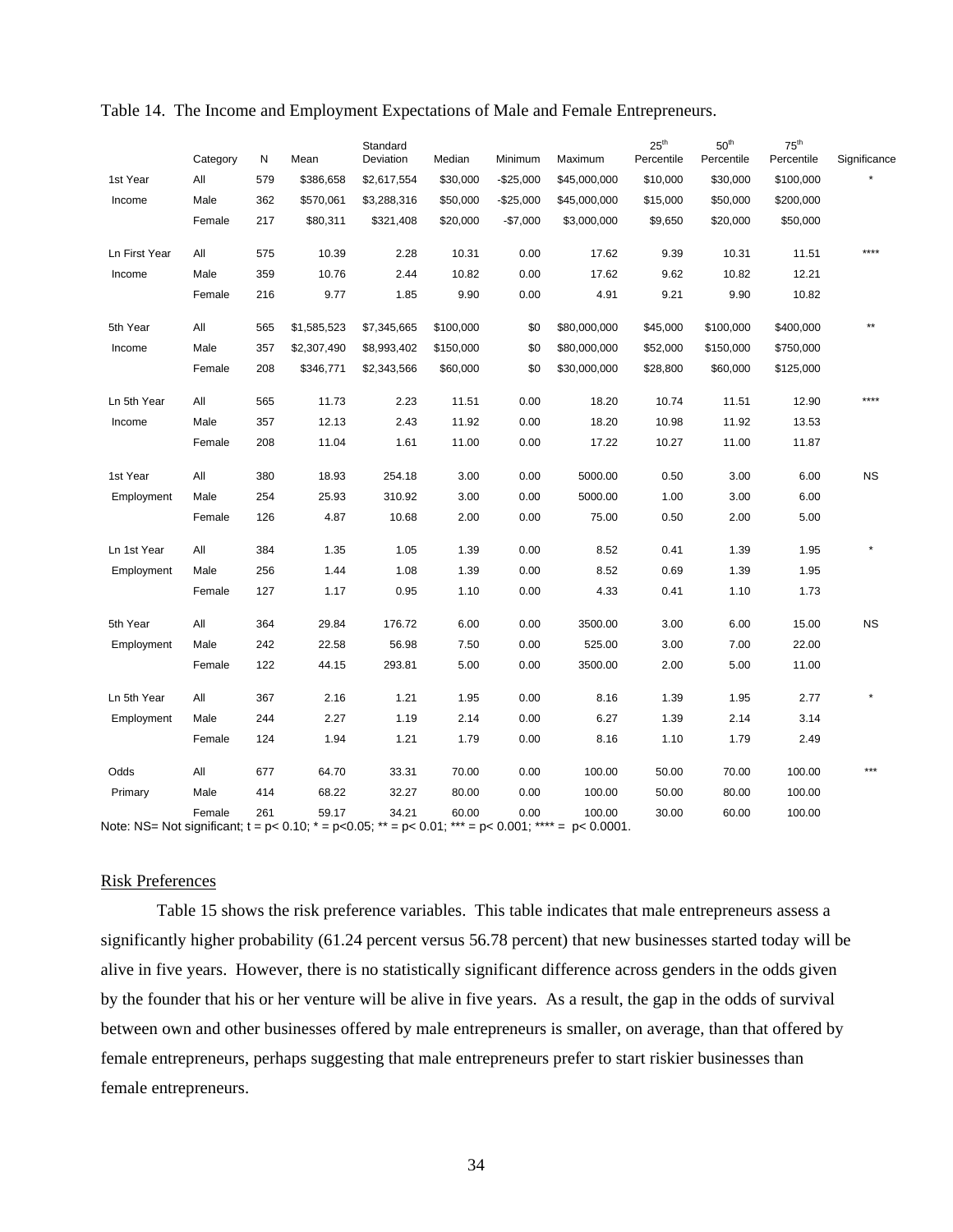|                                                                                                                          | Category | N   | Mean        | Standard<br>Deviation | Median    | Minimum    | Maximum      | $25^{\text{th}}$<br>Percentile | $50^{\text{th}}$<br>Percentile | $75^{\text{th}}$<br>Percentile | Significance |
|--------------------------------------------------------------------------------------------------------------------------|----------|-----|-------------|-----------------------|-----------|------------|--------------|--------------------------------|--------------------------------|--------------------------------|--------------|
| 1st Year                                                                                                                 | All      | 579 | \$386,658   | \$2,617,554           | \$30,000  | $-$25,000$ | \$45,000,000 | \$10,000                       | \$30,000                       | \$100,000                      |              |
| Income                                                                                                                   | Male     | 362 | \$570,061   | \$3,288,316           | \$50,000  | $-$25,000$ | \$45,000,000 | \$15,000                       | \$50,000                       | \$200,000                      |              |
|                                                                                                                          | Female   | 217 | \$80,311    | \$321,408             | \$20,000  | $-$7,000$  | \$3,000,000  | \$9,650                        | \$20,000                       | \$50,000                       |              |
| Ln First Year                                                                                                            | All      | 575 | 10.39       | 2.28                  | 10.31     | 0.00       | 17.62        | 9.39                           | 10.31                          | 11.51                          | ****         |
| Income                                                                                                                   | Male     | 359 | 10.76       | 2.44                  | 10.82     | 0.00       | 17.62        | 9.62                           | 10.82                          | 12.21                          |              |
|                                                                                                                          | Female   | 216 | 9.77        | 1.85                  | 9.90      | 0.00       | 4.91         | 9.21                           | 9.90                           | 10.82                          |              |
| 5th Year                                                                                                                 | All      | 565 | \$1,585,523 | \$7,345,665           | \$100,000 | \$0        | \$80,000,000 | \$45,000                       | \$100,000                      | \$400,000                      |              |
| Income                                                                                                                   | Male     | 357 | \$2,307,490 | \$8,993,402           | \$150,000 | \$0        | \$80,000,000 | \$52,000                       | \$150,000                      | \$750,000                      |              |
|                                                                                                                          | Female   | 208 | \$346,771   | \$2,343,566           | \$60,000  | \$0        | \$30,000,000 | \$28,800                       | \$60,000                       | \$125,000                      |              |
| Ln 5th Year                                                                                                              | All      | 565 | 11.73       | 2.23                  | 11.51     | 0.00       | 18.20        | 10.74                          | 11.51                          | 12.90                          | ****         |
| Income                                                                                                                   | Male     | 357 | 12.13       | 2.43                  | 11.92     | 0.00       | 18.20        | 10.98                          | 11.92                          | 13.53                          |              |
|                                                                                                                          | Female   | 208 | 11.04       | 1.61                  | 11.00     | 0.00       | 17.22        | 10.27                          | 11.00                          | 11.87                          |              |
| 1st Year                                                                                                                 | All      | 380 | 18.93       | 254.18                | 3.00      | 0.00       | 5000.00      | 0.50                           | 3.00                           | 6.00                           | <b>NS</b>    |
| Employment                                                                                                               | Male     | 254 | 25.93       | 310.92                | 3.00      | 0.00       | 5000.00      | 1.00                           | 3.00                           | 6.00                           |              |
|                                                                                                                          | Female   | 126 | 4.87        | 10.68                 | 2.00      | 0.00       | 75.00        | 0.50                           | 2.00                           | 5.00                           |              |
| Ln 1st Year                                                                                                              | All      | 384 | 1.35        | 1.05                  | 1.39      | 0.00       | 8.52         | 0.41                           | 1.39                           | 1.95                           |              |
| Employment                                                                                                               | Male     | 256 | 1.44        | 1.08                  | 1.39      | 0.00       | 8.52         | 0.69                           | 1.39                           | 1.95                           |              |
|                                                                                                                          | Female   | 127 | 1.17        | 0.95                  | 1.10      | 0.00       | 4.33         | 0.41                           | 1.10                           | 1.73                           |              |
| 5th Year                                                                                                                 | All      | 364 | 29.84       | 176.72                | 6.00      | 0.00       | 3500.00      | 3.00                           | 6.00                           | 15.00                          | <b>NS</b>    |
| Employment                                                                                                               | Male     | 242 | 22.58       | 56.98                 | 7.50      | 0.00       | 525.00       | 3.00                           | 7.00                           | 22.00                          |              |
|                                                                                                                          | Female   | 122 | 44.15       | 293.81                | 5.00      | 0.00       | 3500.00      | 2.00                           | 5.00                           | 11.00                          |              |
| Ln 5th Year                                                                                                              | All      | 367 | 2.16        | 1.21                  | 1.95      | 0.00       | 8.16         | 1.39                           | 1.95                           | 2.77                           |              |
| Employment                                                                                                               | Male     | 244 | 2.27        | 1.19                  | 2.14      | 0.00       | 6.27         | 1.39                           | 2.14                           | 3.14                           |              |
|                                                                                                                          | Female   | 124 | 1.94        | 1.21                  | 1.79      | 0.00       | 8.16         | 1.10                           | 1.79                           | 2.49                           |              |
| Odds                                                                                                                     | All      | 677 | 64.70       | 33.31                 | 70.00     | 0.00       | 100.00       | 50.00                          | 70.00                          | 100.00                         | ***          |
| Primary                                                                                                                  | Male     | 414 | 68.22       | 32.27                 | 80.00     | 0.00       | 100.00       | 50.00                          | 80.00                          | 100.00                         |              |
| Note: NS= Not significant; $t = p < 0.10$ ; $* = p < 0.05$ ; $* = p < 0.01$ ; $* * = p < 0.001$ ; $* * * = p < 0.0001$ . | Female   | 261 | 59.17       | 34.21                 | 60.00     | 0.00       | 100.00       | 30.00                          | 60.00                          | 100.00                         |              |

#### Table 14. The Income and Employment Expectations of Male and Female Entrepreneurs.

#### Risk Preferences

 Table 15 shows the risk preference variables. This table indicates that male entrepreneurs assess a significantly higher probability (61.24 percent versus 56.78 percent) that new businesses started today will be alive in five years. However, there is no statistically significant difference across genders in the odds given by the founder that his or her venture will be alive in five years. As a result, the gap in the odds of survival between own and other businesses offered by male entrepreneurs is smaller, on average, than that offered by female entrepreneurs, perhaps suggesting that male entrepreneurs prefer to start riskier businesses than female entrepreneurs.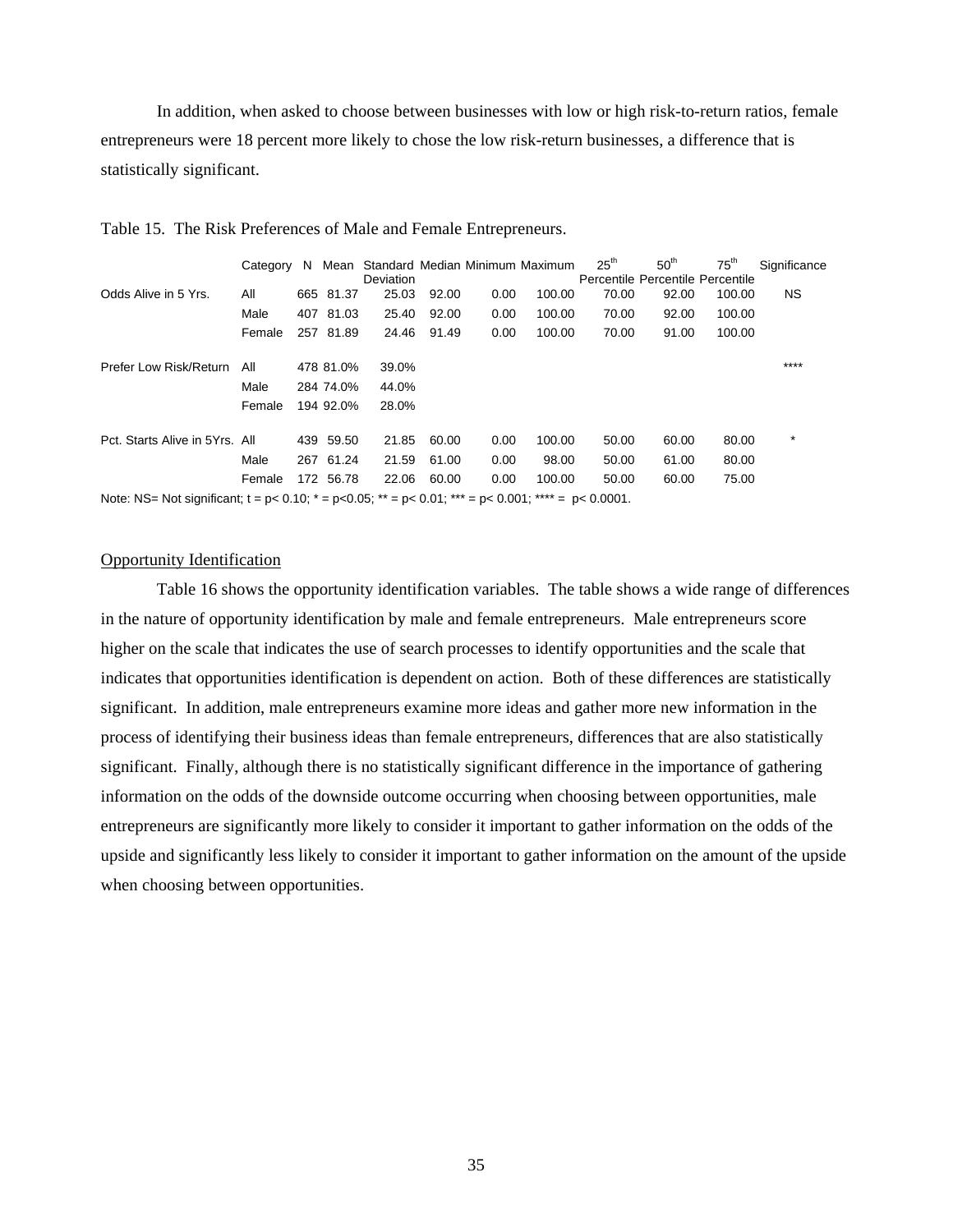In addition, when asked to choose between businesses with low or high risk-to-return ratios, female entrepreneurs were 18 percent more likely to chose the low risk-return businesses, a difference that is statistically significant.

|                                                                                                                    | Category | N. |           | Deviation |       |      | Mean Standard Median Minimum Maximum | 25 <sup>th</sup><br>Percentile Percentile Percentile | 50 <sup>th</sup> | $75^{\text{th}}$ | Significance |
|--------------------------------------------------------------------------------------------------------------------|----------|----|-----------|-----------|-------|------|--------------------------------------|------------------------------------------------------|------------------|------------------|--------------|
| Odds Alive in 5 Yrs.                                                                                               | All      |    | 665 81.37 | 25.03     | 92.00 | 0.00 | 100.00                               | 70.00                                                | 92.00            | 100.00           | NS.          |
|                                                                                                                    | Male     |    | 407 81.03 | 25.40     | 92.00 | 0.00 | 100.00                               | 70.00                                                | 92.00            | 100.00           |              |
|                                                                                                                    | Female   |    | 257 81.89 | 24.46     | 91.49 | 0.00 | 100.00                               | 70.00                                                | 91.00            | 100.00           |              |
| Prefer Low Risk/Return                                                                                             | All      |    | 478 81.0% | 39.0%     |       |      |                                      |                                                      |                  |                  | ****         |
|                                                                                                                    | Male     |    | 284 74.0% | 44.0%     |       |      |                                      |                                                      |                  |                  |              |
|                                                                                                                    | Female   |    | 194 92.0% | 28.0%     |       |      |                                      |                                                      |                  |                  |              |
| Pct. Starts Alive in 5Yrs. All                                                                                     |          |    | 439 59.50 | 21.85     | 60.00 | 0.00 | 100.00                               | 50.00                                                | 60.00            | 80.00            | $\star$      |
|                                                                                                                    | Male     |    | 267 61.24 | 21.59     | 61.00 | 0.00 | 98.00                                | 50.00                                                | 61.00            | 80.00            |              |
|                                                                                                                    | Female   |    | 172 56.78 | 22.06     | 60.00 | 0.00 | 100.00                               | 50.00                                                | 60.00            | 75.00            |              |
| Note: NS= Not significant; $t = p < 0.10$ ; $t = p < 0.05$ ; $t = p < 0.01$ ; $t = p < 0.001$ ; $t = p < 0.0001$ . |          |    |           |           |       |      |                                      |                                                      |                  |                  |              |

Table 15. The Risk Preferences of Male and Female Entrepreneurs.

Opportunity Identification

 Table 16 shows the opportunity identification variables. The table shows a wide range of differences in the nature of opportunity identification by male and female entrepreneurs. Male entrepreneurs score higher on the scale that indicates the use of search processes to identify opportunities and the scale that indicates that opportunities identification is dependent on action. Both of these differences are statistically significant. In addition, male entrepreneurs examine more ideas and gather more new information in the process of identifying their business ideas than female entrepreneurs, differences that are also statistically significant. Finally, although there is no statistically significant difference in the importance of gathering information on the odds of the downside outcome occurring when choosing between opportunities, male entrepreneurs are significantly more likely to consider it important to gather information on the odds of the upside and significantly less likely to consider it important to gather information on the amount of the upside when choosing between opportunities.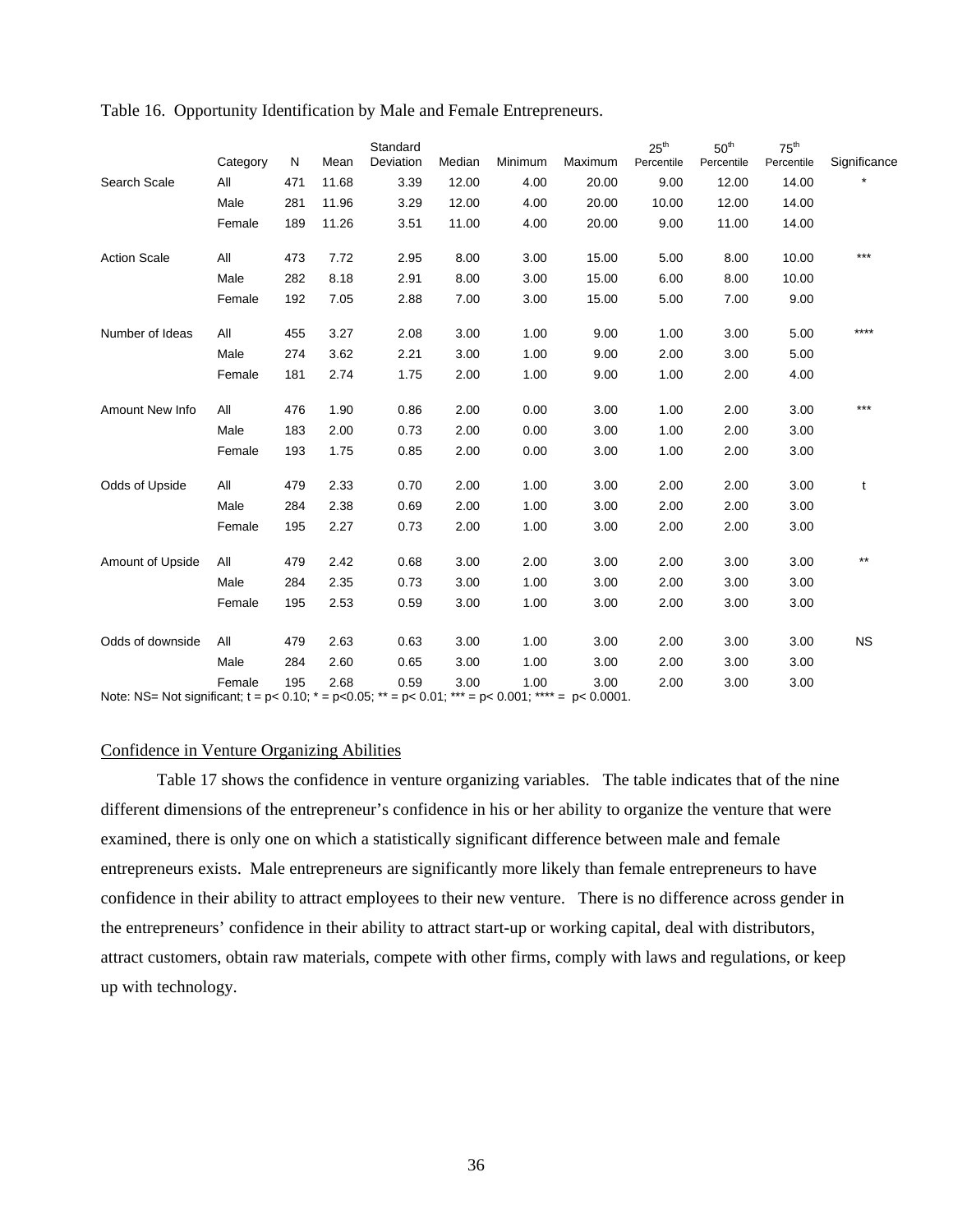|                                                                       | Category | N   | Mean  | Standard<br>Deviation | Median | Minimum                                              | Maximum                  | $25^{\text{th}}$<br>Percentile | $50^{\rm th}$<br>Percentile | 75 <sup>th</sup><br>Percentile | Significance |
|-----------------------------------------------------------------------|----------|-----|-------|-----------------------|--------|------------------------------------------------------|--------------------------|--------------------------------|-----------------------------|--------------------------------|--------------|
| Search Scale                                                          | All      | 471 | 11.68 | 3.39                  | 12.00  | 4.00                                                 | 20.00                    | 9.00                           | 12.00                       | 14.00                          |              |
|                                                                       | Male     | 281 | 11.96 | 3.29                  | 12.00  | 4.00                                                 | 20.00                    | 10.00                          | 12.00                       | 14.00                          |              |
|                                                                       | Female   | 189 | 11.26 | 3.51                  | 11.00  | 4.00                                                 | 20.00                    | 9.00                           | 11.00                       | 14.00                          |              |
| <b>Action Scale</b>                                                   | All      | 473 | 7.72  | 2.95                  | 8.00   | 3.00                                                 | 15.00                    | 5.00                           | 8.00                        | 10.00                          | ***          |
|                                                                       | Male     | 282 | 8.18  | 2.91                  | 8.00   | 3.00                                                 | 15.00                    | 6.00                           | 8.00                        | 10.00                          |              |
|                                                                       | Female   | 192 | 7.05  | 2.88                  | 7.00   | 3.00                                                 | 15.00                    | 5.00                           | 7.00                        | 9.00                           |              |
| Number of Ideas                                                       | All      | 455 | 3.27  | 2.08                  | 3.00   | 1.00                                                 | 9.00                     | 1.00                           | 3.00                        | 5.00                           | ****         |
|                                                                       | Male     | 274 | 3.62  | 2.21                  | 3.00   | 1.00                                                 | 9.00                     | 2.00                           | 3.00                        | 5.00                           |              |
|                                                                       | Female   | 181 | 2.74  | 1.75                  | 2.00   | 1.00                                                 | 9.00                     | 1.00                           | 2.00                        | 4.00                           |              |
| Amount New Info                                                       | All      | 476 | 1.90  | 0.86                  | 2.00   | 0.00                                                 | 3.00                     | 1.00                           | 2.00                        | 3.00                           | ***          |
|                                                                       | Male     | 183 | 2.00  | 0.73                  | 2.00   | 0.00                                                 | 3.00                     | 1.00                           | 2.00                        | 3.00                           |              |
|                                                                       | Female   | 193 | 1.75  | 0.85                  | 2.00   | 0.00                                                 | 3.00                     | 1.00                           | 2.00                        | 3.00                           |              |
| Odds of Upside                                                        | All      | 479 | 2.33  | 0.70                  | 2.00   | 1.00                                                 | 3.00                     | 2.00                           | 2.00                        | 3.00                           | t            |
|                                                                       | Male     | 284 | 2.38  | 0.69                  | 2.00   | 1.00                                                 | 3.00                     | 2.00                           | 2.00                        | 3.00                           |              |
|                                                                       | Female   | 195 | 2.27  | 0.73                  | 2.00   | 1.00                                                 | 3.00                     | 2.00                           | 2.00                        | 3.00                           |              |
| Amount of Upside                                                      | All      | 479 | 2.42  | 0.68                  | 3.00   | 2.00                                                 | 3.00                     | 2.00                           | 3.00                        | 3.00                           | $***$        |
|                                                                       | Male     | 284 | 2.35  | 0.73                  | 3.00   | 1.00                                                 | 3.00                     | 2.00                           | 3.00                        | 3.00                           |              |
|                                                                       | Female   | 195 | 2.53  | 0.59                  | 3.00   | 1.00                                                 | 3.00                     | 2.00                           | 3.00                        | 3.00                           |              |
| Odds of downside                                                      | All      | 479 | 2.63  | 0.63                  | 3.00   | 1.00                                                 | 3.00                     | 2.00                           | 3.00                        | 3.00                           | <b>NS</b>    |
|                                                                       | Male     | 284 | 2.60  | 0.65                  | 3.00   | 1.00                                                 | 3.00                     | 2.00                           | 3.00                        | 3.00                           |              |
| $N_{\text{data}} \setminus N_{\text{data}} \setminus N_{\text{data}}$ | Female   | 195 | 2.68  | 0.59                  | 3.00   | 1.00<br>$\sim$ . $\cap$ $\cap$ $\cap$ $\land$ . **** | 3.00<br>$n \cdot 0.0004$ | 2.00                           | 3.00                        | 3.00                           |              |

Table 16. Opportunity Identification by Male and Female Entrepreneurs.

Note: NS= Not significant;  $t = p < 0.10$ ;  $* = p < 0.05$ ;  $* = p < 0.01$ ;  $* = p < 0.001$ ;  $* = p < 0.0001$ .

#### Confidence in Venture Organizing Abilities

 Table 17 shows the confidence in venture organizing variables. The table indicates that of the nine different dimensions of the entrepreneur's confidence in his or her ability to organize the venture that were examined, there is only one on which a statistically significant difference between male and female entrepreneurs exists. Male entrepreneurs are significantly more likely than female entrepreneurs to have confidence in their ability to attract employees to their new venture. There is no difference across gender in the entrepreneurs' confidence in their ability to attract start-up or working capital, deal with distributors, attract customers, obtain raw materials, compete with other firms, comply with laws and regulations, or keep up with technology.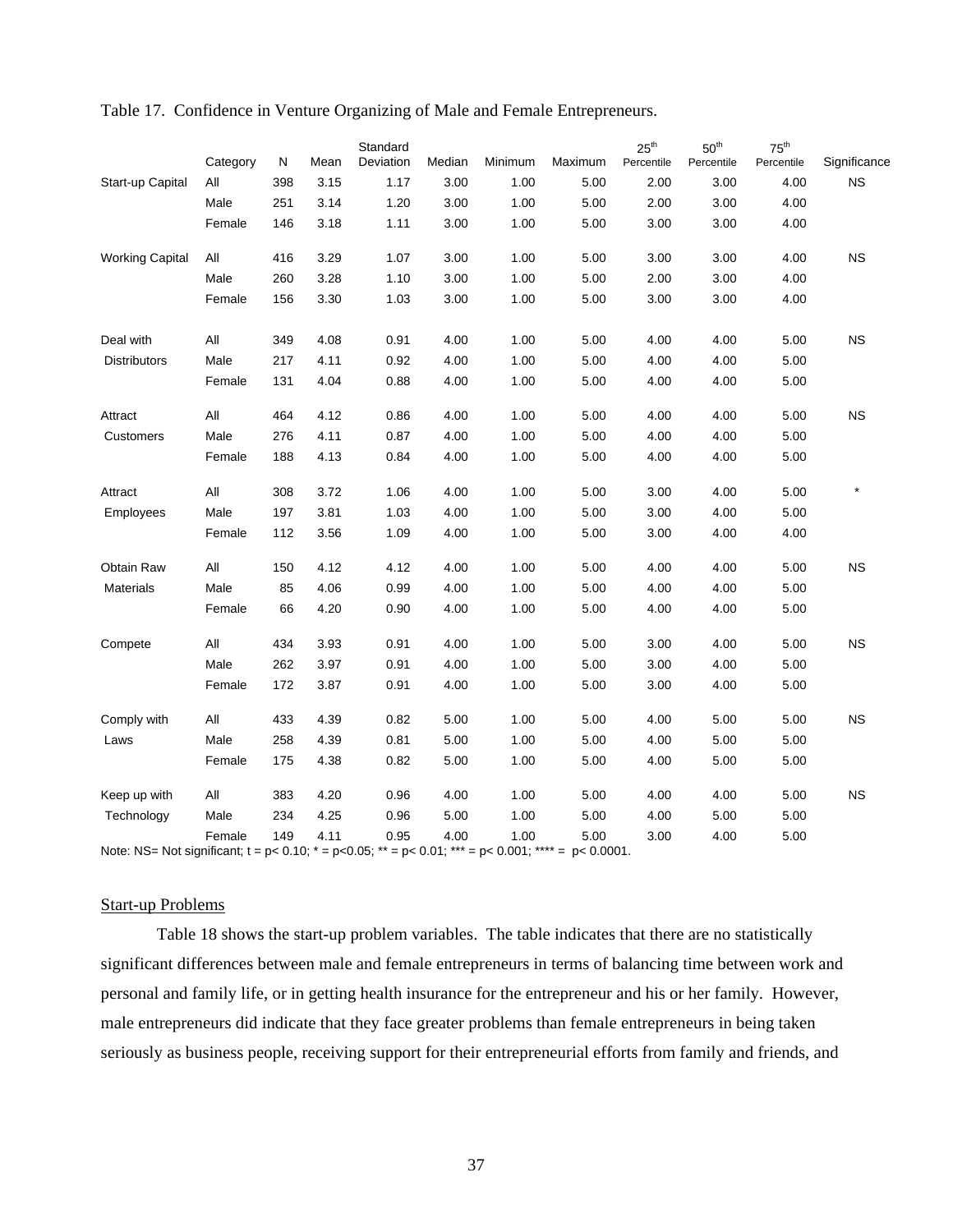|                                                                                                                    | Category | N   | Mean | Standard<br>Deviation | Median | Minimum | Maximum | $25^{\text{th}}$<br>Percentile | 50 <sup>th</sup><br>Percentile | $75^{\text{th}}$<br>Percentile | Significance |
|--------------------------------------------------------------------------------------------------------------------|----------|-----|------|-----------------------|--------|---------|---------|--------------------------------|--------------------------------|--------------------------------|--------------|
| Start-up Capital                                                                                                   | All      | 398 | 3.15 | 1.17                  | 3.00   | 1.00    | 5.00    | 2.00                           | 3.00                           | 4.00                           | <b>NS</b>    |
|                                                                                                                    | Male     | 251 | 3.14 | 1.20                  | 3.00   | 1.00    | 5.00    | 2.00                           | 3.00                           | 4.00                           |              |
|                                                                                                                    | Female   | 146 | 3.18 | 1.11                  | 3.00   | 1.00    | 5.00    | 3.00                           | 3.00                           | 4.00                           |              |
| <b>Working Capital</b>                                                                                             | All      | 416 | 3.29 | 1.07                  | 3.00   | 1.00    | 5.00    | 3.00                           | 3.00                           | 4.00                           | $_{\rm NS}$  |
|                                                                                                                    | Male     | 260 | 3.28 | 1.10                  | 3.00   | 1.00    | 5.00    | 2.00                           | 3.00                           | 4.00                           |              |
|                                                                                                                    | Female   | 156 | 3.30 | 1.03                  | 3.00   | 1.00    | 5.00    | 3.00                           | 3.00                           | 4.00                           |              |
| Deal with                                                                                                          | All      | 349 | 4.08 | 0.91                  | 4.00   | 1.00    | 5.00    | 4.00                           | 4.00                           | 5.00                           | NS           |
| <b>Distributors</b>                                                                                                | Male     | 217 | 4.11 | 0.92                  | 4.00   | 1.00    | 5.00    | 4.00                           | 4.00                           | 5.00                           |              |
|                                                                                                                    | Female   | 131 | 4.04 | 0.88                  | 4.00   | 1.00    | 5.00    | 4.00                           | 4.00                           | 5.00                           |              |
| Attract                                                                                                            | All      | 464 | 4.12 | 0.86                  | 4.00   | 1.00    | 5.00    | 4.00                           | 4.00                           | 5.00                           | <b>NS</b>    |
| <b>Customers</b>                                                                                                   | Male     | 276 | 4.11 | 0.87                  | 4.00   | 1.00    | 5.00    | 4.00                           | 4.00                           | 5.00                           |              |
|                                                                                                                    | Female   | 188 | 4.13 | 0.84                  | 4.00   | 1.00    | 5.00    | 4.00                           | 4.00                           | 5.00                           |              |
| Attract                                                                                                            | All      | 308 | 3.72 | 1.06                  | 4.00   | 1.00    | 5.00    | 3.00                           | 4.00                           | 5.00                           | $\star$      |
| Employees                                                                                                          | Male     | 197 | 3.81 | 1.03                  | 4.00   | 1.00    | 5.00    | 3.00                           | 4.00                           | 5.00                           |              |
|                                                                                                                    | Female   | 112 | 3.56 | 1.09                  | 4.00   | 1.00    | 5.00    | 3.00                           | 4.00                           | 4.00                           |              |
| Obtain Raw                                                                                                         | All      | 150 | 4.12 | 4.12                  | 4.00   | 1.00    | 5.00    | 4.00                           | 4.00                           | 5.00                           | NS           |
| <b>Materials</b>                                                                                                   | Male     | 85  | 4.06 | 0.99                  | 4.00   | 1.00    | 5.00    | 4.00                           | 4.00                           | 5.00                           |              |
|                                                                                                                    | Female   | 66  | 4.20 | 0.90                  | 4.00   | 1.00    | 5.00    | 4.00                           | 4.00                           | 5.00                           |              |
| Compete                                                                                                            | All      | 434 | 3.93 | 0.91                  | 4.00   | 1.00    | 5.00    | 3.00                           | 4.00                           | 5.00                           | <b>NS</b>    |
|                                                                                                                    | Male     | 262 | 3.97 | 0.91                  | 4.00   | 1.00    | 5.00    | 3.00                           | 4.00                           | 5.00                           |              |
|                                                                                                                    | Female   | 172 | 3.87 | 0.91                  | 4.00   | 1.00    | 5.00    | 3.00                           | 4.00                           | 5.00                           |              |
| Comply with                                                                                                        | All      | 433 | 4.39 | 0.82                  | 5.00   | 1.00    | 5.00    | 4.00                           | 5.00                           | 5.00                           | NS           |
| Laws                                                                                                               | Male     | 258 | 4.39 | 0.81                  | 5.00   | 1.00    | 5.00    | 4.00                           | 5.00                           | 5.00                           |              |
|                                                                                                                    | Female   | 175 | 4.38 | 0.82                  | 5.00   | 1.00    | 5.00    | 4.00                           | 5.00                           | 5.00                           |              |
| Keep up with                                                                                                       | All      | 383 | 4.20 | 0.96                  | 4.00   | 1.00    | 5.00    | 4.00                           | 4.00                           | 5.00                           | NS           |
| Technology                                                                                                         | Male     | 234 | 4.25 | 0.96                  | 5.00   | 1.00    | 5.00    | 4.00                           | 5.00                           | 5.00                           |              |
| Note: NS= Not significant; $t = p < 0.10$ ; $* = p < 0.05$ ; $* = p < 0.01$ ; $* = p < 0.001$ ; $* = p < 0.0001$ . | Female   | 149 | 4.11 | 0.95                  | 4.00   | 1.00    | 5.00    | 3.00                           | 4.00                           | 5.00                           |              |

#### Table 17. Confidence in Venture Organizing of Male and Female Entrepreneurs.

Start-up Problems

Table 18 shows the start-up problem variables. The table indicates that there are no statistically significant differences between male and female entrepreneurs in terms of balancing time between work and personal and family life, or in getting health insurance for the entrepreneur and his or her family. However, male entrepreneurs did indicate that they face greater problems than female entrepreneurs in being taken seriously as business people, receiving support for their entrepreneurial efforts from family and friends, and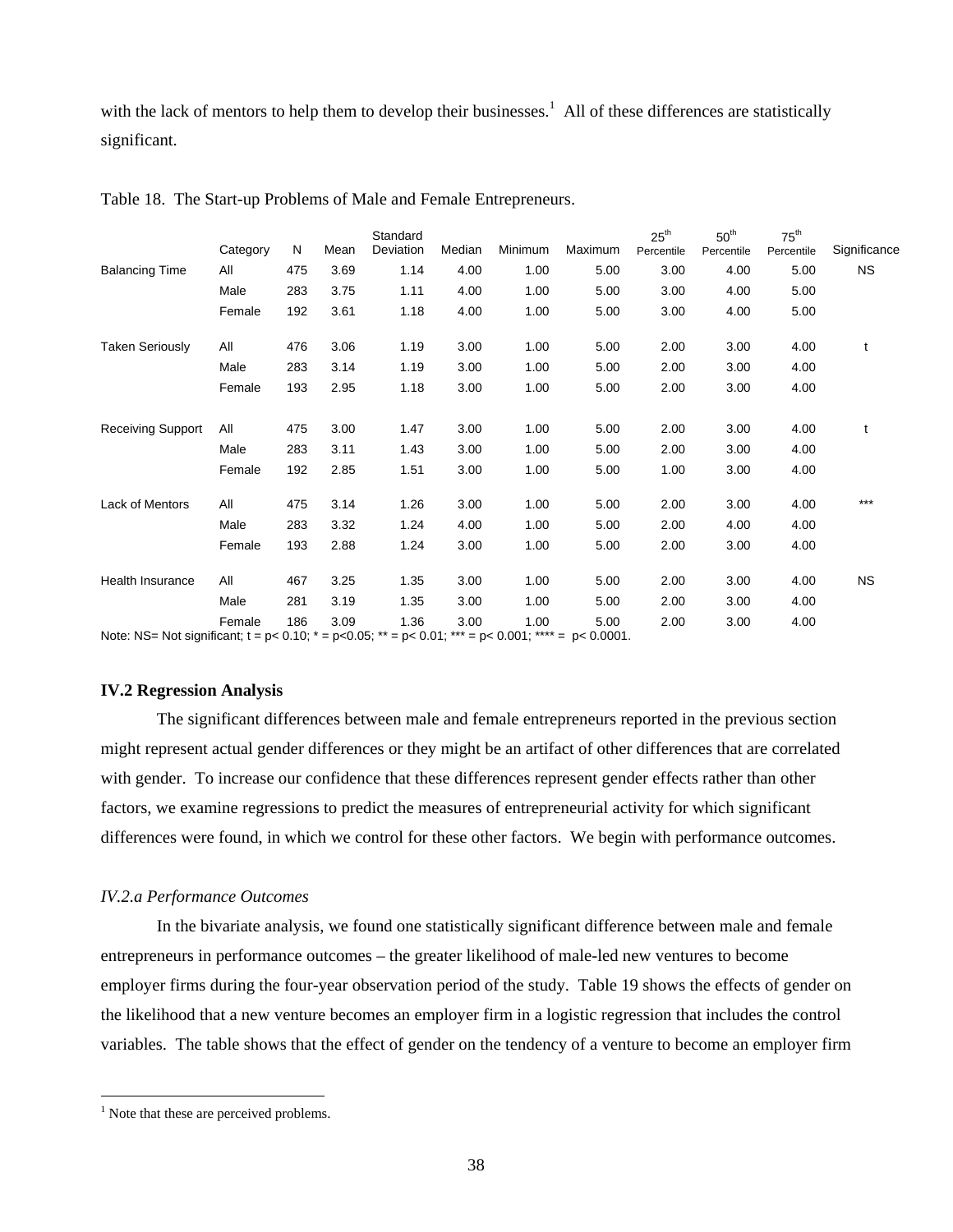with the lack of mentors to help them to develop their businesses.<sup>1</sup> All of these differences are statistically significant.

|                                                                                                                         | Category | N   | Mean | Standard<br>Deviation | Median | Minimum | Maximum | $25^{\text{th}}$<br>Percentile | 50 <sup>th</sup><br>Percentile | $75^{\text{th}}$<br>Percentile | Significance |
|-------------------------------------------------------------------------------------------------------------------------|----------|-----|------|-----------------------|--------|---------|---------|--------------------------------|--------------------------------|--------------------------------|--------------|
| <b>Balancing Time</b>                                                                                                   | All      | 475 | 3.69 | 1.14                  | 4.00   | 1.00    | 5.00    | 3.00                           | 4.00                           | 5.00                           | <b>NS</b>    |
|                                                                                                                         | Male     | 283 | 3.75 | 1.11                  | 4.00   | 1.00    | 5.00    | 3.00                           | 4.00                           | 5.00                           |              |
|                                                                                                                         | Female   | 192 | 3.61 | 1.18                  | 4.00   | 1.00    | 5.00    | 3.00                           | 4.00                           | 5.00                           |              |
| <b>Taken Seriously</b>                                                                                                  | All      | 476 | 3.06 | 1.19                  | 3.00   | 1.00    | 5.00    | 2.00                           | 3.00                           | 4.00                           | t            |
|                                                                                                                         | Male     | 283 | 3.14 | 1.19                  | 3.00   | 1.00    | 5.00    | 2.00                           | 3.00                           | 4.00                           |              |
|                                                                                                                         | Female   | 193 | 2.95 | 1.18                  | 3.00   | 1.00    | 5.00    | 2.00                           | 3.00                           | 4.00                           |              |
| <b>Receiving Support</b>                                                                                                | All      | 475 | 3.00 | 1.47                  | 3.00   | 1.00    | 5.00    | 2.00                           | 3.00                           | 4.00                           | t            |
|                                                                                                                         | Male     | 283 | 3.11 | 1.43                  | 3.00   | 1.00    | 5.00    | 2.00                           | 3.00                           | 4.00                           |              |
|                                                                                                                         | Female   | 192 | 2.85 | 1.51                  | 3.00   | 1.00    | 5.00    | 1.00                           | 3.00                           | 4.00                           |              |
| Lack of Mentors                                                                                                         | All      | 475 | 3.14 | 1.26                  | 3.00   | 1.00    | 5.00    | 2.00                           | 3.00                           | 4.00                           | $***$        |
|                                                                                                                         | Male     | 283 | 3.32 | 1.24                  | 4.00   | 1.00    | 5.00    | 2.00                           | 4.00                           | 4.00                           |              |
|                                                                                                                         | Female   | 193 | 2.88 | 1.24                  | 3.00   | 1.00    | 5.00    | 2.00                           | 3.00                           | 4.00                           |              |
| <b>Health Insurance</b>                                                                                                 | All      | 467 | 3.25 | 1.35                  | 3.00   | 1.00    | 5.00    | 2.00                           | 3.00                           | 4.00                           | <b>NS</b>    |
|                                                                                                                         | Male     | 281 | 3.19 | 1.35                  | 3.00   | 1.00    | 5.00    | 2.00                           | 3.00                           | 4.00                           |              |
| Note: NS= Not significant; $t = p < 0.10$ ; $* = p < 0.05$ ; $** = p < 0.01$ ; $*** = p < 0.001$ ; $*** = p < 0.0001$ . | Female   | 186 | 3.09 | 1.36                  | 3.00   | 1.00    | 5.00    | 2.00                           | 3.00                           | 4.00                           |              |

Table 18. The Start-up Problems of Male and Female Entrepreneurs.

#### **IV.2 Regression Analysis**

 The significant differences between male and female entrepreneurs reported in the previous section might represent actual gender differences or they might be an artifact of other differences that are correlated with gender. To increase our confidence that these differences represent gender effects rather than other factors, we examine regressions to predict the measures of entrepreneurial activity for which significant differences were found, in which we control for these other factors. We begin with performance outcomes.

#### *IV.2.a Performance Outcomes*

In the bivariate analysis, we found one statistically significant difference between male and female entrepreneurs in performance outcomes – the greater likelihood of male-led new ventures to become employer firms during the four-year observation period of the study. Table 19 shows the effects of gender on the likelihood that a new venture becomes an employer firm in a logistic regression that includes the control variables. The table shows that the effect of gender on the tendency of a venture to become an employer firm

 $\overline{a}$ 

<sup>&</sup>lt;sup>1</sup> Note that these are perceived problems.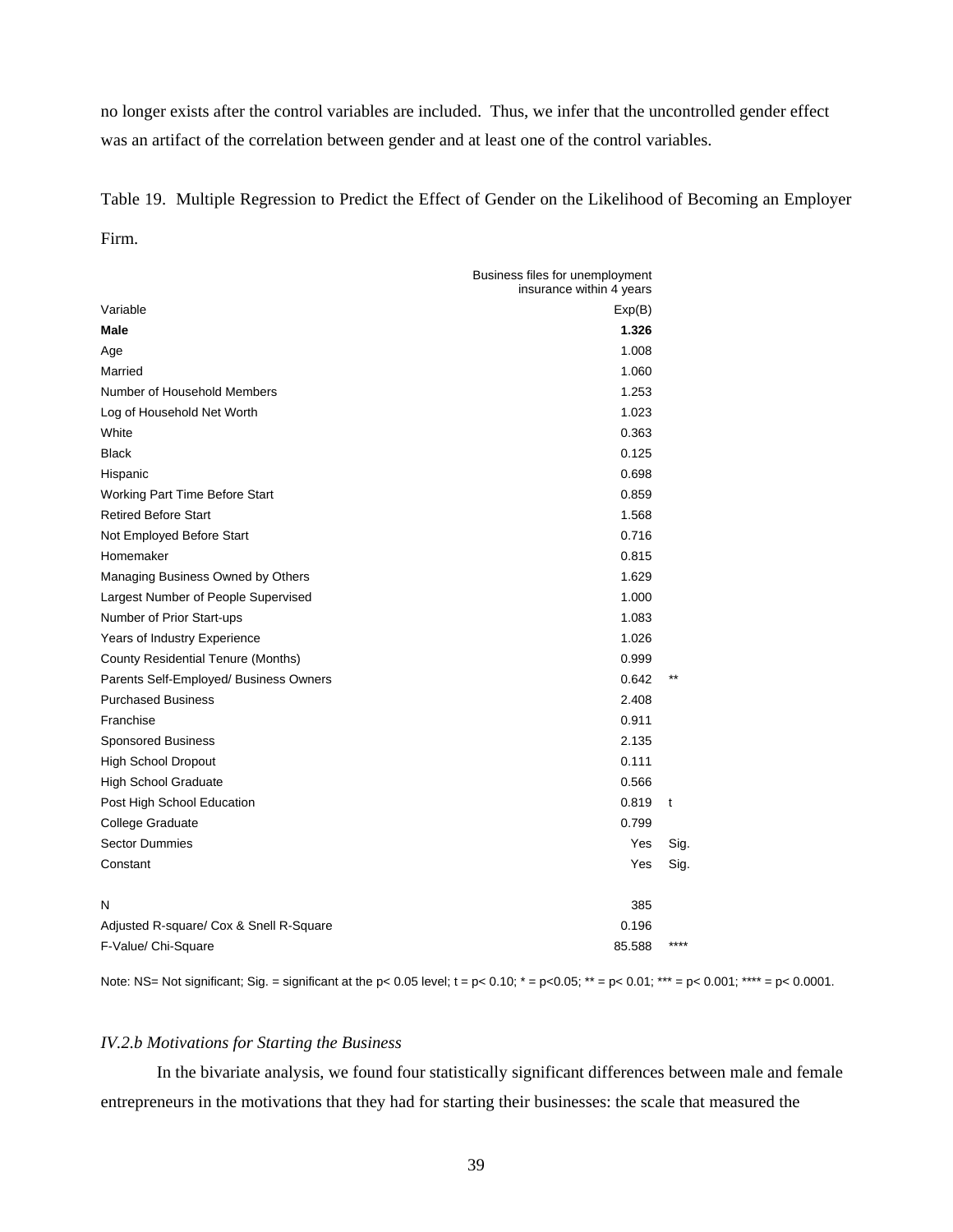no longer exists after the control variables are included. Thus, we infer that the uncontrolled gender effect was an artifact of the correlation between gender and at least one of the control variables.

Table 19. Multiple Regression to Predict the Effect of Gender on the Likelihood of Becoming an Employer Firm.

|                                           | Business files for unemployment<br>insurance within 4 years |       |
|-------------------------------------------|-------------------------------------------------------------|-------|
| Variable                                  | Exp(B)                                                      |       |
| Male                                      | 1.326                                                       |       |
| Age                                       | 1.008                                                       |       |
| Married                                   | 1.060                                                       |       |
| Number of Household Members               | 1.253                                                       |       |
| Log of Household Net Worth                | 1.023                                                       |       |
| White                                     | 0.363                                                       |       |
| <b>Black</b>                              | 0.125                                                       |       |
| Hispanic                                  | 0.698                                                       |       |
| Working Part Time Before Start            | 0.859                                                       |       |
| <b>Retired Before Start</b>               | 1.568                                                       |       |
| Not Employed Before Start                 | 0.716                                                       |       |
| Homemaker                                 | 0.815                                                       |       |
| Managing Business Owned by Others         | 1.629                                                       |       |
| Largest Number of People Supervised       | 1.000                                                       |       |
| Number of Prior Start-ups                 | 1.083                                                       |       |
| Years of Industry Experience              | 1.026                                                       |       |
| <b>County Residential Tenure (Months)</b> | 0.999                                                       |       |
| Parents Self-Employed/ Business Owners    | 0.642                                                       | $***$ |
| <b>Purchased Business</b>                 | 2.408                                                       |       |
| Franchise                                 | 0.911                                                       |       |
| <b>Sponsored Business</b>                 | 2.135                                                       |       |
| <b>High School Dropout</b>                | 0.111                                                       |       |
| <b>High School Graduate</b>               | 0.566                                                       |       |
| Post High School Education                | 0.819                                                       | t     |
| College Graduate                          | 0.799                                                       |       |
| <b>Sector Dummies</b>                     | Yes                                                         | Sig.  |
| Constant                                  | Yes                                                         | Sig.  |
| N                                         | 385                                                         |       |
| Adjusted R-square/ Cox & Snell R-Square   | 0.196                                                       |       |
| F-Value/ Chi-Square                       | 85.588                                                      | $***$ |

Note: NS= Not significant; Sig. = significant at the p< 0.05 level;  $t = p < 0.10$ ;  $* = p < 0.05$ ;  $** = p < 0.01$ ;  $*** = p < 0.001$ ;  $*** = p < 0.0001$ .

# *IV.2.b Motivations for Starting the Business*

In the bivariate analysis, we found four statistically significant differences between male and female entrepreneurs in the motivations that they had for starting their businesses: the scale that measured the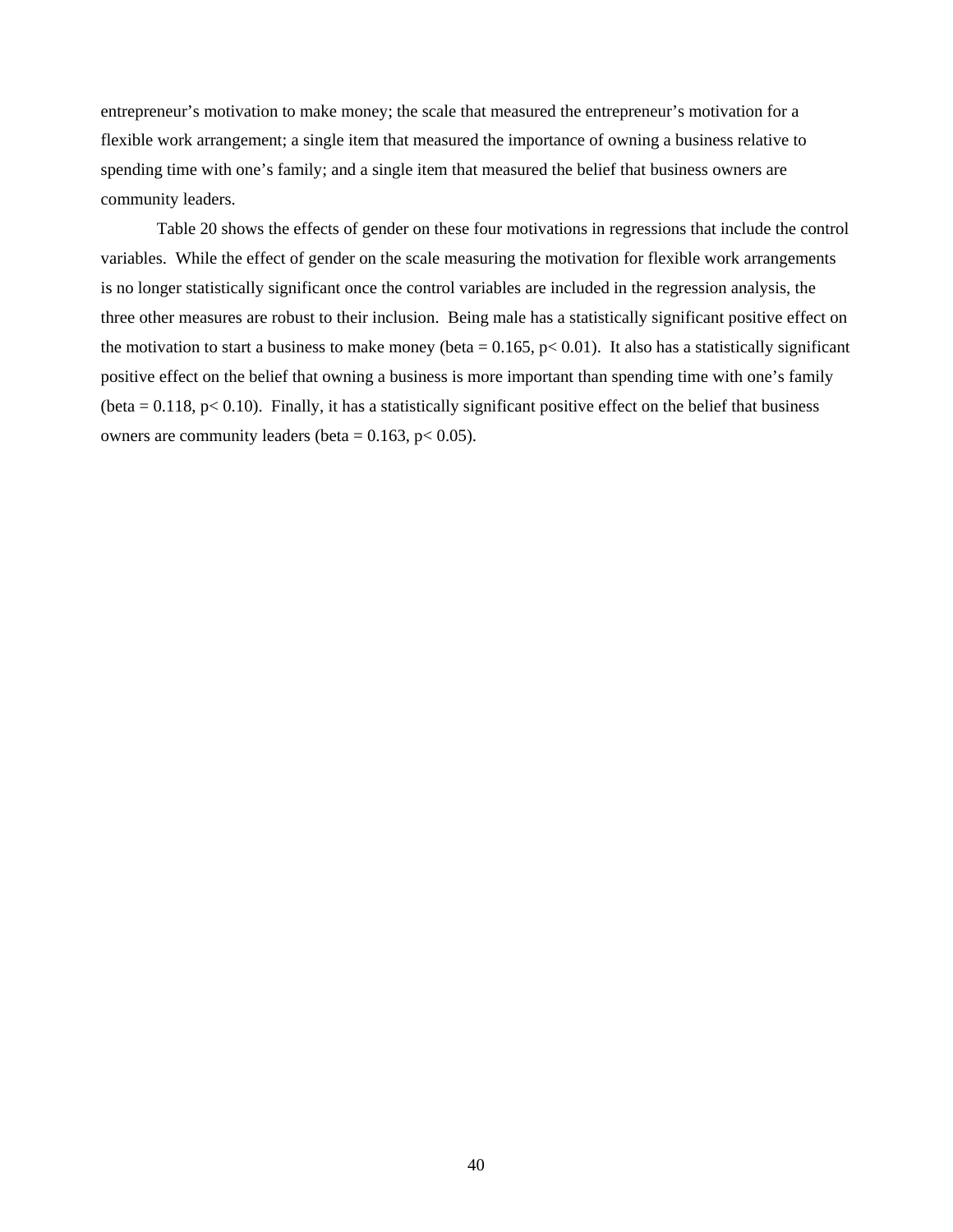entrepreneur's motivation to make money; the scale that measured the entrepreneur's motivation for a flexible work arrangement; a single item that measured the importance of owning a business relative to spending time with one's family; and a single item that measured the belief that business owners are community leaders.

Table 20 shows the effects of gender on these four motivations in regressions that include the control variables. While the effect of gender on the scale measuring the motivation for flexible work arrangements is no longer statistically significant once the control variables are included in the regression analysis, the three other measures are robust to their inclusion. Being male has a statistically significant positive effect on the motivation to start a business to make money (beta =  $0.165$ , p< 0.01). It also has a statistically significant positive effect on the belief that owning a business is more important than spending time with one's family (beta  $= 0.118$ , p $< 0.10$ ). Finally, it has a statistically significant positive effect on the belief that business owners are community leaders (beta =  $0.163$ , p <  $0.05$ ).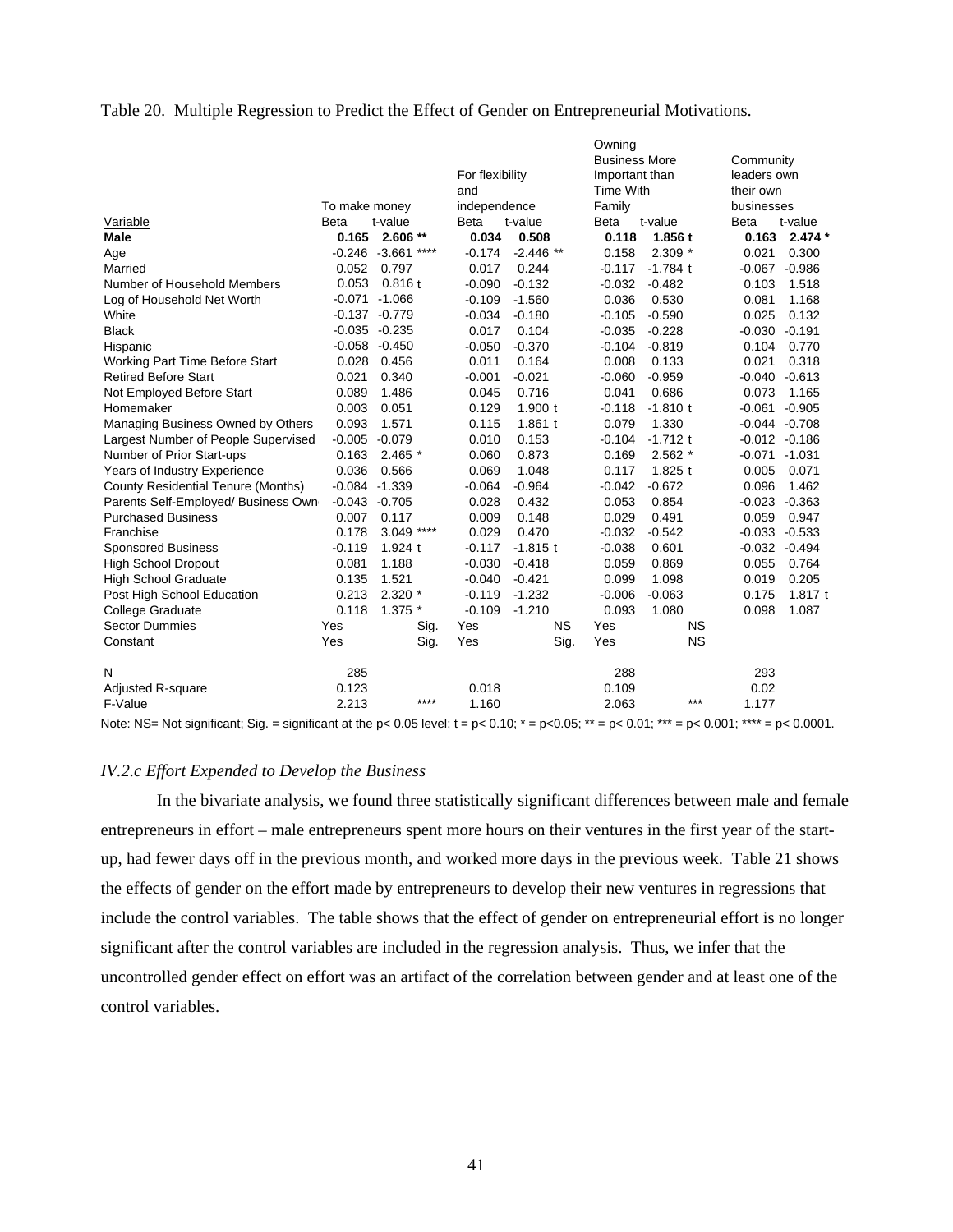#### Table 20. Multiple Regression to Predict the Effect of Gender on Entrepreneurial Motivations.

|                                           |                  |                  |                 |             | Owning               |            |                  |           |
|-------------------------------------------|------------------|------------------|-----------------|-------------|----------------------|------------|------------------|-----------|
|                                           |                  |                  |                 |             | <b>Business More</b> |            | Community        |           |
|                                           |                  |                  | For flexibility |             | Important than       |            | leaders own      |           |
|                                           |                  |                  | and             |             | <b>Time With</b>     |            | their own        |           |
|                                           | To make money    |                  | independence    |             | Family               |            | businesses       |           |
| Variable                                  | <b>Beta</b>      | t-value          | Beta            | t-value     | Beta                 | t-value    | <b>Beta</b>      | t-value   |
| <b>Male</b>                               | 0.165            | $2.606**$        | 0.034           | 0.508       | 0.118                | 1.856t     | 0.163            | $2.474*$  |
| Age                                       | $-0.246 - 3.661$ | ****             | $-0.174$        | $-2.446$ ** | 0.158                | $2.309*$   | 0.021            | 0.300     |
| Married                                   | 0.052            | 0.797            | 0.017           | 0.244       | $-0.117$             | $-1.784$ t | $-0.067$         | $-0.986$  |
| Number of Household Members               | 0.053            | 0.816t           | $-0.090$        | $-0.132$    | $-0.032$             | $-0.482$   | 0.103            | 1.518     |
| Log of Household Net Worth                |                  | $-0.071 - 1.066$ | $-0.109$        | $-1.560$    | 0.036                | 0.530      | 0.081            | 1.168     |
| White                                     |                  | $-0.137 - 0.779$ | $-0.034$        | $-0.180$    | $-0.105$             | $-0.590$   | 0.025            | 0.132     |
| <b>Black</b>                              |                  | $-0.035 - 0.235$ | 0.017           | 0.104       | $-0.035$             | $-0.228$   | $-0.030$         | $-0.191$  |
| Hispanic                                  |                  | $-0.058 - 0.450$ | $-0.050$        | $-0.370$    | $-0.104$             | $-0.819$   | 0.104            | 0.770     |
| <b>Working Part Time Before Start</b>     | 0.028            | 0.456            | 0.011           | 0.164       | 0.008                | 0.133      | 0.021            | 0.318     |
| <b>Retired Before Start</b>               | 0.021            | 0.340            | $-0.001$        | $-0.021$    | $-0.060$             | $-0.959$   | $-0.040$         | $-0.613$  |
| Not Employed Before Start                 | 0.089            | 1.486            | 0.045           | 0.716       | 0.041                | 0.686      | 0.073            | 1.165     |
| Homemaker                                 | 0.003            | 0.051            | 0.129           | 1.900 t     | $-0.118$             | $-1.810$ t | $-0.061$         | $-0.905$  |
| Managing Business Owned by Others         | 0.093            | 1.571            | 0.115           | 1.861t      | 0.079                | 1.330      | -0.044           | $-0.708$  |
| Largest Number of People Supervised       | $-0.005$         | $-0.079$         | 0.010           | 0.153       | $-0.104$             | $-1.712$ t | $-0.012 - 0.186$ |           |
| Number of Prior Start-ups                 | 0.163            | $2.465*$         | 0.060           | 0.873       | 0.169                | $2.562*$   | $-0.071$         | $-1.031$  |
| Years of Industry Experience              | 0.036            | 0.566            | 0.069           | 1.048       | 0.117                | $1.825$ t  | 0.005            | 0.071     |
| <b>County Residential Tenure (Months)</b> | $-0.084$         | $-1.339$         | $-0.064$        | $-0.964$    | $-0.042$             | $-0.672$   | 0.096            | 1.462     |
| Parents Self-Employed/ Business Own       | $-0.043$         | $-0.705$         | 0.028           | 0.432       | 0.053                | 0.854      | $-0.023$         | $-0.363$  |
| <b>Purchased Business</b>                 | 0.007            | 0.117            | 0.009           | 0.148       | 0.029                | 0.491      | 0.059            | 0.947     |
| Franchise                                 | 0.178            | ****<br>3.049    | 0.029           | 0.470       | $-0.032$             | $-0.542$   | $-0.033$         | $-0.533$  |
| <b>Sponsored Business</b>                 | $-0.119$         | 1.924 t          | $-0.117$        | $-1.815$ t  | $-0.038$             | 0.601      | $-0.032 - 0.494$ |           |
| <b>High School Dropout</b>                | 0.081            | 1.188            | $-0.030$        | $-0.418$    | 0.059                | 0.869      | 0.055            | 0.764     |
| <b>High School Graduate</b>               | 0.135            | 1.521            | $-0.040$        | $-0.421$    | 0.099                | 1.098      | 0.019            | 0.205     |
| Post High School Education                | 0.213            | $2.320*$         | $-0.119$        | $-1.232$    | $-0.006$             | $-0.063$   | 0.175            | 1.817 $t$ |
| College Graduate                          | 0.118            | $1.375$ *        | $-0.109$        | $-1.210$    | 0.093                | 1.080      | 0.098            | 1.087     |
| <b>Sector Dummies</b>                     | Yes              | Sig.             | Yes             | <b>NS</b>   | Yes                  | <b>NS</b>  |                  |           |
| Constant                                  | Yes              | Sig.             | Yes             | Sig.        | Yes                  | <b>NS</b>  |                  |           |
| N                                         | 285              |                  |                 |             | 288                  |            | 293              |           |
| <b>Adjusted R-square</b>                  | 0.123            |                  | 0.018           |             | 0.109                |            | 0.02             |           |
| F-Value                                   | 2.213            | ****             | 1.160           |             | 2.063                | ***        | 1.177            |           |

Note: NS= Not significant; Sig. = significant at the p< 0.05 level;  $t = p < 0.10$ ;  $* = p < 0.05$ ;  $** = p < 0.01$ ;  $*** = p < 0.001$ ;  $*** = p < 0.0001$ .

#### *IV.2.c Effort Expended to Develop the Business*

In the bivariate analysis, we found three statistically significant differences between male and female entrepreneurs in effort – male entrepreneurs spent more hours on their ventures in the first year of the startup, had fewer days off in the previous month, and worked more days in the previous week. Table 21 shows the effects of gender on the effort made by entrepreneurs to develop their new ventures in regressions that include the control variables. The table shows that the effect of gender on entrepreneurial effort is no longer significant after the control variables are included in the regression analysis. Thus, we infer that the uncontrolled gender effect on effort was an artifact of the correlation between gender and at least one of the control variables.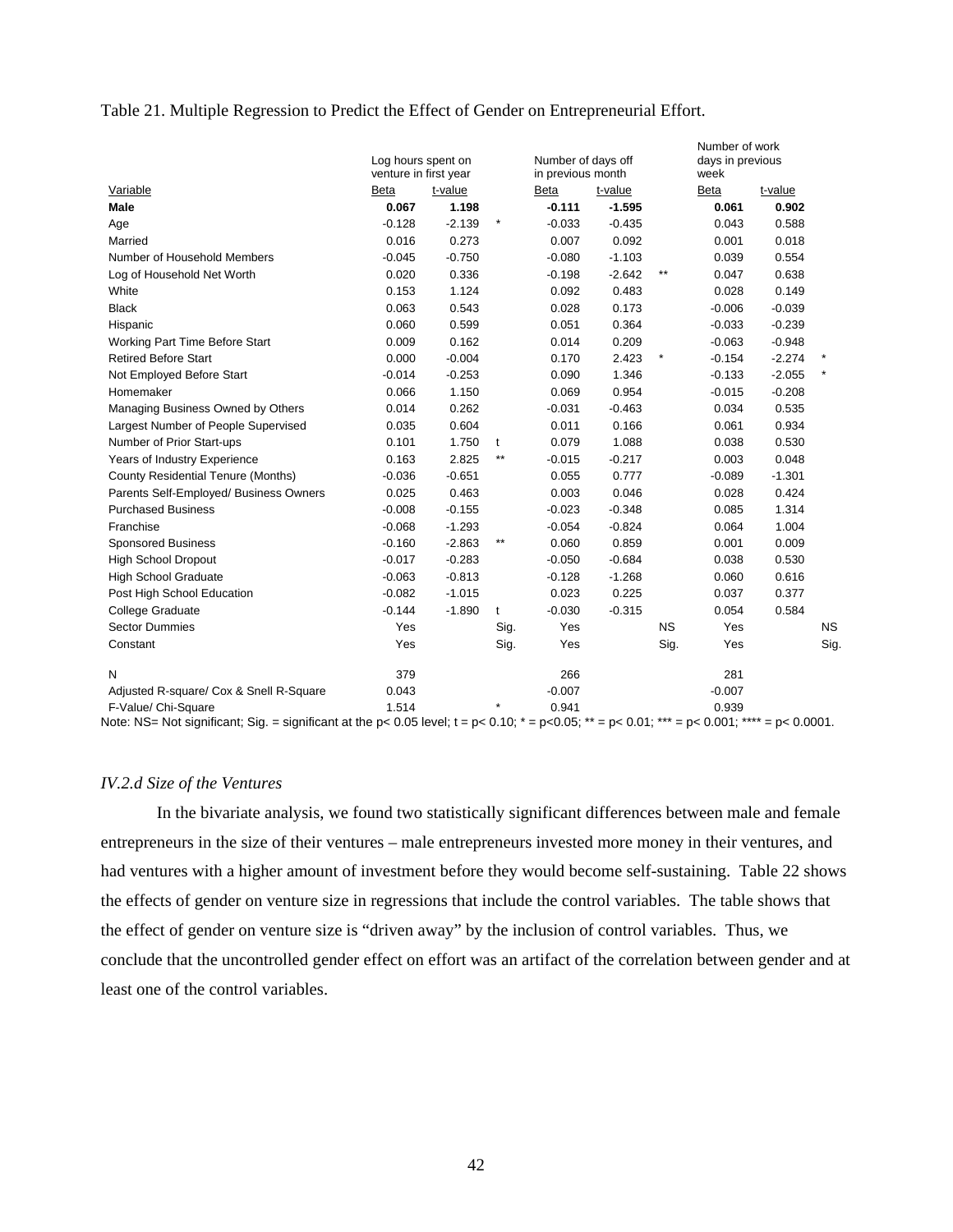#### Table 21. Multiple Regression to Predict the Effect of Gender on Entrepreneurial Effort.

|                                                                                                                                                                                     | Log hours spent on<br>venture in first year |          |                 | Number of days off<br>in previous month |          |              | Number of work<br>days in previous<br>week |          |           |
|-------------------------------------------------------------------------------------------------------------------------------------------------------------------------------------|---------------------------------------------|----------|-----------------|-----------------------------------------|----------|--------------|--------------------------------------------|----------|-----------|
| Variable                                                                                                                                                                            | Beta                                        | t-value  |                 | Beta                                    | t-value  |              | Beta                                       | t-value  |           |
| Male                                                                                                                                                                                | 0.067                                       | 1.198    |                 | $-0.111$                                | $-1.595$ |              | 0.061                                      | 0.902    |           |
| Age                                                                                                                                                                                 | $-0.128$                                    | $-2.139$ | $\ast$          | $-0.033$                                | $-0.435$ |              | 0.043                                      | 0.588    |           |
| Married                                                                                                                                                                             | 0.016                                       | 0.273    |                 | 0.007                                   | 0.092    |              | 0.001                                      | 0.018    |           |
| Number of Household Members                                                                                                                                                         | $-0.045$                                    | $-0.750$ |                 | $-0.080$                                | $-1.103$ |              | 0.039                                      | 0.554    |           |
| Log of Household Net Worth                                                                                                                                                          | 0.020                                       | 0.336    |                 | $-0.198$                                | $-2.642$ | $\star\star$ | 0.047                                      | 0.638    |           |
| White                                                                                                                                                                               | 0.153                                       | 1.124    |                 | 0.092                                   | 0.483    |              | 0.028                                      | 0.149    |           |
| <b>Black</b>                                                                                                                                                                        | 0.063                                       | 0.543    |                 | 0.028                                   | 0.173    |              | $-0.006$                                   | $-0.039$ |           |
| Hispanic                                                                                                                                                                            | 0.060                                       | 0.599    |                 | 0.051                                   | 0.364    |              | $-0.033$                                   | $-0.239$ |           |
| Working Part Time Before Start                                                                                                                                                      | 0.009                                       | 0.162    |                 | 0.014                                   | 0.209    |              | $-0.063$                                   | $-0.948$ |           |
| <b>Retired Before Start</b>                                                                                                                                                         | 0.000                                       | $-0.004$ |                 | 0.170                                   | 2.423    |              | $-0.154$                                   | $-2.274$ |           |
| Not Employed Before Start                                                                                                                                                           | $-0.014$                                    | $-0.253$ |                 | 0.090                                   | 1.346    |              | $-0.133$                                   | $-2.055$ |           |
| Homemaker                                                                                                                                                                           | 0.066                                       | 1.150    |                 | 0.069                                   | 0.954    |              | $-0.015$                                   | $-0.208$ |           |
| Managing Business Owned by Others                                                                                                                                                   | 0.014                                       | 0.262    |                 | $-0.031$                                | $-0.463$ |              | 0.034                                      | 0.535    |           |
| Largest Number of People Supervised                                                                                                                                                 | 0.035                                       | 0.604    |                 | 0.011                                   | 0.166    |              | 0.061                                      | 0.934    |           |
| Number of Prior Start-ups                                                                                                                                                           | 0.101                                       | 1.750    | t               | 0.079                                   | 1.088    |              | 0.038                                      | 0.530    |           |
| Years of Industry Experience                                                                                                                                                        | 0.163                                       | 2.825    | $^{\star\star}$ | $-0.015$                                | $-0.217$ |              | 0.003                                      | 0.048    |           |
| County Residential Tenure (Months)                                                                                                                                                  | $-0.036$                                    | $-0.651$ |                 | 0.055                                   | 0.777    |              | $-0.089$                                   | $-1.301$ |           |
| Parents Self-Employed/ Business Owners                                                                                                                                              | 0.025                                       | 0.463    |                 | 0.003                                   | 0.046    |              | 0.028                                      | 0.424    |           |
| <b>Purchased Business</b>                                                                                                                                                           | $-0.008$                                    | $-0.155$ |                 | $-0.023$                                | $-0.348$ |              | 0.085                                      | 1.314    |           |
| Franchise                                                                                                                                                                           | $-0.068$                                    | $-1.293$ |                 | $-0.054$                                | $-0.824$ |              | 0.064                                      | 1.004    |           |
| <b>Sponsored Business</b>                                                                                                                                                           | $-0.160$                                    | $-2.863$ | $***$           | 0.060                                   | 0.859    |              | 0.001                                      | 0.009    |           |
| <b>High School Dropout</b>                                                                                                                                                          | $-0.017$                                    | $-0.283$ |                 | $-0.050$                                | $-0.684$ |              | 0.038                                      | 0.530    |           |
| <b>High School Graduate</b>                                                                                                                                                         | $-0.063$                                    | $-0.813$ |                 | $-0.128$                                | $-1.268$ |              | 0.060                                      | 0.616    |           |
| Post High School Education                                                                                                                                                          | $-0.082$                                    | $-1.015$ |                 | 0.023                                   | 0.225    |              | 0.037                                      | 0.377    |           |
| <b>College Graduate</b>                                                                                                                                                             | $-0.144$                                    | $-1.890$ | t               | $-0.030$                                | $-0.315$ |              | 0.054                                      | 0.584    |           |
| <b>Sector Dummies</b>                                                                                                                                                               | Yes                                         |          | Sig.            | Yes                                     |          | <b>NS</b>    | Yes                                        |          | <b>NS</b> |
| Constant                                                                                                                                                                            | Yes                                         |          | Sig.            | Yes                                     |          | Sig.         | Yes                                        |          | Sig.      |
| N                                                                                                                                                                                   | 379                                         |          |                 | 266                                     |          |              | 281                                        |          |           |
| Adjusted R-square/ Cox & Snell R-Square                                                                                                                                             | 0.043                                       |          |                 | $-0.007$                                |          |              | $-0.007$                                   |          |           |
| F-Value/ Chi-Square<br>Note: NS= Not significant; Sig. = significant at the p< 0.05 level; t = p< 0.10; $* = p < 0.05$ ; $** = p < 0.01$ ; $*** = p < 0.001$ ; $*** = p < 0.0001$ . | 1.514                                       |          |                 | 0.941                                   |          |              | 0.939                                      |          |           |

#### *IV.2.d Size of the Ventures*

In the bivariate analysis, we found two statistically significant differences between male and female entrepreneurs in the size of their ventures – male entrepreneurs invested more money in their ventures, and had ventures with a higher amount of investment before they would become self-sustaining. Table 22 shows the effects of gender on venture size in regressions that include the control variables. The table shows that the effect of gender on venture size is "driven away" by the inclusion of control variables. Thus, we conclude that the uncontrolled gender effect on effort was an artifact of the correlation between gender and at least one of the control variables.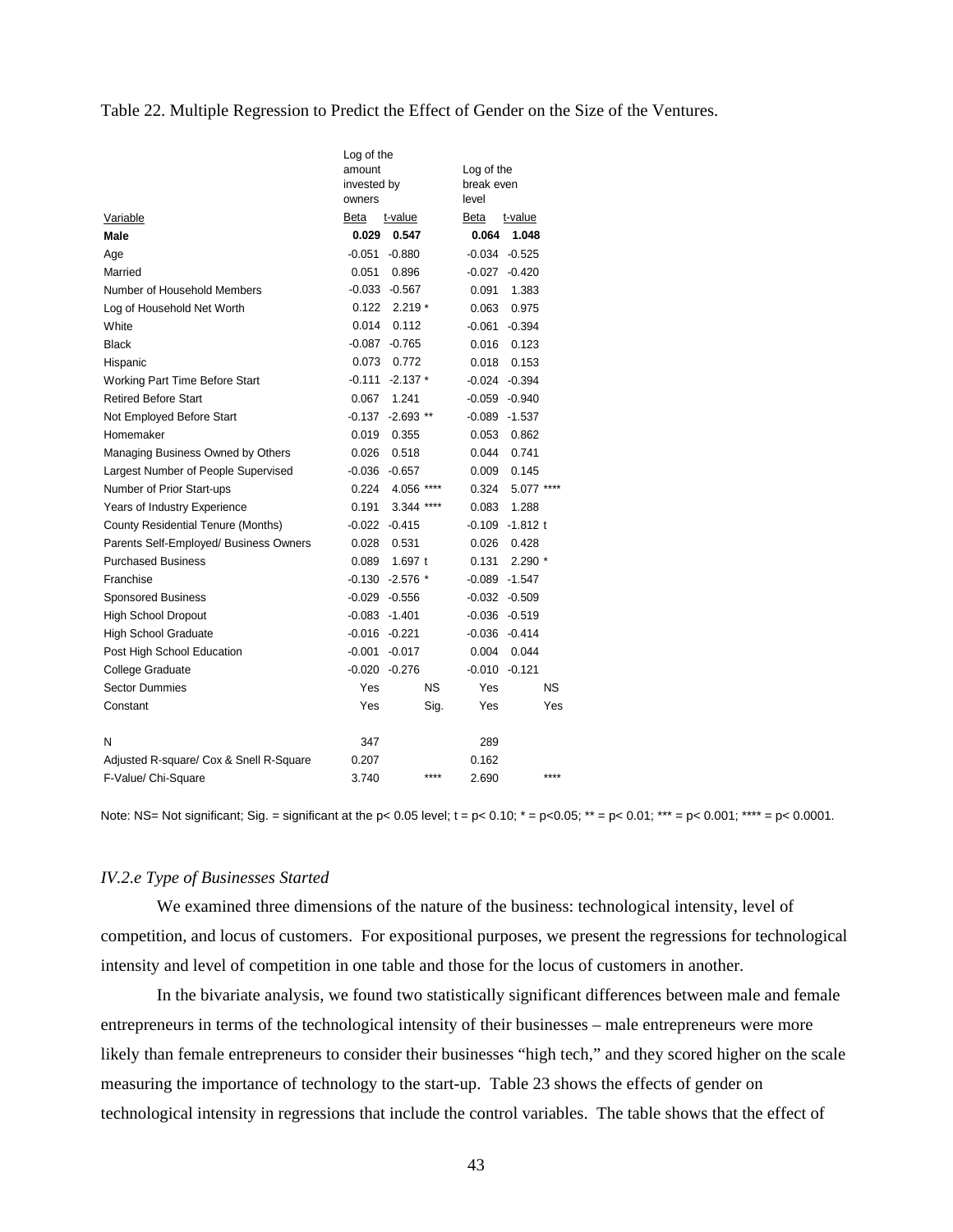#### Table 22. Multiple Regression to Predict the Effect of Gender on the Size of the Ventures.

|                                         | Log of the<br>amount<br>invested by<br>owners | Log of the<br>break even<br>level |
|-----------------------------------------|-----------------------------------------------|-----------------------------------|
| Variable                                | Beta<br>t-value                               | Beta<br>t-value                   |
| Male                                    | 0.029<br>0.547                                | 0.064<br>1.048                    |
| Age                                     | $-0.051$<br>$-0.880$                          | -0.034<br>$-0.525$                |
| Married                                 | 0.051<br>0.896                                | $-0.420$<br>-0.027                |
| Number of Household Members             | $-0.033 -0.567$                               | 1.383<br>0.091                    |
| Log of Household Net Worth              | 0.122<br>$2.219*$                             | 0.975<br>0.063                    |
| White                                   | 0.014<br>0.112                                | -0.061<br>$-0.394$                |
| <b>Black</b>                            | $-0.765$<br>-0.087                            | 0.016<br>0.123                    |
| Hispanic                                | 0.073<br>0.772                                | 0.018<br>0.153                    |
| Working Part Time Before Start          | $-0.111$<br>$-2.137*$                         | -0.024<br>$-0.394$                |
| <b>Retired Before Start</b>             | 1.241<br>0.067                                | $-0.059$<br>$-0.940$              |
| Not Employed Before Start               | $-0.137 -2.693$ **                            | -0.089<br>$-1.537$                |
| Homemaker                               | 0.019<br>0.355                                | 0.053<br>0.862                    |
| Managing Business Owned by Others       | 0.026<br>0.518                                | 0.044<br>0.741                    |
| Largest Number of People Supervised     | $-0.036$<br>$-0.657$                          | 0.009<br>0.145                    |
| Number of Prior Start-ups               | 0.224<br>4.056 ****                           | 0.324<br>5.077 ****               |
| Years of Industry Experience            | 0.191<br>3.344 ****                           | 1.288<br>0.083                    |
| County Residential Tenure (Months)      | $-0.415$<br>-0.022                            | $-0.109$<br>$-1.812$ t            |
| Parents Self-Employed/ Business Owners  | 0.028<br>0.531                                | 0.428<br>0.026                    |
| <b>Purchased Business</b>               | 0.089<br>1.697 $t$                            | $2.290*$<br>0.131                 |
| Franchise                               | $-0.130 -2.576$ *                             | $-1.547$<br>-0.089                |
| <b>Sponsored Business</b>               | $-0.029 -0.556$                               | -0.032<br>$-0.509$                |
| <b>High School Dropout</b>              | $-0.083 - 1.401$                              | $-0.036$<br>$-0.519$              |
| <b>High School Graduate</b>             | $-0.016$<br>$-0.221$                          | $-0.036$<br>$-0.414$              |
| Post High School Education              | $-0.001$<br>$-0.017$                          | 0.004<br>0.044                    |
| <b>College Graduate</b>                 | $-0.020$<br>$-0.276$                          | $-0.010$<br>$-0.121$              |
| <b>Sector Dummies</b>                   | <b>NS</b><br>Yes                              | NS.<br>Yes                        |
| Constant                                | Yes<br>Sig.                                   | Yes<br>Yes                        |
|                                         |                                               |                                   |
| N                                       | 347                                           | 289                               |
| Adjusted R-square/ Cox & Snell R-Square | 0.207                                         | 0.162                             |
| F-Value/ Chi-Square                     | ****<br>3.740                                 | ****<br>2.690                     |

Note: NS= Not significant; Sig. = significant at the p< 0.05 level;  $t = p < 0.10$ ;  $* = p < 0.05$ ;  $** = p < 0.01$ ;  $*** = p < 0.001$ ;  $*** = p < 0.0001$ .

#### *IV.2.e Type of Businesses Started*

We examined three dimensions of the nature of the business: technological intensity, level of competition, and locus of customers. For expositional purposes, we present the regressions for technological intensity and level of competition in one table and those for the locus of customers in another.

In the bivariate analysis, we found two statistically significant differences between male and female entrepreneurs in terms of the technological intensity of their businesses – male entrepreneurs were more likely than female entrepreneurs to consider their businesses "high tech," and they scored higher on the scale measuring the importance of technology to the start-up. Table 23 shows the effects of gender on technological intensity in regressions that include the control variables. The table shows that the effect of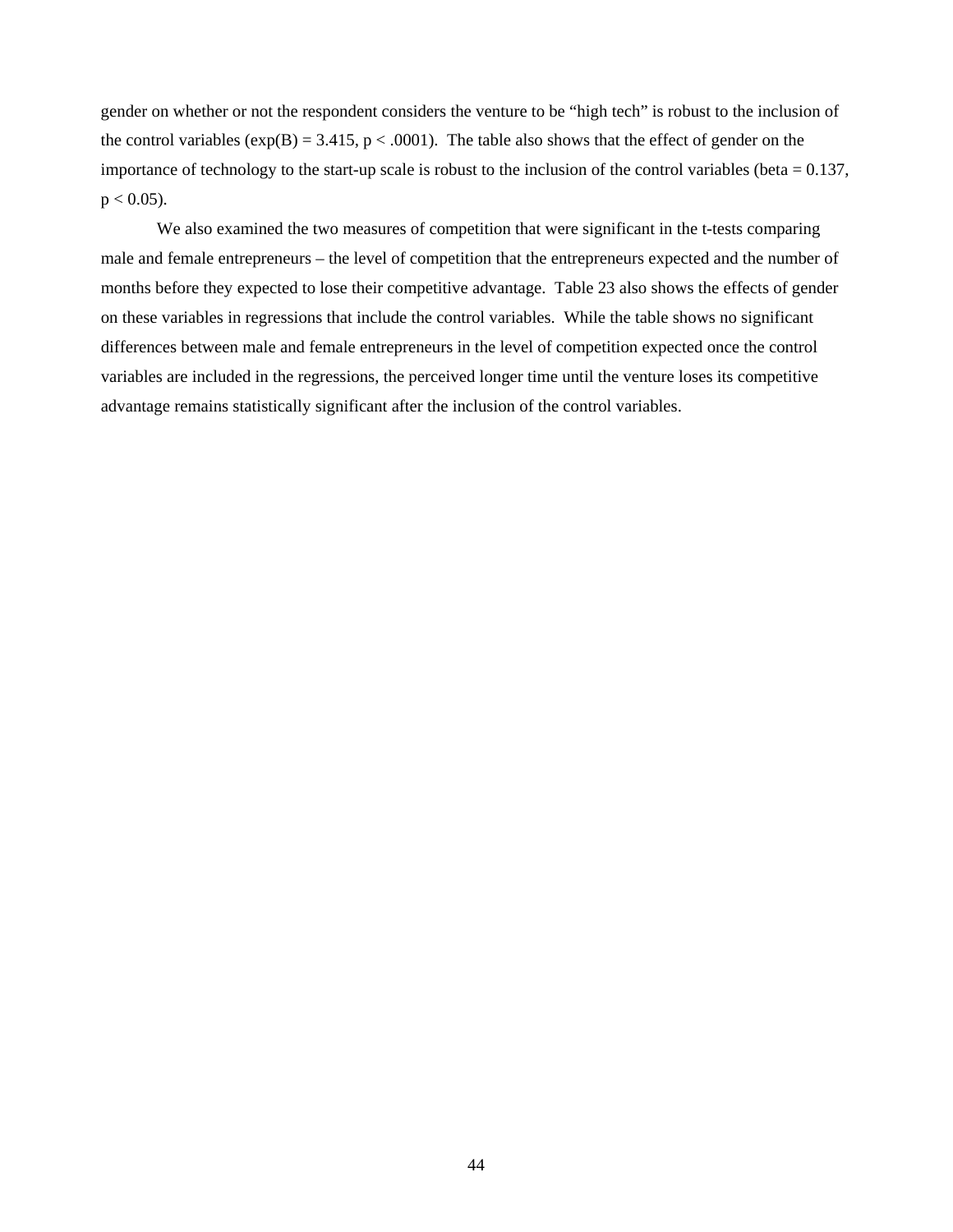gender on whether or not the respondent considers the venture to be "high tech" is robust to the inclusion of the control variables  $(exp(B) = 3.415, p < .0001)$ . The table also shows that the effect of gender on the importance of technology to the start-up scale is robust to the inclusion of the control variables (beta  $= 0.137$ ,  $p < 0.05$ ).

We also examined the two measures of competition that were significant in the t-tests comparing male and female entrepreneurs – the level of competition that the entrepreneurs expected and the number of months before they expected to lose their competitive advantage. Table 23 also shows the effects of gender on these variables in regressions that include the control variables. While the table shows no significant differences between male and female entrepreneurs in the level of competition expected once the control variables are included in the regressions, the perceived longer time until the venture loses its competitive advantage remains statistically significant after the inclusion of the control variables.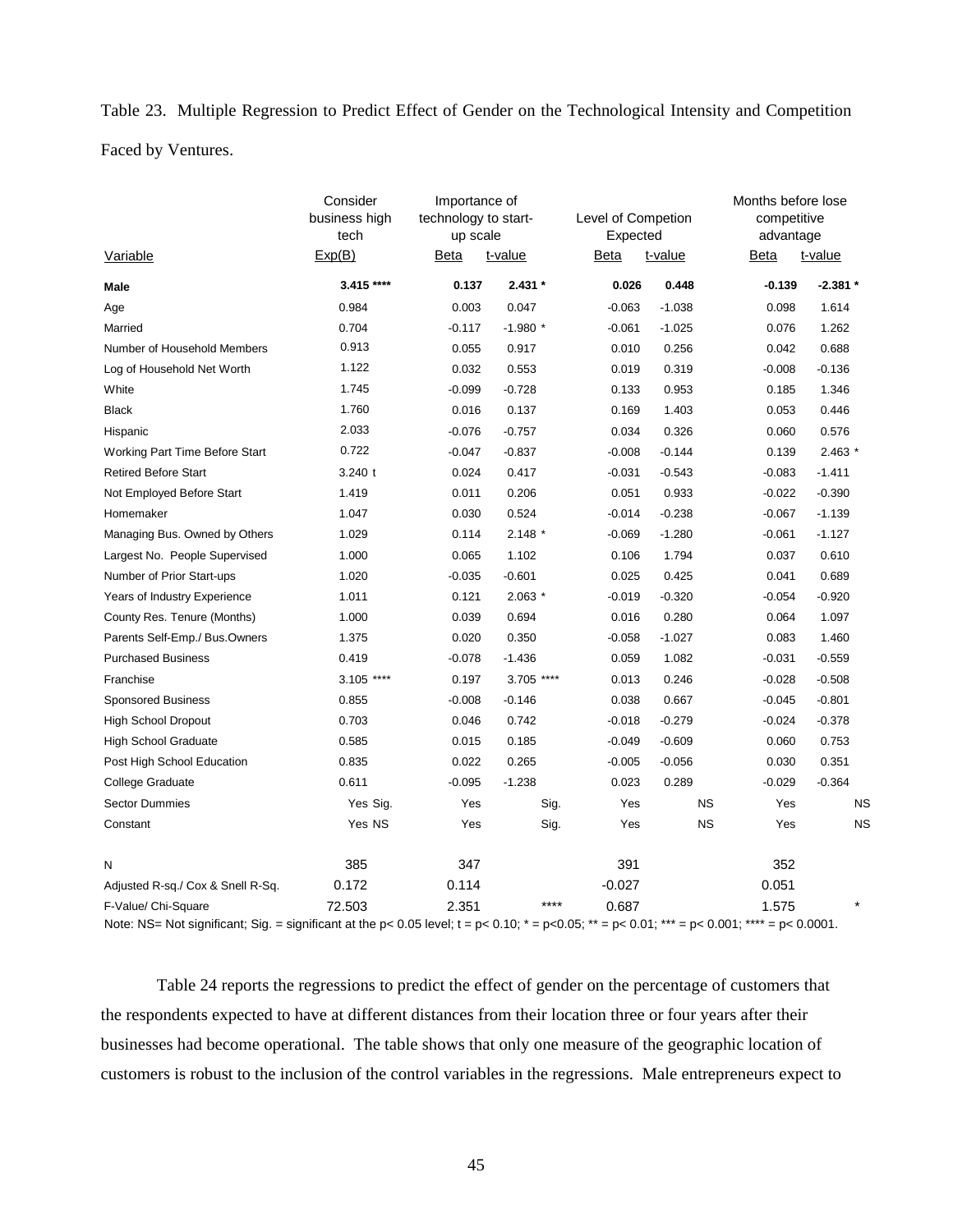Table 23. Multiple Regression to Predict Effect of Gender on the Technological Intensity and Competition Faced by Ventures.

| Variable                                                                                                                                                            | Consider<br>business high<br>tech<br>Exp(B) | Importance of<br>technology to start-<br>up scale<br><b>Beta</b><br>t-value |            | Level of Competion<br>Expected<br><b>Beta</b> | t-value   | Months before lose<br>competitive<br>advantage<br>t-value<br>Beta |           |  |
|---------------------------------------------------------------------------------------------------------------------------------------------------------------------|---------------------------------------------|-----------------------------------------------------------------------------|------------|-----------------------------------------------|-----------|-------------------------------------------------------------------|-----------|--|
| Male                                                                                                                                                                | 3.415 ****                                  | 0.137                                                                       | $2.431*$   | 0.026                                         | 0.448     | $-0.139$                                                          | $-2.381*$ |  |
| Age                                                                                                                                                                 | 0.984                                       | 0.003                                                                       | 0.047      | $-0.063$                                      | $-1.038$  | 0.098                                                             | 1.614     |  |
| Married                                                                                                                                                             | 0.704                                       | $-0.117$                                                                    | $-1.980*$  | $-0.061$                                      | $-1.025$  | 0.076                                                             | 1.262     |  |
| Number of Household Members                                                                                                                                         | 0.913                                       | 0.055                                                                       | 0.917      | 0.010                                         | 0.256     | 0.042                                                             | 0.688     |  |
| Log of Household Net Worth                                                                                                                                          | 1.122                                       | 0.032                                                                       | 0.553      | 0.019                                         | 0.319     | $-0.008$                                                          | $-0.136$  |  |
| White                                                                                                                                                               | 1.745                                       | $-0.099$                                                                    | $-0.728$   | 0.133                                         | 0.953     | 0.185                                                             | 1.346     |  |
| <b>Black</b>                                                                                                                                                        | 1.760                                       | 0.016                                                                       | 0.137      | 0.169                                         | 1.403     | 0.053                                                             | 0.446     |  |
| Hispanic                                                                                                                                                            | 2.033                                       | $-0.076$                                                                    | $-0.757$   | 0.034                                         | 0.326     | 0.060                                                             | 0.576     |  |
| Working Part Time Before Start                                                                                                                                      | 0.722                                       | $-0.047$                                                                    | $-0.837$   | $-0.008$                                      | $-0.144$  | 0.139                                                             | $2.463*$  |  |
| <b>Retired Before Start</b>                                                                                                                                         | 3.240 t                                     | 0.024                                                                       | 0.417      | $-0.031$                                      | $-0.543$  | $-0.083$                                                          | $-1.411$  |  |
| Not Employed Before Start                                                                                                                                           | 1.419                                       | 0.011                                                                       | 0.206      | 0.051                                         | 0.933     | $-0.022$                                                          | $-0.390$  |  |
| Homemaker                                                                                                                                                           | 1.047                                       | 0.030                                                                       | 0.524      | $-0.014$                                      | $-0.238$  | $-0.067$                                                          | $-1.139$  |  |
| Managing Bus. Owned by Others                                                                                                                                       | 1.029                                       | 0.114                                                                       | $2.148*$   | $-0.069$                                      | $-1.280$  | $-0.061$                                                          | $-1.127$  |  |
| Largest No. People Supervised                                                                                                                                       | 1.000                                       | 0.065                                                                       | 1.102      | 0.106                                         | 1.794     | 0.037                                                             | 0.610     |  |
| Number of Prior Start-ups                                                                                                                                           | 1.020                                       | $-0.035$                                                                    | $-0.601$   | 0.025                                         | 0.425     | 0.041                                                             | 0.689     |  |
| Years of Industry Experience                                                                                                                                        | 1.011                                       | 0.121                                                                       | $2.063*$   | $-0.019$                                      | $-0.320$  | $-0.054$                                                          | $-0.920$  |  |
| County Res. Tenure (Months)                                                                                                                                         | 1.000                                       | 0.039                                                                       | 0.694      | 0.016                                         | 0.280     | 0.064                                                             | 1.097     |  |
| Parents Self-Emp./ Bus.Owners                                                                                                                                       | 1.375                                       | 0.020                                                                       | 0.350      | $-0.058$                                      | $-1.027$  | 0.083                                                             | 1.460     |  |
| <b>Purchased Business</b>                                                                                                                                           | 0.419                                       | $-0.078$                                                                    | $-1.436$   | 0.059                                         | 1.082     | $-0.031$                                                          | $-0.559$  |  |
| Franchise                                                                                                                                                           | 3.105 ****                                  | 0.197                                                                       | 3.705 **** | 0.013                                         | 0.246     | $-0.028$                                                          | $-0.508$  |  |
| <b>Sponsored Business</b>                                                                                                                                           | 0.855                                       | $-0.008$                                                                    | $-0.146$   | 0.038                                         | 0.667     | $-0.045$                                                          | $-0.801$  |  |
| <b>High School Dropout</b>                                                                                                                                          | 0.703                                       | 0.046                                                                       | 0.742      | $-0.018$                                      | $-0.279$  | $-0.024$                                                          | $-0.378$  |  |
| <b>High School Graduate</b>                                                                                                                                         | 0.585                                       | 0.015                                                                       | 0.185      | $-0.049$                                      | $-0.609$  | 0.060                                                             | 0.753     |  |
| Post High School Education                                                                                                                                          | 0.835                                       | 0.022                                                                       | 0.265      | $-0.005$                                      | $-0.056$  | 0.030                                                             | 0.351     |  |
| College Graduate                                                                                                                                                    | 0.611                                       | $-0.095$                                                                    | $-1.238$   | 0.023                                         | 0.289     | $-0.029$                                                          | $-0.364$  |  |
| <b>Sector Dummies</b>                                                                                                                                               | Yes Sig.                                    | Yes                                                                         | Sig.       | Yes                                           | <b>NS</b> | Yes                                                               | <b>NS</b> |  |
| Constant                                                                                                                                                            | Yes NS                                      | Yes                                                                         | Sig.       | Yes                                           | <b>NS</b> | Yes                                                               | <b>NS</b> |  |
| N                                                                                                                                                                   | 385                                         | 347                                                                         |            | 391                                           |           | 352                                                               |           |  |
| Adjusted R-sq./ Cox & Snell R-Sq.                                                                                                                                   | 0.172                                       | 0.114                                                                       |            | $-0.027$                                      |           | 0.051                                                             |           |  |
| F-Value/ Chi-Square<br>Note: NS= Not significant; Sig. = significant at the p< 0.05 level; t = p< 0.10; * = p<0.05; ** = p< 0.01; *** = p< 0.001; **** = p< 0.0001. | 72.503                                      | 2.351                                                                       | $***$      | 0.687                                         |           | 1.575                                                             |           |  |

 Table 24 reports the regressions to predict the effect of gender on the percentage of customers that the respondents expected to have at different distances from their location three or four years after their businesses had become operational. The table shows that only one measure of the geographic location of customers is robust to the inclusion of the control variables in the regressions. Male entrepreneurs expect to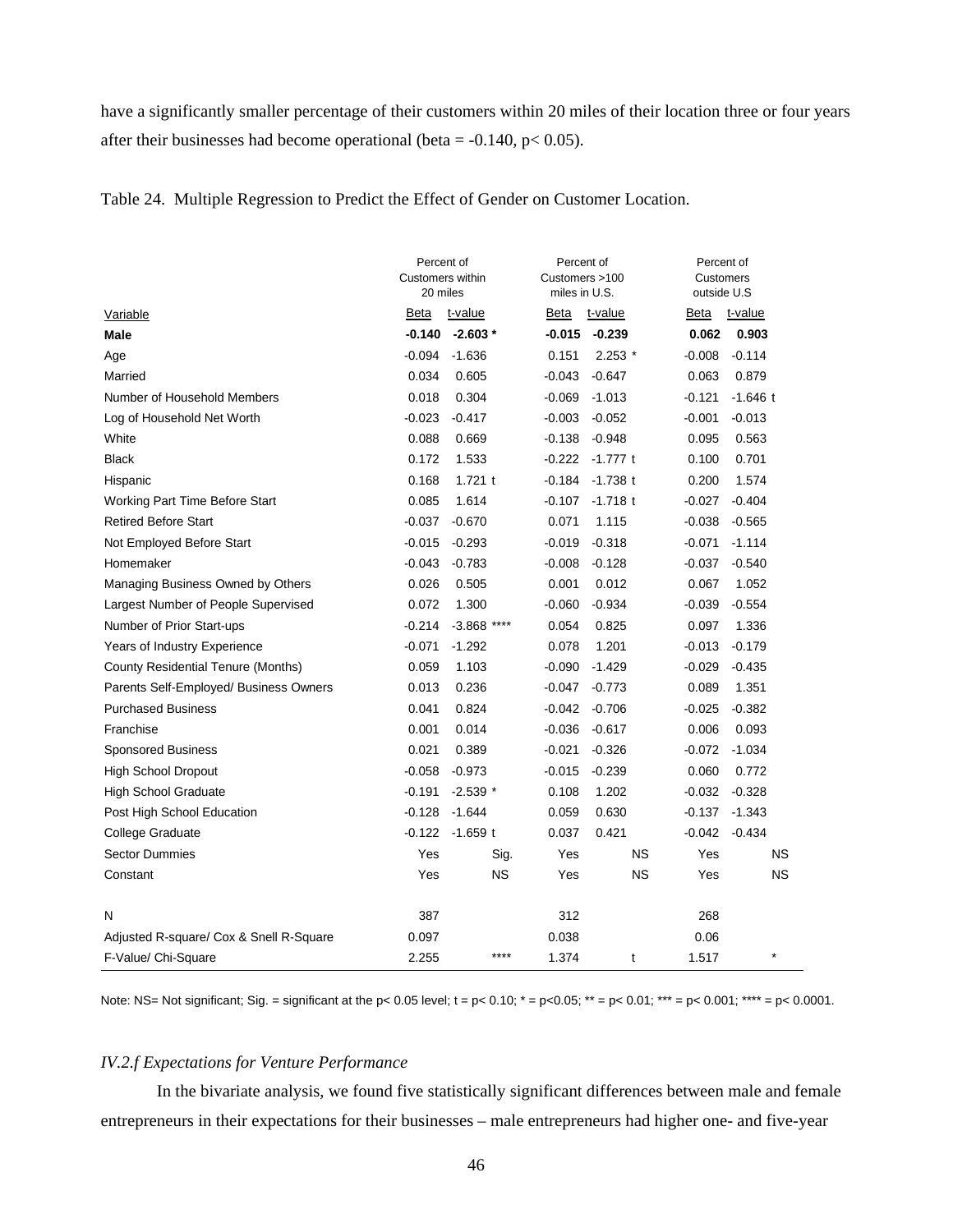have a significantly smaller percentage of their customers within 20 miles of their location three or four years after their businesses had become operational (beta =  $-0.140$ , p $< 0.05$ ).

Table 24. Multiple Regression to Predict the Effect of Gender on Customer Location.

|                                           | Percent of<br>Customers within<br>20 miles |                  | Percent of<br>Customers >100<br>miles in U.S. |            | Percent of<br>Customers<br>outside U.S |            |  |
|-------------------------------------------|--------------------------------------------|------------------|-----------------------------------------------|------------|----------------------------------------|------------|--|
| Variable                                  | Beta                                       | t-value          | Beta                                          | t-value    | Beta                                   | t-value    |  |
| Male                                      | $-0.140$                                   | $-2.603*$        | -0.015                                        | $-0.239$   | 0.062                                  | 0.903      |  |
| Age                                       | $-0.094$                                   | $-1.636$         | 0.151                                         | $2.253*$   | $-0.008$                               | $-0.114$   |  |
| Married                                   | 0.034                                      | 0.605            | $-0.043$                                      | $-0.647$   | 0.063                                  | 0.879      |  |
| Number of Household Members               | 0.018                                      | 0.304            | $-0.069$                                      | $-1.013$   | $-0.121$                               | $-1.646$ t |  |
| Log of Household Net Worth                | $-0.023$                                   | $-0.417$         | $-0.003$                                      | $-0.052$   | $-0.001$                               | $-0.013$   |  |
| White                                     | 0.088                                      | 0.669            | $-0.138$                                      | $-0.948$   | 0.095                                  | 0.563      |  |
| <b>Black</b>                              | 0.172                                      | 1.533            | $-0.222$                                      | -1.777 t   | 0.100                                  | 0.701      |  |
| Hispanic                                  | 0.168                                      | $1.721$ t        | $-0.184$                                      | $-1.738$ t | 0.200                                  | 1.574      |  |
| Working Part Time Before Start            | 0.085                                      | 1.614            | $-0.107$                                      | $-1.718$ t | $-0.027$                               | $-0.404$   |  |
| <b>Retired Before Start</b>               | $-0.037$                                   | $-0.670$         | 0.071                                         | 1.115      | $-0.038$                               | $-0.565$   |  |
| Not Employed Before Start                 | $-0.015$                                   | $-0.293$         | $-0.019$                                      | $-0.318$   | $-0.071$                               | $-1.114$   |  |
| Homemaker                                 | $-0.043$                                   | $-0.783$         | $-0.008$                                      | $-0.128$   | $-0.037$                               | $-0.540$   |  |
| Managing Business Owned by Others         | 0.026                                      | 0.505            | 0.001                                         | 0.012      | 0.067                                  | 1.052      |  |
| Largest Number of People Supervised       | 0.072                                      | 1.300            | $-0.060$                                      | $-0.934$   | $-0.039$                               | $-0.554$   |  |
| Number of Prior Start-ups                 | $-0.214$                                   | $-3.868$<br>**** | 0.054                                         | 0.825      | 0.097                                  | 1.336      |  |
| Years of Industry Experience              | $-0.071$                                   | $-1.292$         | 0.078                                         | 1.201      | $-0.013$                               | $-0.179$   |  |
| <b>County Residential Tenure (Months)</b> | 0.059                                      | 1.103            | $-0.090$                                      | $-1.429$   | $-0.029$                               | $-0.435$   |  |
| Parents Self-Employed/ Business Owners    | 0.013                                      | 0.236            | -0.047                                        | $-0.773$   | 0.089                                  | 1.351      |  |
| <b>Purchased Business</b>                 | 0.041                                      | 0.824            | $-0.042$                                      | $-0.706$   | $-0.025$                               | $-0.382$   |  |
| Franchise                                 | 0.001                                      | 0.014            | $-0.036$                                      | $-0.617$   | 0.006                                  | 0.093      |  |
| <b>Sponsored Business</b>                 | 0.021                                      | 0.389            | $-0.021$                                      | $-0.326$   | $-0.072$                               | $-1.034$   |  |
| <b>High School Dropout</b>                | $-0.058$                                   | $-0.973$         | $-0.015$                                      | $-0.239$   | 0.060                                  | 0.772      |  |
| <b>High School Graduate</b>               | $-0.191$                                   | $-2.539$ *       | 0.108                                         | 1.202      | $-0.032$                               | $-0.328$   |  |
| Post High School Education                | $-0.128$                                   | $-1.644$         | 0.059                                         | 0.630      | $-0.137$                               | $-1.343$   |  |
| College Graduate                          | $-0.122$                                   | $-1.659$ t       | 0.037                                         | 0.421      | $-0.042$                               | $-0.434$   |  |
| <b>Sector Dummies</b>                     | Yes                                        | Sig.             | Yes                                           | <b>NS</b>  | Yes                                    | <b>NS</b>  |  |
| Constant                                  | Yes                                        | <b>NS</b>        | Yes                                           | <b>NS</b>  | Yes                                    | <b>NS</b>  |  |
| N                                         | 387                                        |                  | 312                                           |            | 268                                    |            |  |
| Adjusted R-square/ Cox & Snell R-Square   | 0.097                                      |                  | 0.038                                         |            | 0.06                                   |            |  |
| F-Value/ Chi-Square                       | 2.255                                      | ****             | 1.374                                         | t          | 1.517                                  |            |  |

Note: NS= Not significant; Sig. = significant at the p< 0.05 level; t = p< 0.10; \* = p<0.05; \*\* = p< 0.01; \*\*\* = p< 0.001; \*\*\*\* = p< 0.0001.

# *IV.2.f Expectations for Venture Performance*

In the bivariate analysis, we found five statistically significant differences between male and female entrepreneurs in their expectations for their businesses – male entrepreneurs had higher one- and five-year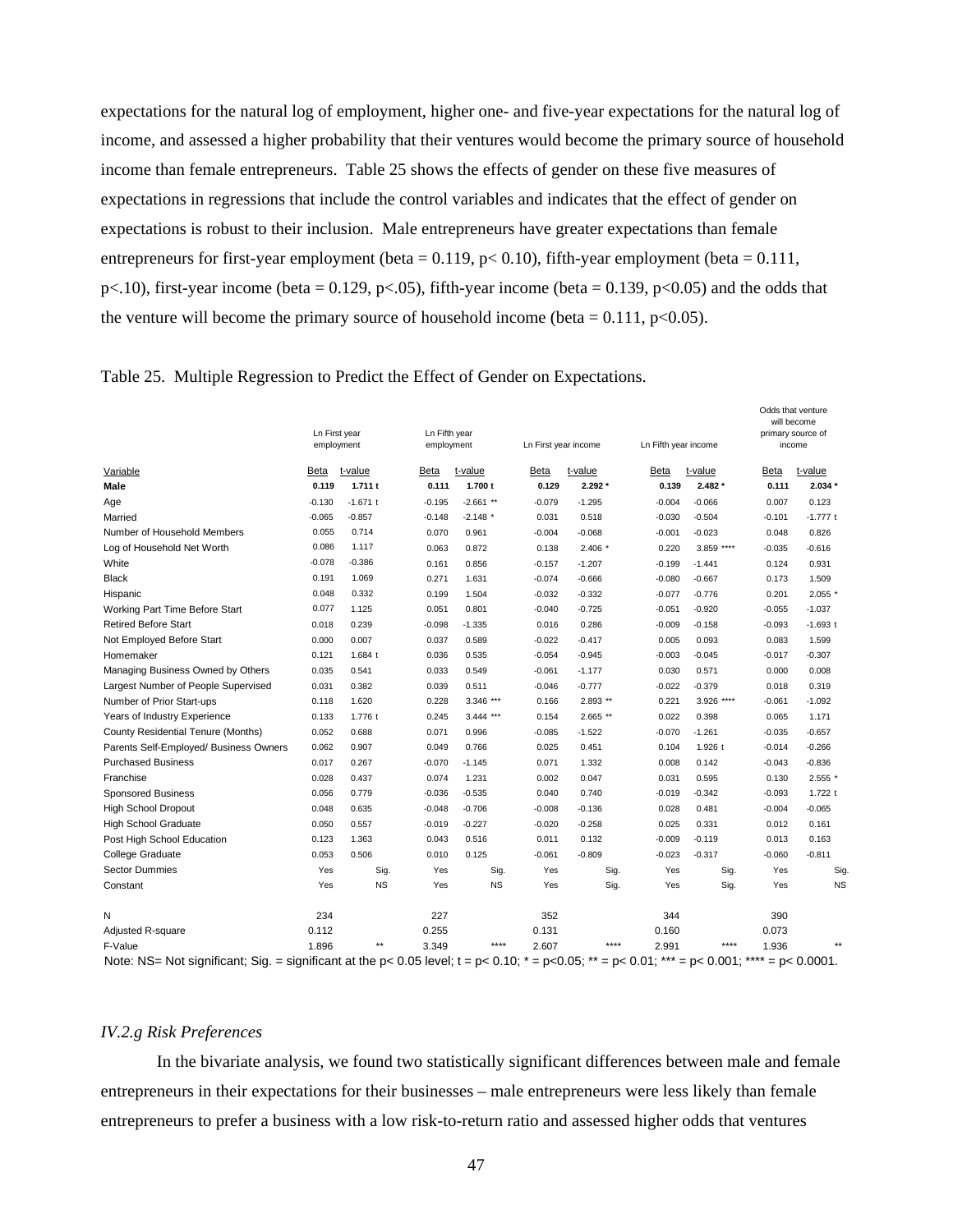expectations for the natural log of employment, higher one- and five-year expectations for the natural log of income, and assessed a higher probability that their ventures would become the primary source of household income than female entrepreneurs. Table 25 shows the effects of gender on these five measures of expectations in regressions that include the control variables and indicates that the effect of gender on expectations is robust to their inclusion. Male entrepreneurs have greater expectations than female entrepreneurs for first-year employment (beta =  $0.119$ ,  $p < 0.10$ ), fifth-year employment (beta =  $0.111$ , p<.10), first-year income (beta = 0.129, p<.05), fifth-year income (beta = 0.139, p<0.05) and the odds that the venture will become the primary source of household income (beta =  $0.111$ , p<0.05).

|  |  |  | Table 25. Multiple Regression to Predict the Effect of Gender on Expectations. |
|--|--|--|--------------------------------------------------------------------------------|
|  |  |  |                                                                                |

|                                                                                                                                            |          | Ln First year<br>employment | Ln Fifth year<br>employment |             |          | Ln First year income | Ln Fifth year income |            |          | Odds that venture<br>will become<br>primary source of<br>income |
|--------------------------------------------------------------------------------------------------------------------------------------------|----------|-----------------------------|-----------------------------|-------------|----------|----------------------|----------------------|------------|----------|-----------------------------------------------------------------|
| Variable                                                                                                                                   | Beta     | t-value                     | <b>Beta</b>                 | t-value     | Beta     | t-value              | Beta                 | t-value    | Beta     | t-value                                                         |
| Male                                                                                                                                       | 0.119    | 1.711t                      | 0.111                       | 1.700t      | 0.129    | 2.292 *              | 0.139                | $2.482*$   | 0.111    | $2.034*$                                                        |
| Age                                                                                                                                        | $-0.130$ | $-1.671$ t                  | $-0.195$                    | $-2.661**$  | $-0.079$ | $-1.295$             | $-0.004$             | $-0.066$   | 0.007    | 0.123                                                           |
| Married                                                                                                                                    | $-0.065$ | $-0.857$                    | $-0.148$                    | $-2.148$ *  | 0.031    | 0.518                | $-0.030$             | $-0.504$   | $-0.101$ | $-1.777t$                                                       |
| Number of Household Members                                                                                                                | 0.055    | 0.714                       | 0.070                       | 0.961       | $-0.004$ | $-0.068$             | $-0.001$             | $-0.023$   | 0.048    | 0.826                                                           |
| Log of Household Net Worth                                                                                                                 | 0.086    | 1.117                       | 0.063                       | 0.872       | 0.138    | $2.406*$             | 0.220                | 3.859 **** | $-0.035$ | $-0.616$                                                        |
| White                                                                                                                                      | $-0.078$ | $-0.386$                    | 0.161                       | 0.856       | $-0.157$ | $-1.207$             | $-0.199$             | $-1.441$   | 0.124    | 0.931                                                           |
| <b>Black</b>                                                                                                                               | 0.191    | 1.069                       | 0.271                       | 1.631       | $-0.074$ | $-0.666$             | $-0.080$             | $-0.667$   | 0.173    | 1.509                                                           |
| Hispanic                                                                                                                                   | 0.048    | 0.332                       | 0.199                       | 1.504       | $-0.032$ | $-0.332$             | $-0.077$             | $-0.776$   | 0.201    | $2.055$ *                                                       |
| Working Part Time Before Start                                                                                                             | 0.077    | 1.125                       | 0.051                       | 0.801       | $-0.040$ | $-0.725$             | $-0.051$             | $-0.920$   | $-0.055$ | $-1.037$                                                        |
| <b>Retired Before Start</b>                                                                                                                | 0.018    | 0.239                       | $-0.098$                    | $-1.335$    | 0.016    | 0.286                | $-0.009$             | $-0.158$   | $-0.093$ | $-1.693t$                                                       |
| Not Employed Before Start                                                                                                                  | 0.000    | 0.007                       | 0.037                       | 0.589       | $-0.022$ | $-0.417$             | 0.005                | 0.093      | 0.083    | 1.599                                                           |
| Homemaker                                                                                                                                  | 0.121    | 1.684 t                     | 0.036                       | 0.535       | $-0.054$ | $-0.945$             | $-0.003$             | $-0.045$   | $-0.017$ | $-0.307$                                                        |
| Managing Business Owned by Others                                                                                                          | 0.035    | 0.541                       | 0.033                       | 0.549       | $-0.061$ | $-1.177$             | 0.030                | 0.571      | 0.000    | 0.008                                                           |
| Largest Number of People Supervised                                                                                                        | 0.031    | 0.382                       | 0.039                       | 0.511       | $-0.046$ | $-0.777$             | $-0.022$             | $-0.379$   | 0.018    | 0.319                                                           |
| Number of Prior Start-ups                                                                                                                  | 0.118    | 1.620                       | 0.228                       | 3.346 ***   | 0.166    | 2.893 **             | 0.221                | 3.926 **** | $-0.061$ | $-1.092$                                                        |
| Years of Industry Experience                                                                                                               | 0.133    | 1.776 t                     | 0.245                       | $3.444$ *** | 0.154    | 2.665 **             | 0.022                | 0.398      | 0.065    | 1.171                                                           |
| County Residential Tenure (Months)                                                                                                         | 0.052    | 0.688                       | 0.071                       | 0.996       | $-0.085$ | $-1.522$             | $-0.070$             | $-1.261$   | $-0.035$ | $-0.657$                                                        |
| Parents Self-Employed/ Business Owners                                                                                                     | 0.062    | 0.907                       | 0.049                       | 0.766       | 0.025    | 0.451                | 0.104                | 1.926 t    | $-0.014$ | $-0.266$                                                        |
| <b>Purchased Business</b>                                                                                                                  | 0.017    | 0.267                       | $-0.070$                    | $-1.145$    | 0.071    | 1.332                | 0.008                | 0.142      | $-0.043$ | $-0.836$                                                        |
| Franchise                                                                                                                                  | 0.028    | 0.437                       | 0.074                       | 1.231       | 0.002    | 0.047                | 0.031                | 0.595      | 0.130    | 2.555 *                                                         |
| <b>Sponsored Business</b>                                                                                                                  | 0.056    | 0.779                       | $-0.036$                    | $-0.535$    | 0.040    | 0.740                | $-0.019$             | $-0.342$   | $-0.093$ | 1.722 t                                                         |
| <b>High School Dropout</b>                                                                                                                 | 0.048    | 0.635                       | $-0.048$                    | $-0.706$    | $-0.008$ | $-0.136$             | 0.028                | 0.481      | $-0.004$ | $-0.065$                                                        |
| <b>High School Graduate</b>                                                                                                                | 0.050    | 0.557                       | $-0.019$                    | $-0.227$    | $-0.020$ | $-0.258$             | 0.025                | 0.331      | 0.012    | 0.161                                                           |
| Post High School Education                                                                                                                 | 0.123    | 1.363                       | 0.043                       | 0.516       | 0.011    | 0.132                | $-0.009$             | $-0.119$   | 0.013    | 0.163                                                           |
| College Graduate                                                                                                                           | 0.053    | 0.506                       | 0.010                       | 0.125       | $-0.061$ | $-0.809$             | $-0.023$             | $-0.317$   | $-0.060$ | $-0.811$                                                        |
| <b>Sector Dummies</b>                                                                                                                      | Yes      | Sig.                        | Yes                         | Sig.        | Yes      | Sig.                 | Yes                  | Sig.       | Yes      | Sig.                                                            |
| Constant                                                                                                                                   | Yes      | <b>NS</b>                   | Yes                         | <b>NS</b>   | Yes      | Sig.                 | Yes                  | Sig.       | Yes      | <b>NS</b>                                                       |
| N                                                                                                                                          | 234      |                             | 227                         |             | 352      |                      | 344                  |            | 390      |                                                                 |
| Adjusted R-square                                                                                                                          | 0.112    |                             | 0.255                       |             | 0.131    |                      | 0.160                |            | 0.073    |                                                                 |
| F-Value                                                                                                                                    | 1.896    | $***$                       | 3.349                       | ****        | 2.607    | ****                 | 2.991                | ****       | 1.936    | $**$                                                            |
| Note: NS= Not significant; Sig. = significant at the p< 0.05 level; $t = p < 0.10$ ; $* = p < 0.05$ ; $** = p < 0.01$ ; $** = p < 0.001$ ; |          |                             |                             |             |          |                      |                      |            |          | **** = $p$ < 0.0001.                                            |

#### *IV.2.g Risk Preferences*

In the bivariate analysis, we found two statistically significant differences between male and female entrepreneurs in their expectations for their businesses – male entrepreneurs were less likely than female entrepreneurs to prefer a business with a low risk-to-return ratio and assessed higher odds that ventures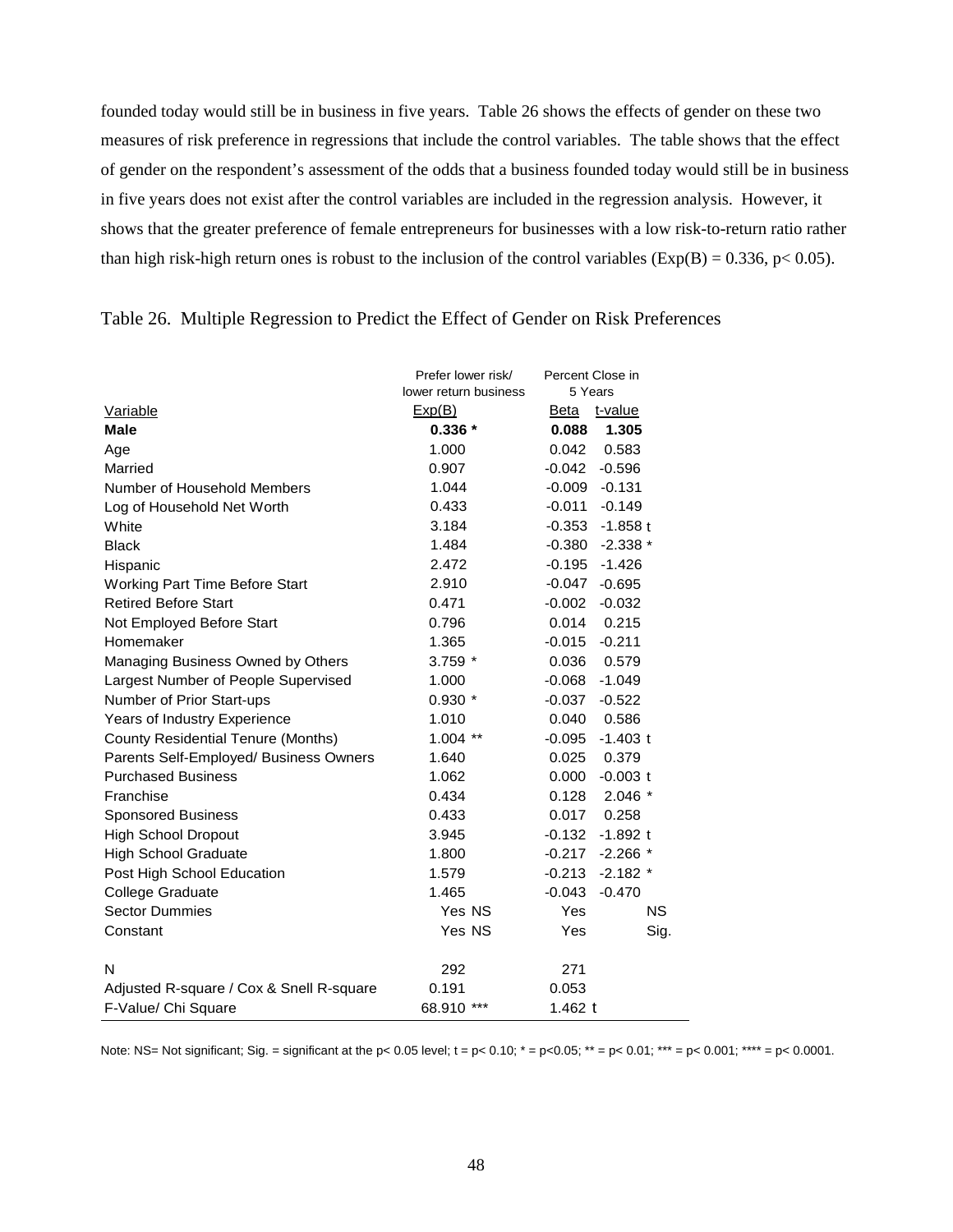founded today would still be in business in five years. Table 26 shows the effects of gender on these two measures of risk preference in regressions that include the control variables. The table shows that the effect of gender on the respondent's assessment of the odds that a business founded today would still be in business in five years does not exist after the control variables are included in the regression analysis. However, it shows that the greater preference of female entrepreneurs for businesses with a low risk-to-return ratio rather than high risk-high return ones is robust to the inclusion of the control variables ( $Exp(B) = 0.336$ ,  $p < 0.05$ ).

|                                           | Prefer lower risk/<br>lower return business | Percent Close in<br>5 Years |      |
|-------------------------------------------|---------------------------------------------|-----------------------------|------|
| Variable                                  | Exp(B)                                      | Beta<br>t-value             |      |
| <b>Male</b>                               | $0.336*$                                    | 1.305<br>0.088              |      |
| Age                                       | 1.000                                       | 0.042<br>0.583              |      |
| Married                                   | 0.907                                       | $-0.042$<br>$-0.596$        |      |
| Number of Household Members               | 1.044                                       | $-0.131$<br>$-0.009$        |      |
| Log of Household Net Worth                | 0.433                                       | $-0.011$<br>$-0.149$        |      |
| White                                     | 3.184                                       | $-0.353$<br>$-1.858t$       |      |
| <b>Black</b>                              | 1.484                                       | $-0.380$<br>$-2.338*$       |      |
| Hispanic                                  | 2.472                                       | $-0.195$<br>$-1.426$        |      |
| Working Part Time Before Start            | 2.910                                       | $-0.047$<br>$-0.695$        |      |
| <b>Retired Before Start</b>               | 0.471                                       | $-0.002$<br>$-0.032$        |      |
| Not Employed Before Start                 | 0.796                                       | 0.215<br>0.014              |      |
| Homemaker                                 | 1.365                                       | $-0.015$<br>$-0.211$        |      |
| Managing Business Owned by Others         | $3.759$ $*$                                 | 0.036<br>0.579              |      |
| Largest Number of People Supervised       | 1.000                                       | $-0.068$<br>$-1.049$        |      |
| Number of Prior Start-ups                 | $0.930*$                                    | $-0.037$<br>$-0.522$        |      |
| Years of Industry Experience              | 1.010                                       | 0.040<br>0.586              |      |
| <b>County Residential Tenure (Months)</b> | $1.004$ **                                  | $-1.403$ t<br>$-0.095$      |      |
| Parents Self-Employed/ Business Owners    | 1.640                                       | 0.025<br>0.379              |      |
| <b>Purchased Business</b>                 | 1.062                                       | 0.000<br>$-0.003$ t         |      |
| Franchise                                 | 0.434                                       | $2.046*$<br>0.128           |      |
| <b>Sponsored Business</b>                 | 0.433                                       | 0.017<br>0.258              |      |
| <b>High School Dropout</b>                | 3.945                                       | $-0.132$<br>$-1.892$ t      |      |
| <b>High School Graduate</b>               | 1.800                                       | $-0.217$<br>$-2.266*$       |      |
| Post High School Education                | 1.579                                       | $-0.213$<br>$-2.182$ *      |      |
| College Graduate                          | 1.465                                       | $-0.043$<br>$-0.470$        |      |
| <b>Sector Dummies</b>                     | Yes NS                                      | <b>Yes</b>                  | NS.  |
| Constant                                  | Yes NS                                      | Yes                         | Sig. |
| N                                         | 292                                         | 271                         |      |
| Adjusted R-square / Cox & Snell R-square  | 0.191                                       | 0.053                       |      |
| F-Value/ Chi Square                       | 68.910 ***                                  | 1.462 $t$                   |      |

## Table 26. Multiple Regression to Predict the Effect of Gender on Risk Preferences

Note: NS= Not significant; Sig. = significant at the p< 0.05 level;  $t = p < 0.10$ ;  $* = p < 0.05$ ;  $** = p < 0.01$ ;  $*** = p < 0.001$ ;  $*** = p < 0.0001$ .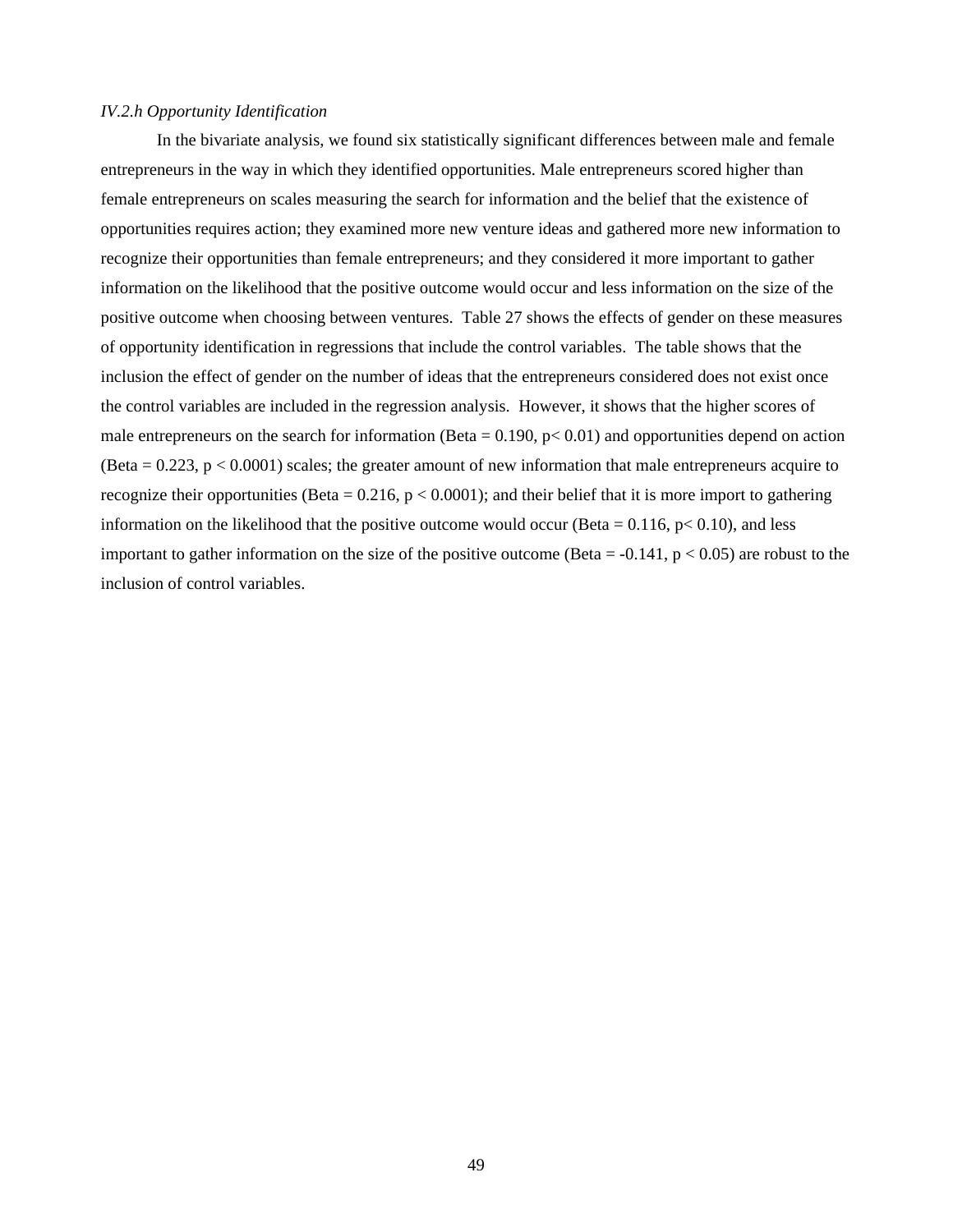#### *IV.2.h Opportunity Identification*

In the bivariate analysis, we found six statistically significant differences between male and female entrepreneurs in the way in which they identified opportunities. Male entrepreneurs scored higher than female entrepreneurs on scales measuring the search for information and the belief that the existence of opportunities requires action; they examined more new venture ideas and gathered more new information to recognize their opportunities than female entrepreneurs; and they considered it more important to gather information on the likelihood that the positive outcome would occur and less information on the size of the positive outcome when choosing between ventures. Table 27 shows the effects of gender on these measures of opportunity identification in regressions that include the control variables. The table shows that the inclusion the effect of gender on the number of ideas that the entrepreneurs considered does not exist once the control variables are included in the regression analysis. However, it shows that the higher scores of male entrepreneurs on the search for information (Beta =  $0.190$ ,  $p < 0.01$ ) and opportunities depend on action (Beta  $= 0.223$ ,  $p < 0.0001$ ) scales; the greater amount of new information that male entrepreneurs acquire to recognize their opportunities (Beta =  $0.216$ ,  $p < 0.0001$ ); and their belief that it is more import to gathering information on the likelihood that the positive outcome would occur (Beta =  $0.116$ , p $< 0.10$ ), and less important to gather information on the size of the positive outcome (Beta =  $-0.141$ , p < 0.05) are robust to the inclusion of control variables.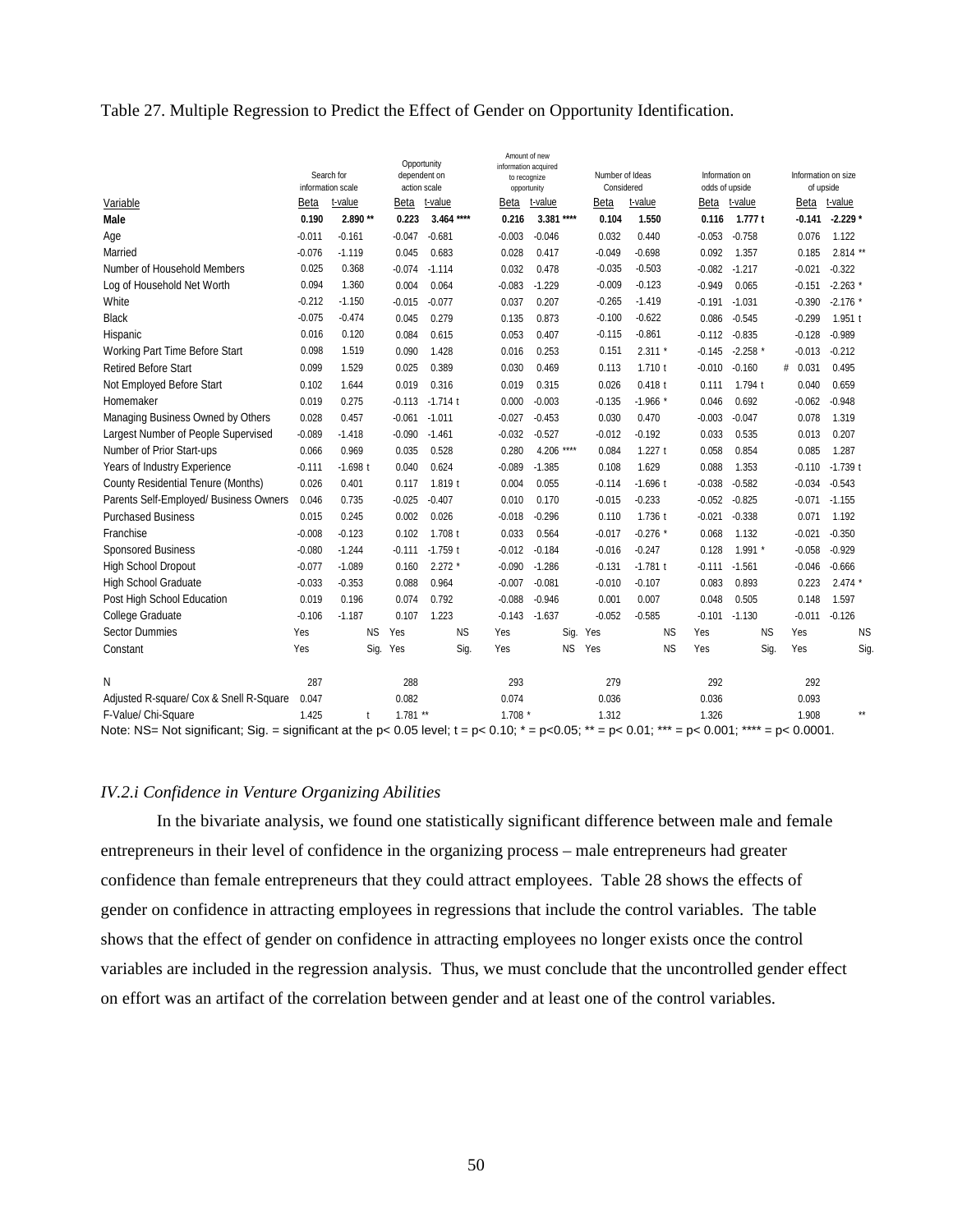#### Table 27. Multiple Regression to Predict the Effect of Gender on Opportunity Identification.

|                                                                                                                                           |                       |                                 | Opportunity        |                              | ידסוווע ווטעווור<br>information acquired |               |                               |            |                                  |                 |                                  |            |
|-------------------------------------------------------------------------------------------------------------------------------------------|-----------------------|---------------------------------|--------------------|------------------------------|------------------------------------------|---------------|-------------------------------|------------|----------------------------------|-----------------|----------------------------------|------------|
|                                                                                                                                           |                       | Search for<br>information scale |                    | dependent on<br>action scale | to recognize<br>opportunity              |               | Number of Ideas<br>Considered |            | Information on<br>odds of upside |                 | Information on size<br>of upside |            |
| Variable                                                                                                                                  | Beta                  | t-value                         | Beta               | t-value                      | Beta                                     | t-value       | <b>Beta</b>                   | t-value    |                                  | Beta t-value    | Beta                             | t-value    |
| Male                                                                                                                                      | 0.190                 | 2.890 **                        | 0.223              | $3.464***$                   | 0.216                                    | 3.381 ****    | 0.104                         | 1.550      | 0.116                            | 1.777t          | $-0.141$                         | $-2.229*$  |
| Age                                                                                                                                       | $-0.011$              | $-0.161$                        | $-0.047$           | $-0.681$                     | $-0.003$                                 | $-0.046$      | 0.032                         | 0.440      | $-0.053$                         | $-0.758$        | 0.076                            | 1.122      |
| Married                                                                                                                                   | $-0.076$              | $-1.119$                        | 0.045              | 0.683                        | 0.028                                    | 0.417         | $-0.049$                      | $-0.698$   | 0.092                            | 1.357           | 0.185                            | $2.814$ ** |
| Number of Household Members                                                                                                               | 0.025                 | 0.368                           | $-0.074$           | $-1.114$                     | 0.032                                    | 0.478         | $-0.035$                      | $-0.503$   | $-0.082$                         | $-1.217$        | $-0.021$                         | $-0.322$   |
| Log of Household Net Worth                                                                                                                | 0.094                 | 1.360                           | 0.004              | 0.064                        | $-0.083$                                 | $-1.229$      | $-0.009$                      | $-0.123$   | $-0.949$                         | 0.065           | $-0.151$                         | $-2.263$ * |
| White                                                                                                                                     | $-0.212$              | $-1.150$                        | $-0.015$           | $-0.077$                     | 0.037                                    | 0.207         | $-0.265$                      | $-1.419$   | $-0.191$                         | $-1.031$        | $-0.390$                         | $-2.176$ * |
| <b>Black</b>                                                                                                                              | $-0.075$              | $-0.474$                        | 0.045              | 0.279                        | 0.135                                    | 0.873         | $-0.100$                      | $-0.622$   | 0.086                            | $-0.545$        | $-0.299$                         | 1.951t     |
| Hispanic                                                                                                                                  | 0.016                 | 0.120                           | 0.084              | 0.615                        | 0.053                                    | 0.407         | $-0.115$                      | $-0.861$   | $-0.112$                         | $-0.835$        | $-0.128$                         | $-0.989$   |
| Working Part Time Before Start                                                                                                            | 0.098                 | 1.519                           | 0.090              | 1.428                        | 0.016                                    | 0.253         | 0.151                         | $2.311*$   | $-0.145$                         | $-2.258$ *      | $-0.013$                         | $-0.212$   |
| <b>Retired Before Start</b>                                                                                                               | 0.099                 | 1.529                           | 0.025              | 0.389                        | 0.030                                    | 0.469         | 0.113                         | $1.710$ t  | $-0.010$                         | $-0.160$        | # 0.031                          | 0.495      |
| Not Employed Before Start                                                                                                                 | 0.102                 | 1.644                           | 0.019              | 0.316                        | 0.019                                    | 0.315         | 0.026                         | $0.418$ t  | 0.111                            | 1.794 t         | 0.040                            | 0.659      |
| Homemaker                                                                                                                                 | 0.019                 | 0.275                           | $-0.113$           | $-1.714$ t                   | 0.000                                    | $-0.003$      | $-0.135$                      | $-1.966*$  | 0.046                            | 0.692           | $-0.062$                         | $-0.948$   |
| Managing Business Owned by Others                                                                                                         | 0.028                 | 0.457                           | $-0.061$           | $-1.011$                     | $-0.027$                                 | $-0.453$      | 0.030                         | 0.470      | $-0.003$                         | $-0.047$        | 0.078                            | 1.319      |
| Largest Number of People Supervised                                                                                                       | $-0.089$              | $-1.418$                        | $-0.090$           | $-1.461$                     | $-0.032$                                 | $-0.527$      | $-0.012$                      | $-0.192$   | 0.033                            | 0.535           | 0.013                            | 0.207      |
| Number of Prior Start-ups                                                                                                                 | 0.066                 | 0.969                           | 0.035              | 0.528                        | 0.280                                    | 4.206<br>**** | 0.084                         | 1.227t     | 0.058                            | 0.854           | 0.085                            | 1.287      |
| Years of Industry Experience                                                                                                              | $-0.111$              | $-1.698$ t                      | 0.040              | 0.624                        | $-0.089$                                 | $-1.385$      | 0.108                         | 1.629      | 0.088                            | 1.353           | $-0.110$                         | $-1.739$ t |
| County Residential Tenure (Months)                                                                                                        | 0.026                 | 0.401                           | 0.117              | 1.819 t                      | 0.004                                    | 0.055         | $-0.114$                      | $-1.696$ t | $-0.038$                         | $-0.582$        | $-0.034$                         | $-0.543$   |
| Parents Self-Employed/ Business Owners                                                                                                    | 0.046                 | 0.735                           | $-0.025$           | $-0.407$                     | 0.010                                    | 0.170         | $-0.015$                      | $-0.233$   | $-0.052$                         | $-0.825$        | $-0.071$                         | $-1.155$   |
| <b>Purchased Business</b>                                                                                                                 | 0.015                 | 0.245                           | 0.002              | 0.026                        | $-0.018$                                 | $-0.296$      | 0.110                         | 1.736 t    | $-0.021$                         | $-0.338$        | 0.071                            | 1.192      |
| Franchise                                                                                                                                 | $-0.008$              | $-0.123$                        | 0.102              | 1.708 t                      | 0.033                                    | 0.564         | $-0.017$                      | $-0.276$ * | 0.068                            | 1.132           | $-0.021$                         | $-0.350$   |
| Sponsored Business                                                                                                                        | $-0.080$              | $-1.244$                        | $-0.111$           | $-1.759$ t                   | $-0.012$                                 | $-0.184$      | $-0.016$                      | $-0.247$   | 0.128                            | 1.991           | $-0.058$                         | $-0.929$   |
| <b>High School Dropout</b>                                                                                                                | $-0.077$              | $-1.089$                        | 0.160              | $2.272*$                     | $-0.090$                                 | $-1.286$      | $-0.131$                      | $-1.781t$  | -0.111                           | $-1.561$        | $-0.046$                         | $-0.666$   |
| <b>High School Graduate</b>                                                                                                               | $-0.033$              | $-0.353$                        | 0.088              | 0.964                        | $-0.007$                                 | $-0.081$      | $-0.010$                      | $-0.107$   | 0.083                            | 0.893           | 0.223                            | $2.474*$   |
| Post High School Education                                                                                                                | 0.019                 | 0.196                           | 0.074              | 0.792                        | $-0.088$                                 | $-0.946$      | 0.001                         | 0.007      | 0.048                            | 0.505           | 0.148                            | 1.597      |
| <b>College Graduate</b>                                                                                                                   | $-0.106$              | $-1.187$                        | 0.107              | 1.223                        | $-0.143$                                 | $-1.637$      | $-0.052$                      | $-0.585$   | $-0.101$                         | $-1.130$        | $-0.011$                         | $-0.126$   |
| <b>Sector Dummies</b>                                                                                                                     | Yes                   | <b>NS</b>                       | Yes                | <b>NS</b>                    | Yes                                      |               | Sig. Yes                      | <b>NS</b>  | Yes                              | <b>NS</b>       | Yes                              | <b>NS</b>  |
| Constant                                                                                                                                  | Yes                   | Sig.                            | Yes                | Sig.                         | Yes                                      | <b>NS</b>     | Yes                           | <b>NS</b>  | Yes                              | Sig.            | Yes                              | Sig.       |
| N                                                                                                                                         | 287                   |                                 | 288                |                              | 293                                      |               | 279                           |            | 292                              |                 | 292                              |            |
| Adjusted R-square/ Cox & Snell R-Square                                                                                                   | 0.047                 |                                 | 0.082              |                              | 0.074                                    |               | 0.036                         |            | 0.036                            |                 | 0.093                            |            |
| F-Value/ Chi-Square<br>$\mathbf{M}$ and $\mathbf{M}$ and $\mathbf{M}$ and $\mathbf{M}$ are $\mathbf{M}$ and $\mathbf{M}$ and $\mathbf{M}$ | 1.425<br>and a series | t<br>$-1$ $-1$                  | $1.781**$<br>0.051 |                              | $1.708*$<br>0.40 <sup>4</sup>            | $0.05 +$      | 1.312                         | $0.04 + +$ | 1.326                            | $0.004 + + + +$ | 1.908<br>0.0001                  | **         |

Amount of new

Note: NS= Not significant; Sig. = significant at the p< 0.05 level;  $t = p < 0.10$ ;  $* = p < 0.05$ ;  $** = p < 0.01$ ;  $*** = p < 0.001$ ;  $*** = p < 0.0001$ .

#### *IV.2.i Confidence in Venture Organizing Abilities*

In the bivariate analysis, we found one statistically significant difference between male and female entrepreneurs in their level of confidence in the organizing process – male entrepreneurs had greater confidence than female entrepreneurs that they could attract employees. Table 28 shows the effects of gender on confidence in attracting employees in regressions that include the control variables. The table shows that the effect of gender on confidence in attracting employees no longer exists once the control variables are included in the regression analysis. Thus, we must conclude that the uncontrolled gender effect on effort was an artifact of the correlation between gender and at least one of the control variables.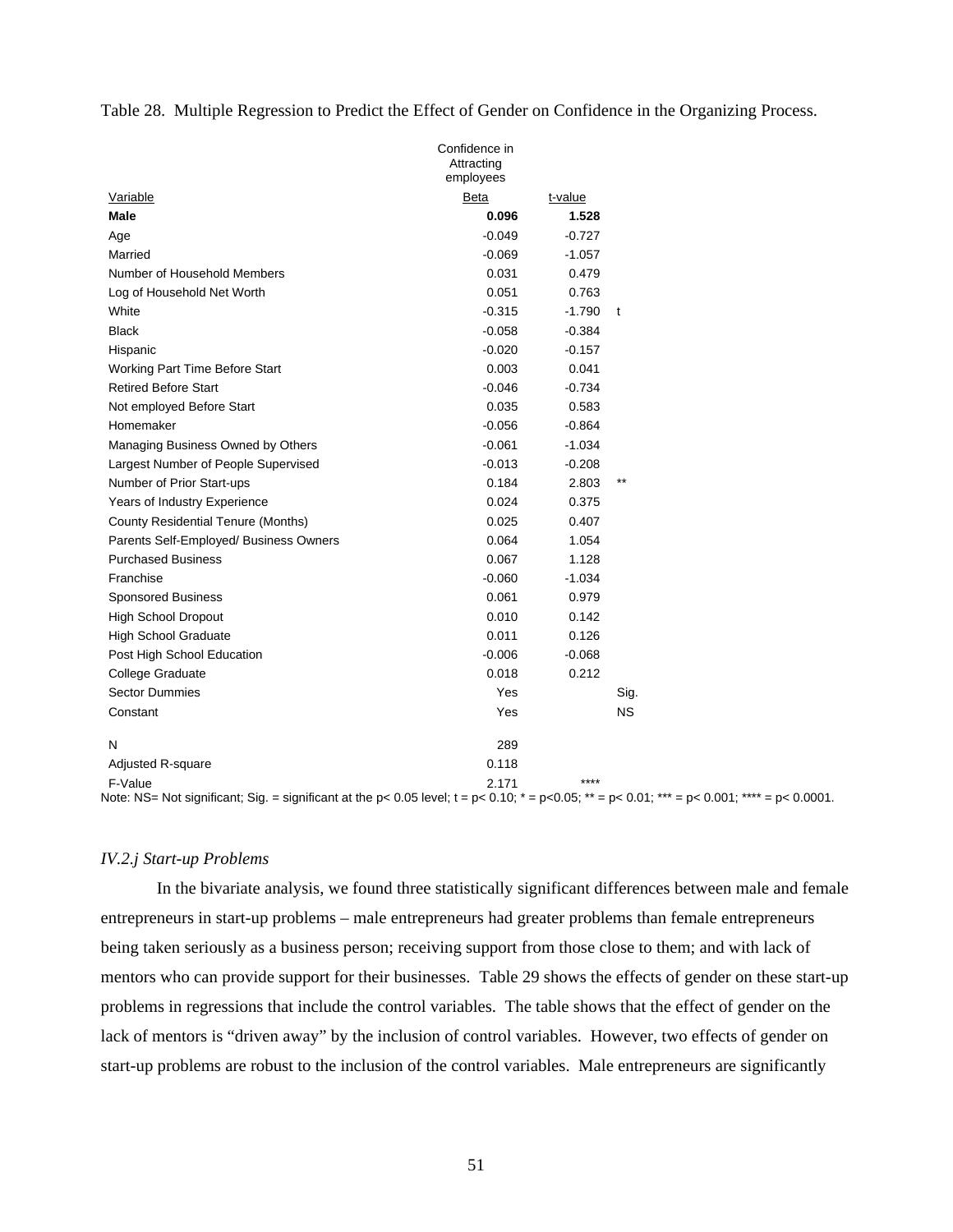Table 28. Multiple Regression to Predict the Effect of Gender on Confidence in the Organizing Process.

|                                        | Confidence in<br>Attracting<br>employees |          |                 |
|----------------------------------------|------------------------------------------|----------|-----------------|
| Variable                               | Beta                                     | t-value  |                 |
| Male                                   | 0.096                                    | 1.528    |                 |
| Age                                    | $-0.049$                                 | $-0.727$ |                 |
| Married                                | $-0.069$                                 | $-1.057$ |                 |
| Number of Household Members            | 0.031                                    | 0.479    |                 |
| Log of Household Net Worth             | 0.051                                    | 0.763    |                 |
| White                                  | $-0.315$                                 | $-1.790$ | t               |
| <b>Black</b>                           | $-0.058$                                 | $-0.384$ |                 |
| Hispanic                               | $-0.020$                                 | $-0.157$ |                 |
| Working Part Time Before Start         | 0.003                                    | 0.041    |                 |
| <b>Retired Before Start</b>            | $-0.046$                                 | $-0.734$ |                 |
| Not employed Before Start              | 0.035                                    | 0.583    |                 |
| Homemaker                              | $-0.056$                                 | $-0.864$ |                 |
| Managing Business Owned by Others      | $-0.061$                                 | $-1.034$ |                 |
| Largest Number of People Supervised    | $-0.013$                                 | $-0.208$ |                 |
| Number of Prior Start-ups              | 0.184                                    | 2.803    | $^{\star\star}$ |
| Years of Industry Experience           | 0.024                                    | 0.375    |                 |
| County Residential Tenure (Months)     | 0.025                                    | 0.407    |                 |
| Parents Self-Employed/ Business Owners | 0.064                                    | 1.054    |                 |
| <b>Purchased Business</b>              | 0.067                                    | 1.128    |                 |
| Franchise                              | $-0.060$                                 | $-1.034$ |                 |
| <b>Sponsored Business</b>              | 0.061                                    | 0.979    |                 |
| <b>High School Dropout</b>             | 0.010                                    | 0.142    |                 |
| <b>High School Graduate</b>            | 0.011                                    | 0.126    |                 |
| Post High School Education             | $-0.006$                                 | $-0.068$ |                 |
| College Graduate                       | 0.018                                    | 0.212    |                 |
| <b>Sector Dummies</b>                  | Yes                                      |          | Sig.            |
| Constant                               | Yes                                      |          | <b>NS</b>       |
| N                                      | 289                                      |          |                 |
| <b>Adjusted R-square</b>               | 0.118                                    |          |                 |
| F-Value                                | 2.171                                    | ****     |                 |

Note: NS= Not significant; Sig. = significant at the p< 0.05 level;  $t = p < 0.10$ ;  $* = p < 0.05$ ;  $** = p < 0.01$ ;  $*** = p < 0.001$ ;  $*** = p < 0.0001$ .

#### *IV.2.j Start-up Problems*

In the bivariate analysis, we found three statistically significant differences between male and female entrepreneurs in start-up problems – male entrepreneurs had greater problems than female entrepreneurs being taken seriously as a business person; receiving support from those close to them; and with lack of mentors who can provide support for their businesses. Table 29 shows the effects of gender on these start-up problems in regressions that include the control variables. The table shows that the effect of gender on the lack of mentors is "driven away" by the inclusion of control variables. However, two effects of gender on start-up problems are robust to the inclusion of the control variables. Male entrepreneurs are significantly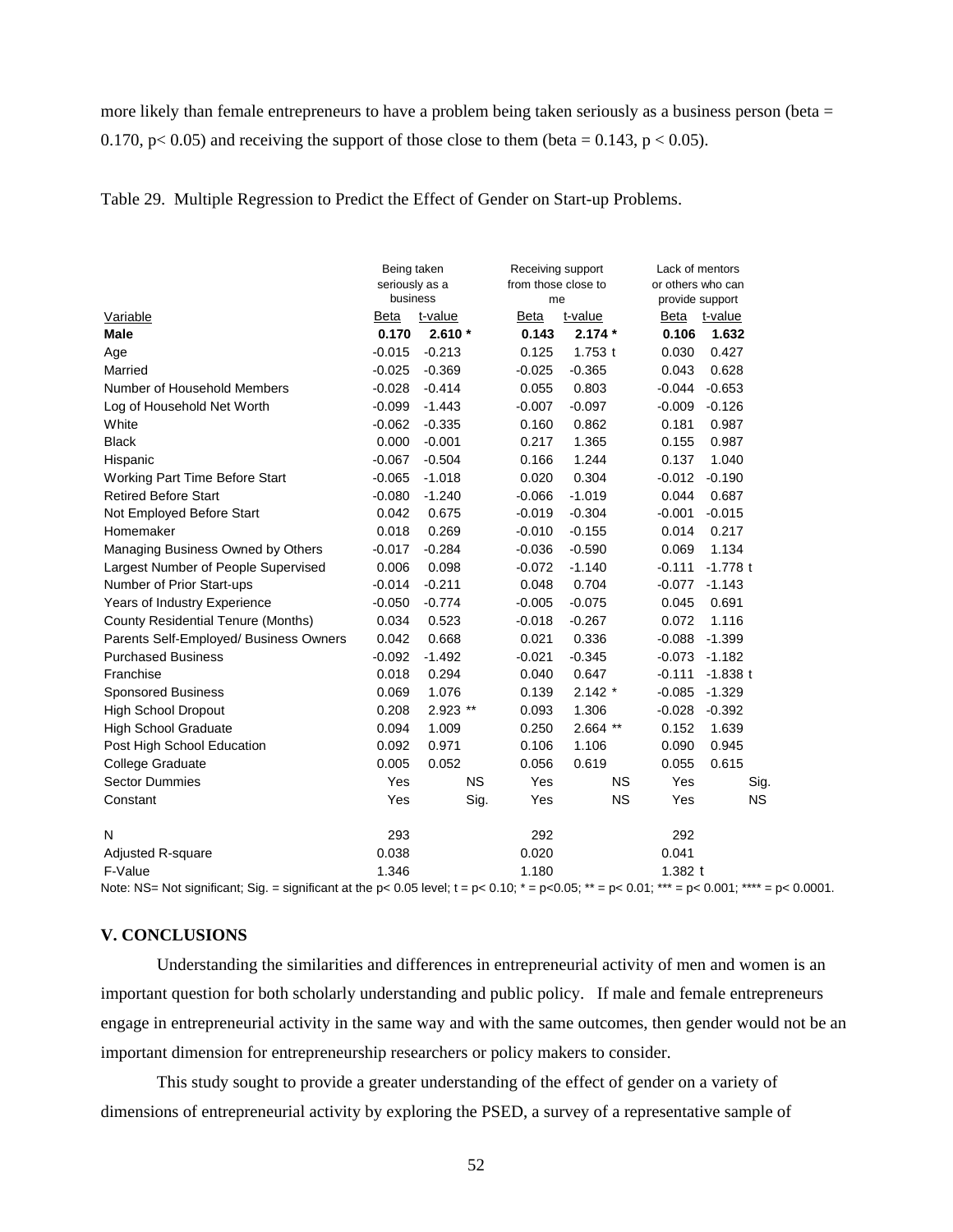more likely than female entrepreneurs to have a problem being taken seriously as a business person (beta = 0.170, p< 0.05) and receiving the support of those close to them (beta = 0.143, p < 0.05).

Table 29. Multiple Regression to Predict the Effect of Gender on Start-up Problems.

|                                        | Being taken<br>seriously as a<br>business |            | Receiving support<br>from those close to<br>me |            | Lack of mentors<br>or others who can<br>provide support |            |  |
|----------------------------------------|-------------------------------------------|------------|------------------------------------------------|------------|---------------------------------------------------------|------------|--|
| Variable                               | Beta                                      | t-value    | <b>Beta</b>                                    | t-value    | Beta                                                    | t-value    |  |
| <b>Male</b>                            | 0.170                                     | $2.610*$   | 0.143                                          | $2.174*$   | 0.106                                                   | 1.632      |  |
| Age                                    | $-0.015$                                  | $-0.213$   | 0.125                                          | 1.753t     | 0.030                                                   | 0.427      |  |
| Married                                | $-0.025$                                  | $-0.369$   | $-0.025$                                       | $-0.365$   | 0.043                                                   | 0.628      |  |
| Number of Household Members            | $-0.028$                                  | $-0.414$   | 0.055                                          | 0.803      | $-0.044$                                                | $-0.653$   |  |
| Log of Household Net Worth             | $-0.099$                                  | $-1.443$   | $-0.007$                                       | $-0.097$   | $-0.009$                                                | $-0.126$   |  |
| White                                  | $-0.062$                                  | $-0.335$   | 0.160                                          | 0.862      | 0.181                                                   | 0.987      |  |
| <b>Black</b>                           | 0.000                                     | $-0.001$   | 0.217                                          | 1.365      | 0.155                                                   | 0.987      |  |
| Hispanic                               | $-0.067$                                  | $-0.504$   | 0.166                                          | 1.244      | 0.137                                                   | 1.040      |  |
| Working Part Time Before Start         | $-0.065$                                  | $-1.018$   | 0.020                                          | 0.304      | $-0.012$                                                | $-0.190$   |  |
| <b>Retired Before Start</b>            | $-0.080$                                  | $-1.240$   | $-0.066$                                       | $-1.019$   | 0.044                                                   | 0.687      |  |
| Not Employed Before Start              | 0.042                                     | 0.675      | $-0.019$                                       | $-0.304$   | $-0.001$                                                | $-0.015$   |  |
| Homemaker                              | 0.018                                     | 0.269      | $-0.010$                                       | $-0.155$   | 0.014                                                   | 0.217      |  |
| Managing Business Owned by Others      | $-0.017$                                  | $-0.284$   | $-0.036$                                       | $-0.590$   | 0.069                                                   | 1.134      |  |
| Largest Number of People Supervised    | 0.006                                     | 0.098      | $-0.072$                                       | $-1.140$   | $-0.111$                                                | $-1.778$ t |  |
| Number of Prior Start-ups              | $-0.014$                                  | $-0.211$   | 0.048                                          | 0.704      | $-0.077$                                                | $-1.143$   |  |
| Years of Industry Experience           | $-0.050$                                  | $-0.774$   | $-0.005$                                       | $-0.075$   | 0.045                                                   | 0.691      |  |
| County Residential Tenure (Months)     | 0.034                                     | 0.523      | $-0.018$                                       | $-0.267$   | 0.072                                                   | 1.116      |  |
| Parents Self-Employed/ Business Owners | 0.042                                     | 0.668      | 0.021                                          | 0.336      | $-0.088$                                                | $-1.399$   |  |
| <b>Purchased Business</b>              | $-0.092$                                  | $-1.492$   | $-0.021$                                       | $-0.345$   | $-0.073$                                                | $-1.182$   |  |
| Franchise                              | 0.018                                     | 0.294      | 0.040                                          | 0.647      | $-0.111$                                                | $-1.838$ t |  |
| <b>Sponsored Business</b>              | 0.069                                     | 1.076      | 0.139                                          | $2.142*$   | $-0.085$                                                | $-1.329$   |  |
| <b>High School Dropout</b>             | 0.208                                     | $2.923$ ** | 0.093                                          | 1.306      | $-0.028$                                                | $-0.392$   |  |
| <b>High School Graduate</b>            | 0.094                                     | 1.009      | 0.250                                          | $2.664$ ** | 0.152                                                   | 1.639      |  |
| Post High School Education             | 0.092                                     | 0.971      | 0.106                                          | 1.106      | 0.090                                                   | 0.945      |  |
| <b>College Graduate</b>                | 0.005                                     | 0.052      | 0.056                                          | 0.619      | 0.055                                                   | 0.615      |  |
| <b>Sector Dummies</b>                  | Yes                                       | <b>NS</b>  | Yes                                            | <b>NS</b>  | Yes                                                     | Sig.       |  |
| Constant                               | Yes                                       | Sig.       | Yes                                            | <b>NS</b>  | Yes                                                     | <b>NS</b>  |  |
| N                                      | 293                                       |            | 292                                            |            | 292                                                     |            |  |
| <b>Adjusted R-square</b>               | 0.038                                     |            | 0.020                                          |            | 0.041                                                   |            |  |
| F-Value                                | 1.346                                     |            | 1.180                                          |            | $1.382$ t                                               |            |  |

Note: NS= Not significant; Sig. = significant at the p< 0.05 level;  $t = p < 0.10$ ;  $* = p < 0.05$ ;  $** = p < 0.01$ ;  $*** = p < 0.001$ ;  $*** = p < 0.0001$ .

# **V. CONCLUSIONS**

Understanding the similarities and differences in entrepreneurial activity of men and women is an important question for both scholarly understanding and public policy. If male and female entrepreneurs engage in entrepreneurial activity in the same way and with the same outcomes, then gender would not be an important dimension for entrepreneurship researchers or policy makers to consider.

This study sought to provide a greater understanding of the effect of gender on a variety of dimensions of entrepreneurial activity by exploring the PSED, a survey of a representative sample of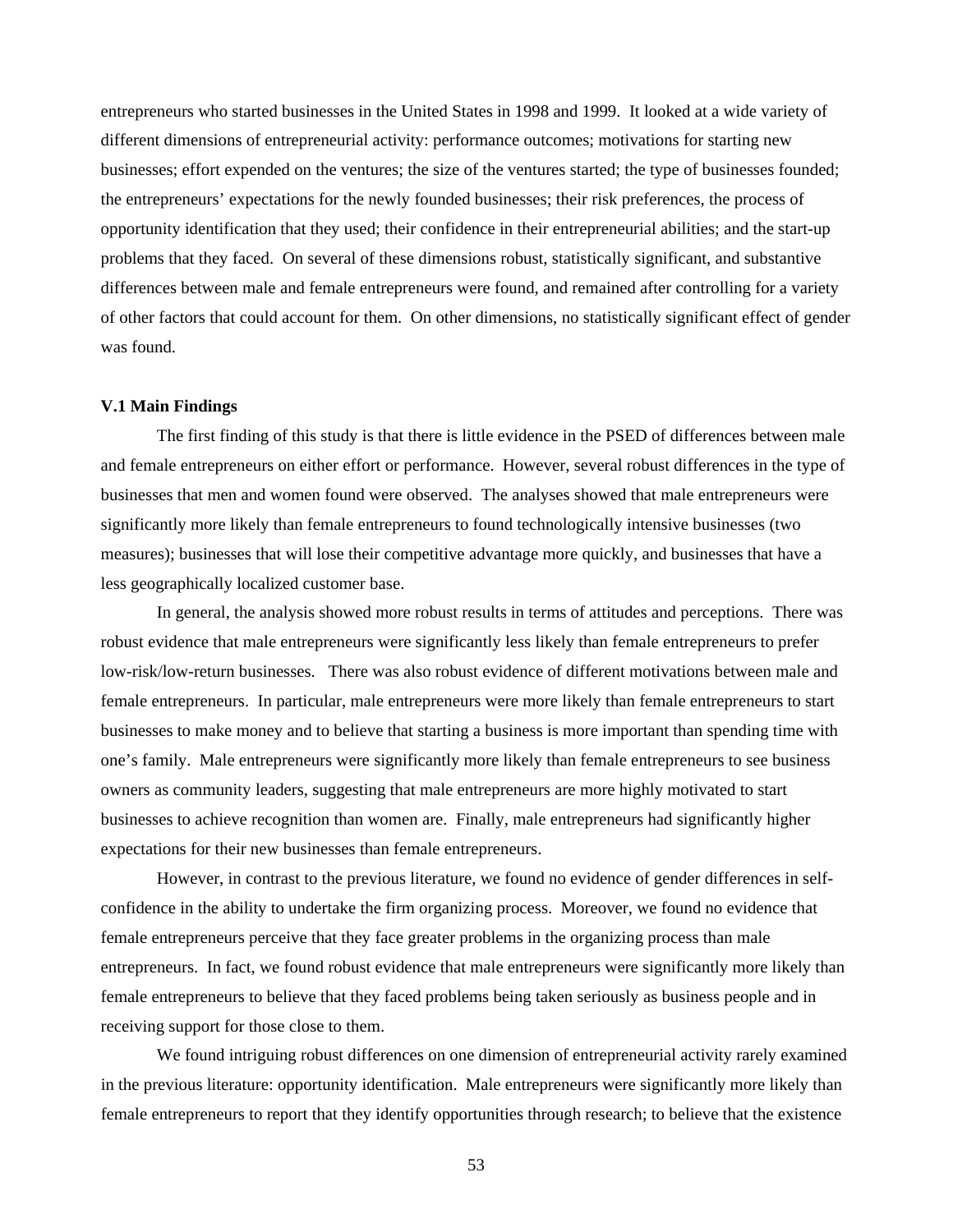entrepreneurs who started businesses in the United States in 1998 and 1999. It looked at a wide variety of different dimensions of entrepreneurial activity: performance outcomes; motivations for starting new businesses; effort expended on the ventures; the size of the ventures started; the type of businesses founded; the entrepreneurs' expectations for the newly founded businesses; their risk preferences, the process of opportunity identification that they used; their confidence in their entrepreneurial abilities; and the start-up problems that they faced. On several of these dimensions robust, statistically significant, and substantive differences between male and female entrepreneurs were found, and remained after controlling for a variety of other factors that could account for them. On other dimensions, no statistically significant effect of gender was found.

#### **V.1 Main Findings**

The first finding of this study is that there is little evidence in the PSED of differences between male and female entrepreneurs on either effort or performance. However, several robust differences in the type of businesses that men and women found were observed. The analyses showed that male entrepreneurs were significantly more likely than female entrepreneurs to found technologically intensive businesses (two measures); businesses that will lose their competitive advantage more quickly, and businesses that have a less geographically localized customer base.

In general, the analysis showed more robust results in terms of attitudes and perceptions. There was robust evidence that male entrepreneurs were significantly less likely than female entrepreneurs to prefer low-risk/low-return businesses. There was also robust evidence of different motivations between male and female entrepreneurs. In particular, male entrepreneurs were more likely than female entrepreneurs to start businesses to make money and to believe that starting a business is more important than spending time with one's family. Male entrepreneurs were significantly more likely than female entrepreneurs to see business owners as community leaders, suggesting that male entrepreneurs are more highly motivated to start businesses to achieve recognition than women are. Finally, male entrepreneurs had significantly higher expectations for their new businesses than female entrepreneurs.

However, in contrast to the previous literature, we found no evidence of gender differences in selfconfidence in the ability to undertake the firm organizing process. Moreover, we found no evidence that female entrepreneurs perceive that they face greater problems in the organizing process than male entrepreneurs. In fact, we found robust evidence that male entrepreneurs were significantly more likely than female entrepreneurs to believe that they faced problems being taken seriously as business people and in receiving support for those close to them.

We found intriguing robust differences on one dimension of entrepreneurial activity rarely examined in the previous literature: opportunity identification. Male entrepreneurs were significantly more likely than female entrepreneurs to report that they identify opportunities through research; to believe that the existence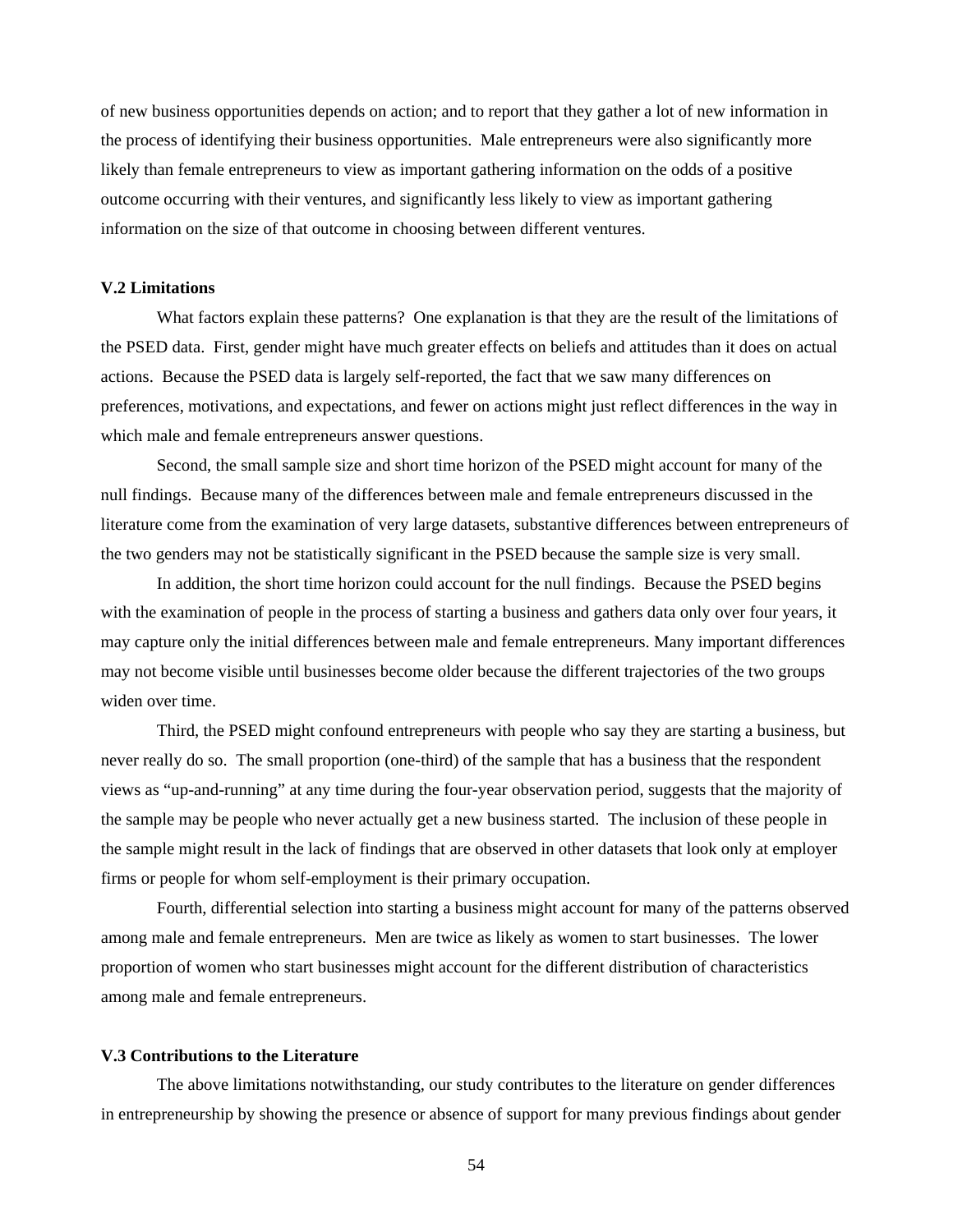of new business opportunities depends on action; and to report that they gather a lot of new information in the process of identifying their business opportunities. Male entrepreneurs were also significantly more likely than female entrepreneurs to view as important gathering information on the odds of a positive outcome occurring with their ventures, and significantly less likely to view as important gathering information on the size of that outcome in choosing between different ventures.

#### **V.2 Limitations**

 What factors explain these patterns? One explanation is that they are the result of the limitations of the PSED data. First, gender might have much greater effects on beliefs and attitudes than it does on actual actions. Because the PSED data is largely self-reported, the fact that we saw many differences on preferences, motivations, and expectations, and fewer on actions might just reflect differences in the way in which male and female entrepreneurs answer questions.

 Second, the small sample size and short time horizon of the PSED might account for many of the null findings. Because many of the differences between male and female entrepreneurs discussed in the literature come from the examination of very large datasets, substantive differences between entrepreneurs of the two genders may not be statistically significant in the PSED because the sample size is very small.

In addition, the short time horizon could account for the null findings. Because the PSED begins with the examination of people in the process of starting a business and gathers data only over four years, it may capture only the initial differences between male and female entrepreneurs. Many important differences may not become visible until businesses become older because the different trajectories of the two groups widen over time.

Third, the PSED might confound entrepreneurs with people who say they are starting a business, but never really do so. The small proportion (one-third) of the sample that has a business that the respondent views as "up-and-running" at any time during the four-year observation period, suggests that the majority of the sample may be people who never actually get a new business started. The inclusion of these people in the sample might result in the lack of findings that are observed in other datasets that look only at employer firms or people for whom self-employment is their primary occupation.

Fourth, differential selection into starting a business might account for many of the patterns observed among male and female entrepreneurs. Men are twice as likely as women to start businesses. The lower proportion of women who start businesses might account for the different distribution of characteristics among male and female entrepreneurs.

#### **V.3 Contributions to the Literature**

The above limitations notwithstanding, our study contributes to the literature on gender differences in entrepreneurship by showing the presence or absence of support for many previous findings about gender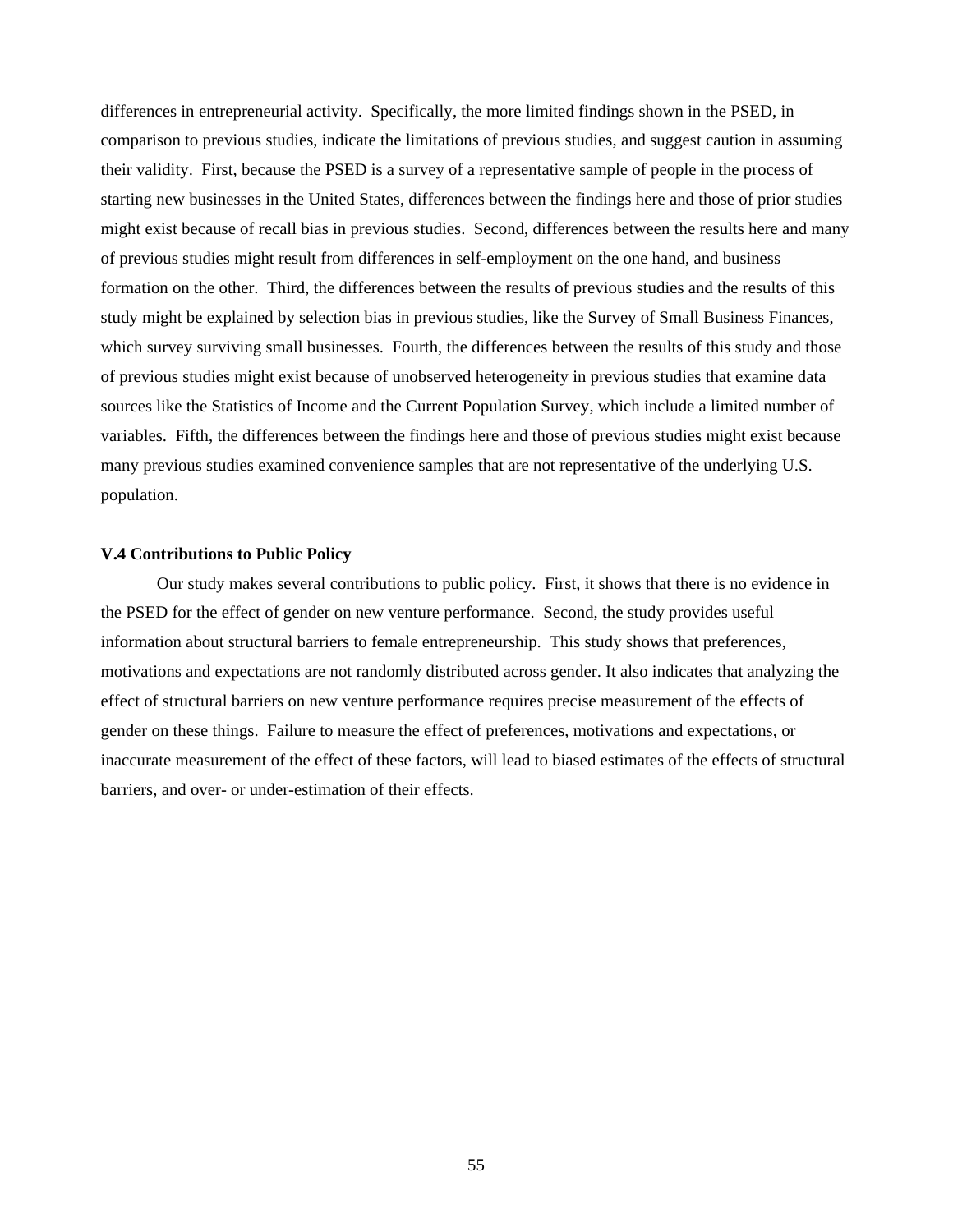differences in entrepreneurial activity. Specifically, the more limited findings shown in the PSED, in comparison to previous studies, indicate the limitations of previous studies, and suggest caution in assuming their validity. First, because the PSED is a survey of a representative sample of people in the process of starting new businesses in the United States, differences between the findings here and those of prior studies might exist because of recall bias in previous studies. Second, differences between the results here and many of previous studies might result from differences in self-employment on the one hand, and business formation on the other. Third, the differences between the results of previous studies and the results of this study might be explained by selection bias in previous studies, like the Survey of Small Business Finances, which survey surviving small businesses. Fourth, the differences between the results of this study and those of previous studies might exist because of unobserved heterogeneity in previous studies that examine data sources like the Statistics of Income and the Current Population Survey, which include a limited number of variables. Fifth, the differences between the findings here and those of previous studies might exist because many previous studies examined convenience samples that are not representative of the underlying U.S. population.

#### **V.4 Contributions to Public Policy**

Our study makes several contributions to public policy. First, it shows that there is no evidence in the PSED for the effect of gender on new venture performance. Second, the study provides useful information about structural barriers to female entrepreneurship. This study shows that preferences, motivations and expectations are not randomly distributed across gender. It also indicates that analyzing the effect of structural barriers on new venture performance requires precise measurement of the effects of gender on these things. Failure to measure the effect of preferences, motivations and expectations, or inaccurate measurement of the effect of these factors, will lead to biased estimates of the effects of structural barriers, and over- or under-estimation of their effects.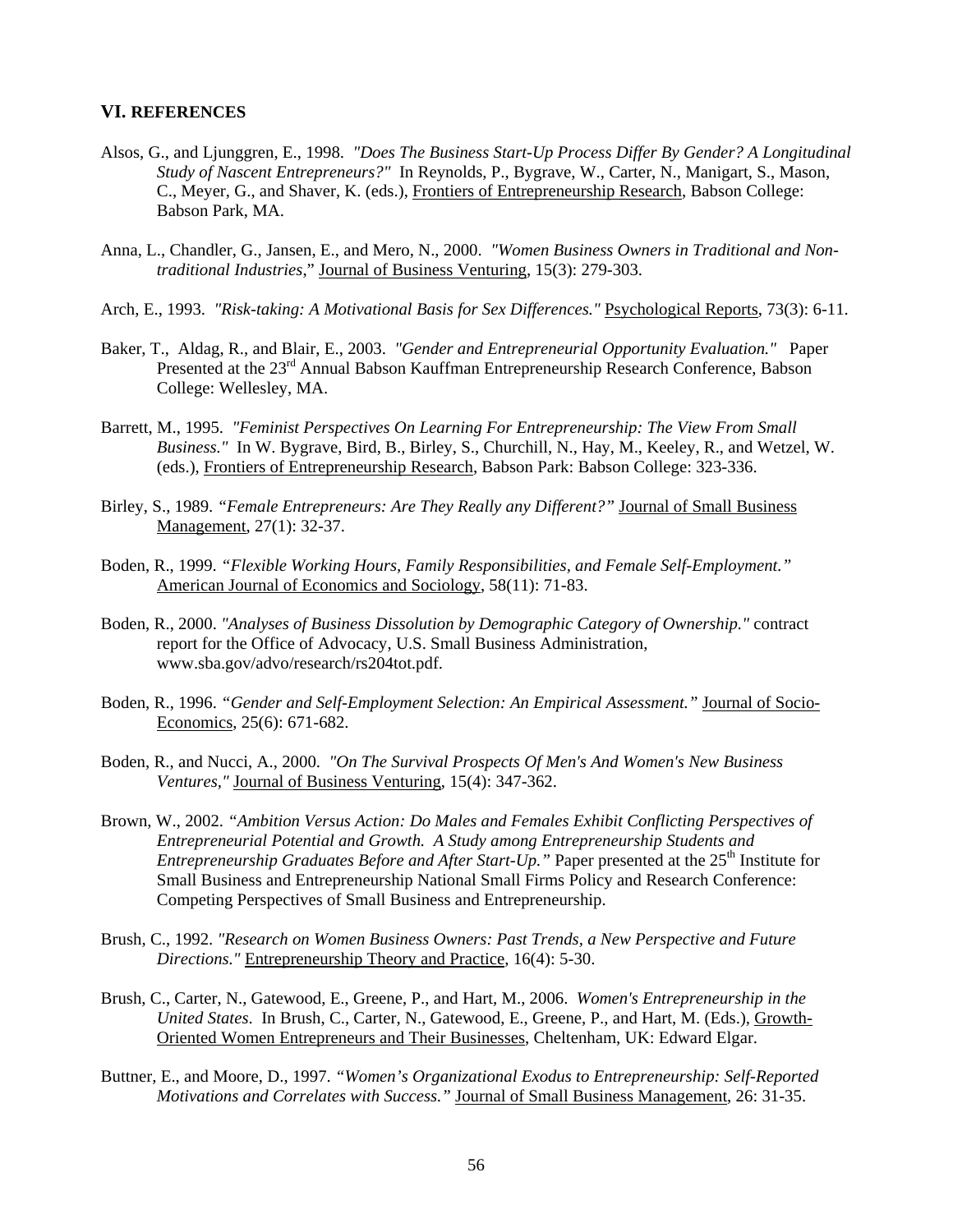#### **VI. REFERENCES**

- Alsos, G., and Ljunggren, E., 1998. *"Does The Business Start-Up Process Differ By Gender? A Longitudinal Study of Nascent Entrepreneurs?"* In Reynolds, P., Bygrave, W., Carter, N., Manigart, S., Mason, C., Meyer, G., and Shaver, K. (eds.), Frontiers of Entrepreneurship Research, Babson College: Babson Park, MA.
- Anna, L., Chandler, G., Jansen, E., and Mero, N., 2000. *"Women Business Owners in Traditional and Nontraditional Industries*," Journal of Business Venturing, 15(3): 279-303.
- Arch, E., 1993. *"Risk-taking: A Motivational Basis for Sex Differences."* Psychological Reports, 73(3): 6-11.
- Baker, T., Aldag, R., and Blair, E., 2003. *"Gender and Entrepreneurial Opportunity Evaluation."* Paper Presented at the 23<sup>rd</sup> Annual Babson Kauffman Entrepreneurship Research Conference, Babson College: Wellesley, MA.
- Barrett, M., 1995. *"Feminist Perspectives On Learning For Entrepreneurship: The View From Small Business."* In W. Bygrave, Bird, B., Birley, S., Churchill, N., Hay, M., Keeley, R., and Wetzel, W. (eds.), Frontiers of Entrepreneurship Research, Babson Park: Babson College: 323-336.
- Birley, S., 1989. *"Female Entrepreneurs: Are They Really any Different?"* Journal of Small Business Management, 27(1): 32-37.
- Boden, R., 1999. *"Flexible Working Hours, Family Responsibilities, and Female Self-Employment."*  American Journal of Economics and Sociology, 58(11): 71-83.
- Boden, R., 2000. *"Analyses of Business Dissolution by Demographic Category of Ownership."* contract report for the Office of Advocacy, U.S. Small Business Administration, www.sba.gov/advo/research/rs204tot.pdf.
- Boden, R., 1996. *"Gender and Self-Employment Selection: An Empirical Assessment."* Journal of Socio-Economics, 25(6): 671-682.
- Boden, R., and Nucci, A., 2000. *"On The Survival Prospects Of Men's And Women's New Business Ventures,"* Journal of Business Venturing, 15(4): 347-362.
- Brown, W., 2002. *"Ambition Versus Action: Do Males and Females Exhibit Conflicting Perspectives of Entrepreneurial Potential and Growth. A Study among Entrepreneurship Students and Entrepreneurship Graduates Before and After Start-Up.*" Paper presented at the 25<sup>th</sup> Institute for Small Business and Entrepreneurship National Small Firms Policy and Research Conference: Competing Perspectives of Small Business and Entrepreneurship.
- Brush, C., 1992. *"Research on Women Business Owners: Past Trends, a New Perspective and Future Directions."* Entrepreneurship Theory and Practice, 16(4): 5-30.
- Brush, C., Carter, N., Gatewood, E., Greene, P., and Hart, M., 2006. *Women's Entrepreneurship in the United States*. In Brush, C., Carter, N., Gatewood, E., Greene, P., and Hart, M. (Eds.), Growth-Oriented Women Entrepreneurs and Their Businesses, Cheltenham, UK: Edward Elgar.
- Buttner, E., and Moore, D., 1997. *"Women's Organizational Exodus to Entrepreneurship: Self-Reported Motivations and Correlates with Success."* Journal of Small Business Management, 26: 31-35.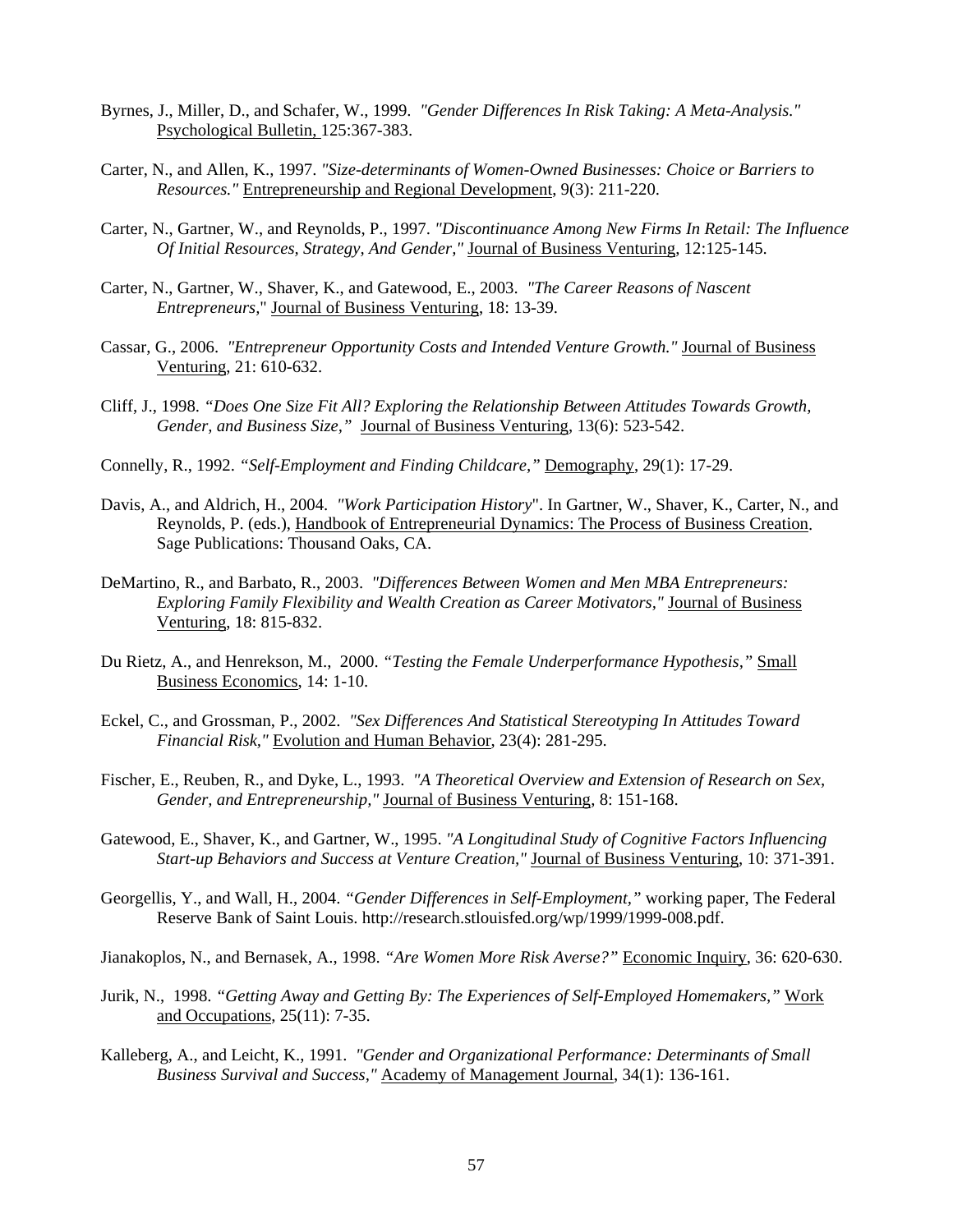- Byrnes, J., Miller, D., and Schafer, W., 1999. *"Gender Differences In Risk Taking: A Meta-Analysis."*  Psychological Bulletin, 125:367-383.
- Carter, N., and Allen, K., 1997. *"Size-determinants of Women-Owned Businesses: Choice or Barriers to Resources."* Entrepreneurship and Regional Development, 9(3): 211-220.
- Carter, N., Gartner, W., and Reynolds, P., 1997. *"Discontinuance Among New Firms In Retail: The Influence Of Initial Resources, Strategy, And Gender,"* Journal of Business Venturing, 12:125-145.
- Carter, N., Gartner, W., Shaver, K., and Gatewood, E., 2003. *"The Career Reasons of Nascent Entrepreneurs,*" Journal of Business Venturing, 18: 13-39.
- Cassar, G., 2006. *"Entrepreneur Opportunity Costs and Intended Venture Growth."* Journal of Business Venturing, 21: 610-632.
- Cliff, J., 1998. *"Does One Size Fit All? Exploring the Relationship Between Attitudes Towards Growth, Gender, and Business Size,"* Journal of Business Venturing, 13(6): 523-542.
- Connelly, R., 1992. *"Self-Employment and Finding Childcare,"* Demography, 29(1): 17-29.
- Davis, A., and Aldrich, H., 2004. *"Work Participation History*". In Gartner, W., Shaver, K., Carter, N., and Reynolds, P. (eds.), Handbook of Entrepreneurial Dynamics: The Process of Business Creation. Sage Publications: Thousand Oaks, CA.
- DeMartino, R., and Barbato, R., 2003. *"Differences Between Women and Men MBA Entrepreneurs: Exploring Family Flexibility and Wealth Creation as Career Motivators,"* Journal of Business Venturing, 18: 815-832.
- Du Rietz, A., and Henrekson, M., 2000. *"Testing the Female Underperformance Hypothesis,"* Small Business Economics, 14: 1-10.
- Eckel, C., and Grossman, P., 2002. *"Sex Differences And Statistical Stereotyping In Attitudes Toward Financial Risk,"* Evolution and Human Behavior, 23(4): 281-295.
- Fischer, E., Reuben, R., and Dyke, L., 1993. *"A Theoretical Overview and Extension of Research on Sex, Gender, and Entrepreneurship,"* Journal of Business Venturing, 8: 151-168.
- Gatewood, E., Shaver, K., and Gartner, W., 1995. *"A Longitudinal Study of Cognitive Factors Influencing Start-up Behaviors and Success at Venture Creation,"* Journal of Business Venturing, 10: 371-391.
- Georgellis, Y., and Wall, H., 2004. *"Gender Differences in Self-Employment,"* working paper, The Federal Reserve Bank of Saint Louis. http://research.stlouisfed.org/wp/1999/1999-008.pdf.

Jianakoplos, N., and Bernasek, A., 1998. *"Are Women More Risk Averse?"* Economic Inquiry, 36: 620-630.

- Jurik, N., 1998. *"Getting Away and Getting By: The Experiences of Self-Employed Homemakers,"* Work and Occupations, 25(11): 7-35.
- Kalleberg, A., and Leicht, K., 1991. *"Gender and Organizational Performance: Determinants of Small Business Survival and Success,"* Academy of Management Journal, 34(1): 136-161.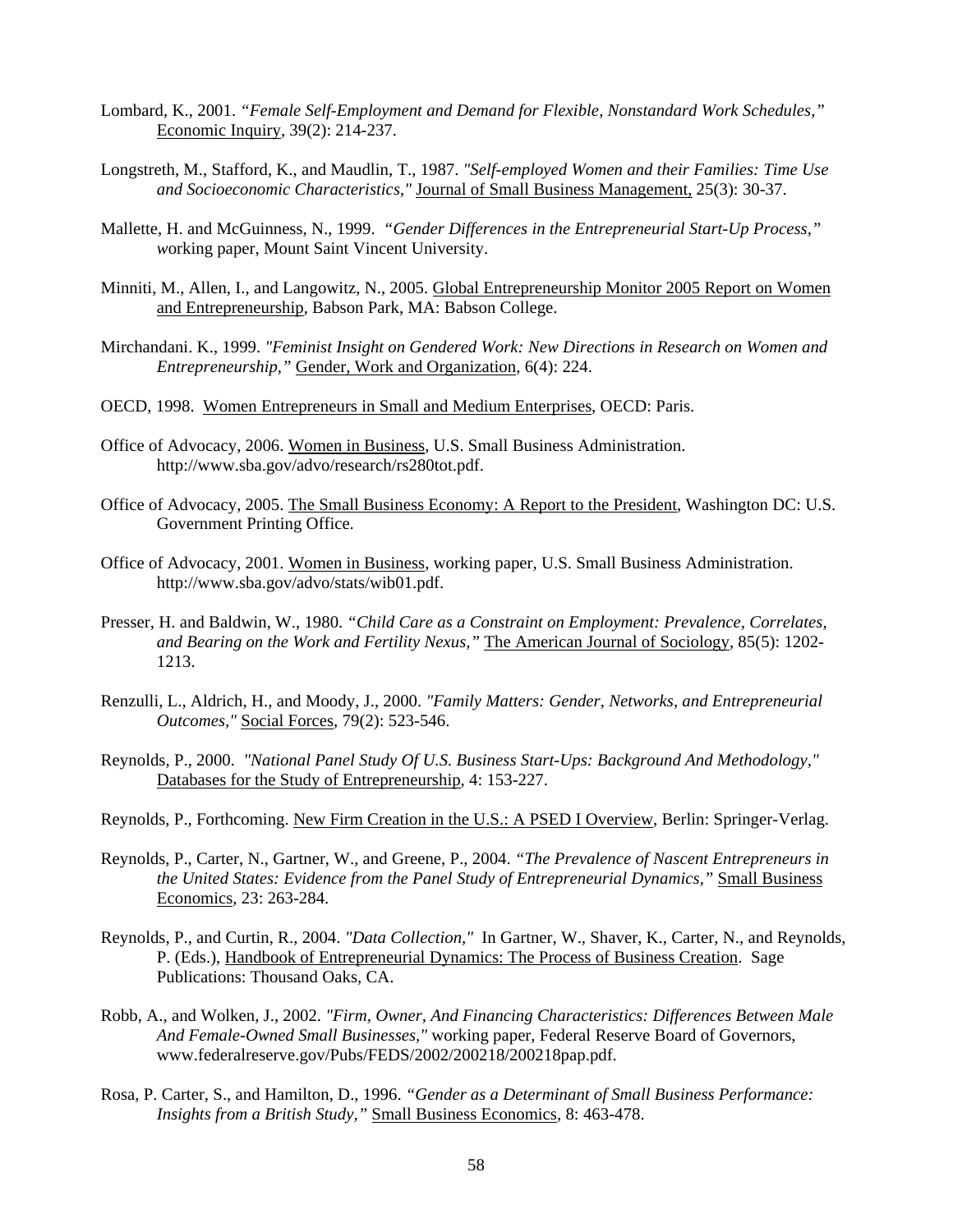- Lombard, K., 2001. *"Female Self-Employment and Demand for Flexible, Nonstandard Work Schedules,"*  Economic Inquiry, 39(2): 214-237.
- Longstreth, M., Stafford, K., and Maudlin, T., 1987. *"Self-employed Women and their Families: Time Use and Socioeconomic Characteristics,"* Journal of Small Business Management, 25(3): 30-37.
- Mallette, H. and McGuinness, N., 1999. *"Gender Differences in the Entrepreneurial Start-Up Process," w*orking paper, Mount Saint Vincent University.
- Minniti, M., Allen, I., and Langowitz, N., 2005. Global Entrepreneurship Monitor 2005 Report on Women and Entrepreneurship, Babson Park, MA: Babson College.
- Mirchandani. K., 1999. *"Feminist Insight on Gendered Work: New Directions in Research on Women and Entrepreneurship,"* Gender, Work and Organization, 6(4): 224.
- OECD, 1998. Women Entrepreneurs in Small and Medium Enterprises, OECD: Paris.
- Office of Advocacy, 2006. Women in Business, U.S. Small Business Administration. http://www.sba.gov/advo/research/rs280tot.pdf.
- Office of Advocacy, 2005. The Small Business Economy: A Report to the President, Washington DC: U.S. Government Printing Office.
- Office of Advocacy, 2001. Women in Business, working paper, U.S. Small Business Administration. http://www.sba.gov/advo/stats/wib01.pdf.
- Presser, H. and Baldwin, W., 1980. *"Child Care as a Constraint on Employment: Prevalence, Correlates, and Bearing on the Work and Fertility Nexus,"* The American Journal of Sociology, 85(5): 1202- 1213.
- Renzulli, L., Aldrich, H., and Moody, J., 2000. *"Family Matters: Gender, Networks, and Entrepreneurial Outcomes,"* Social Forces, 79(2): 523-546.
- Reynolds, P., 2000. *"National Panel Study Of U.S. Business Start-Ups: Background And Methodology,"* Databases for the Study of Entrepreneurship, 4: 153-227.
- Reynolds, P., Forthcoming. New Firm Creation in the U.S.: A PSED I Overview, Berlin: Springer-Verlag.
- Reynolds, P., Carter, N., Gartner, W., and Greene, P., 2004. *"The Prevalence of Nascent Entrepreneurs in the United States: Evidence from the Panel Study of Entrepreneurial Dynamics,"* Small Business Economics, 23: 263-284.
- Reynolds, P., and Curtin, R., 2004. *"Data Collection,"* In Gartner, W., Shaver, K., Carter, N., and Reynolds, P. (Eds.), Handbook of Entrepreneurial Dynamics: The Process of Business Creation. Sage Publications: Thousand Oaks, CA.
- Robb, A., and Wolken, J., 2002. *"Firm, Owner, And Financing Characteristics: Differences Between Male And Female-Owned Small Businesses,"* working paper, Federal Reserve Board of Governors, www.federalreserve.gov/Pubs/FEDS/2002/200218/200218pap.pdf.
- Rosa, P. Carter, S., and Hamilton, D., 1996. *"Gender as a Determinant of Small Business Performance: Insights from a British Study,"* Small Business Economics, 8: 463-478.